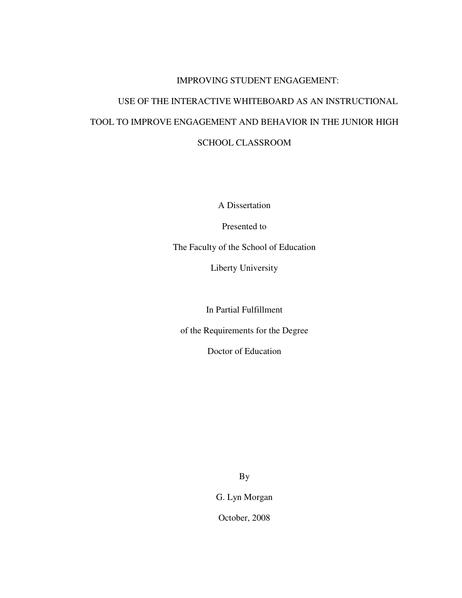# IMPROVING STUDENT ENGAGEMENT: USE OF THE INTERACTIVE WHITEBOARD AS AN INSTRUCTIONAL TOOL TO IMPROVE ENGAGEMENT AND BEHAVIOR IN THE JUNIOR HIGH SCHOOL CLASSROOM

A Dissertation

Presented to

The Faculty of the School of Education

Liberty University

In Partial Fulfillment

of the Requirements for the Degree

Doctor of Education

By

G. Lyn Morgan

October, 2008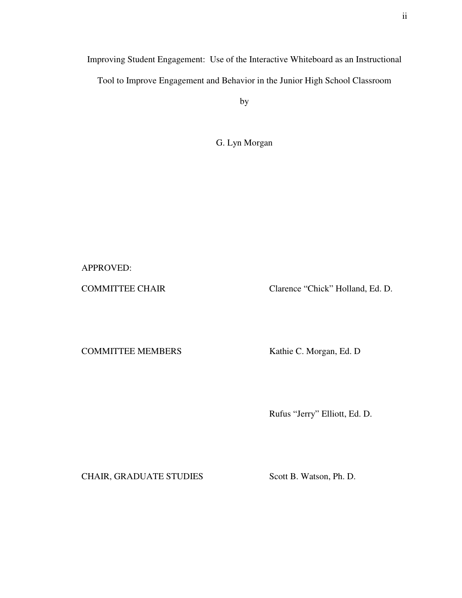Improving Student Engagement: Use of the Interactive Whiteboard as an Instructional

Tool to Improve Engagement and Behavior in the Junior High School Classroom

by

G. Lyn Morgan

APPROVED:

COMMITTEE CHAIR Clarence "Chick" Holland, Ed. D.

COMMITTEE MEMBERS Kathie C. Morgan, Ed. D

Rufus "Jerry" Elliott, Ed. D.

CHAIR, GRADUATE STUDIES Scott B. Watson, Ph. D.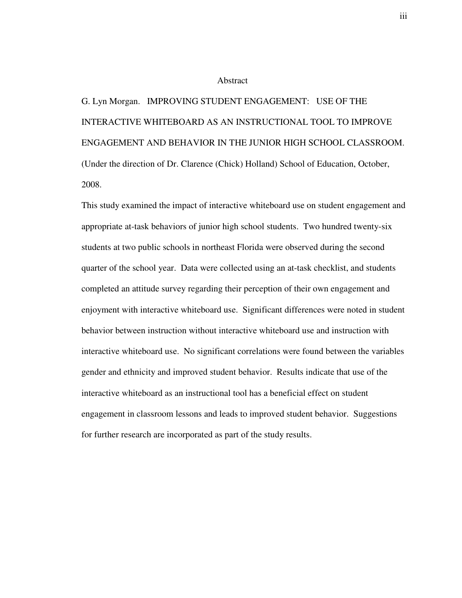#### Abstract

G. Lyn Morgan. IMPROVING STUDENT ENGAGEMENT: USE OF THE INTERACTIVE WHITEBOARD AS AN INSTRUCTIONAL TOOL TO IMPROVE ENGAGEMENT AND BEHAVIOR IN THE JUNIOR HIGH SCHOOL CLASSROOM. (Under the direction of Dr. Clarence (Chick) Holland) School of Education, October, 2008.

This study examined the impact of interactive whiteboard use on student engagement and appropriate at-task behaviors of junior high school students. Two hundred twenty-six students at two public schools in northeast Florida were observed during the second quarter of the school year. Data were collected using an at-task checklist, and students completed an attitude survey regarding their perception of their own engagement and enjoyment with interactive whiteboard use. Significant differences were noted in student behavior between instruction without interactive whiteboard use and instruction with interactive whiteboard use. No significant correlations were found between the variables gender and ethnicity and improved student behavior. Results indicate that use of the interactive whiteboard as an instructional tool has a beneficial effect on student engagement in classroom lessons and leads to improved student behavior. Suggestions for further research are incorporated as part of the study results.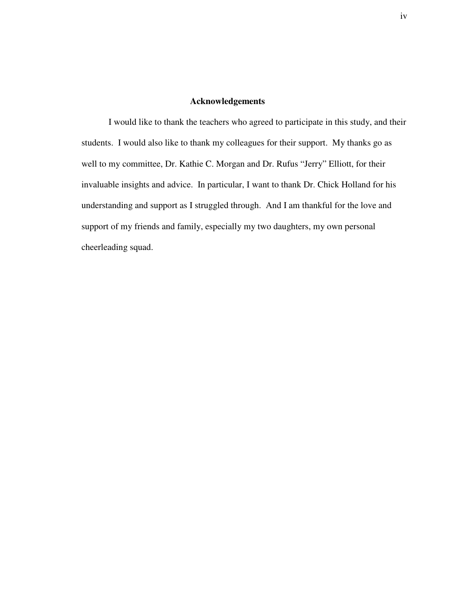#### **Acknowledgements**

I would like to thank the teachers who agreed to participate in this study, and their students. I would also like to thank my colleagues for their support. My thanks go as well to my committee, Dr. Kathie C. Morgan and Dr. Rufus "Jerry" Elliott, for their invaluable insights and advice. In particular, I want to thank Dr. Chick Holland for his understanding and support as I struggled through. And I am thankful for the love and support of my friends and family, especially my two daughters, my own personal cheerleading squad.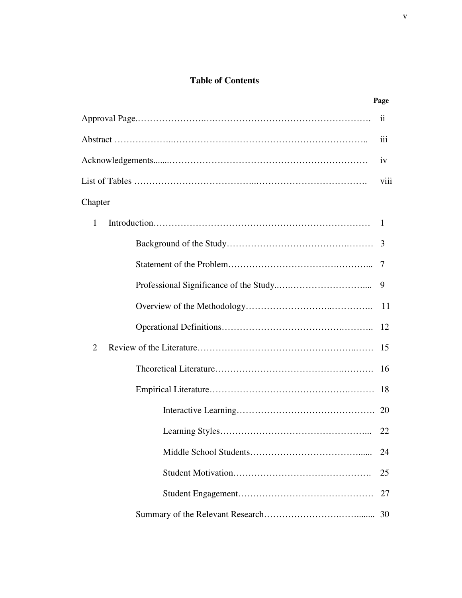### **Table of Contents**

|              | Page             |
|--------------|------------------|
|              | 11               |
|              | $\overline{111}$ |
|              | iv               |
|              | viii             |
| Chapter      |                  |
| $\mathbf{1}$ | -1               |
|              | 3                |
|              |                  |
|              | 9                |
|              | 11               |
|              | 12               |
| 2            | 15               |
|              | 16               |
|              | 18               |
|              |                  |
|              | 22               |
|              | 24               |
|              | 25               |
|              | 27               |
|              | 30               |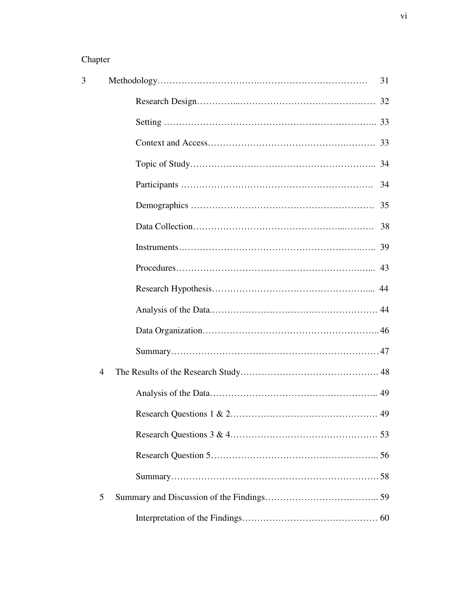## Chapter

| 3              | 31                             |
|----------------|--------------------------------|
|                |                                |
|                |                                |
|                |                                |
|                |                                |
|                | 34                             |
|                | 35                             |
|                |                                |
|                |                                |
|                |                                |
|                |                                |
|                |                                |
|                |                                |
|                |                                |
| $\overline{4}$ |                                |
|                |                                |
|                | Research Questions 1 & 2<br>49 |
|                |                                |
|                |                                |
|                |                                |
| 5              |                                |
|                |                                |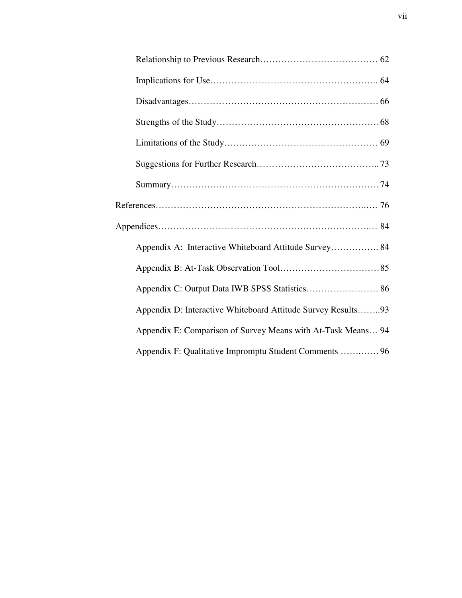| Appendix A: Interactive Whiteboard Attitude Survey 84        |  |
|--------------------------------------------------------------|--|
|                                                              |  |
|                                                              |  |
| Appendix D: Interactive Whiteboard Attitude Survey Results93 |  |
| Appendix E: Comparison of Survey Means with At-Task Means 94 |  |
| Appendix F: Qualitative Impromptu Student Comments  96       |  |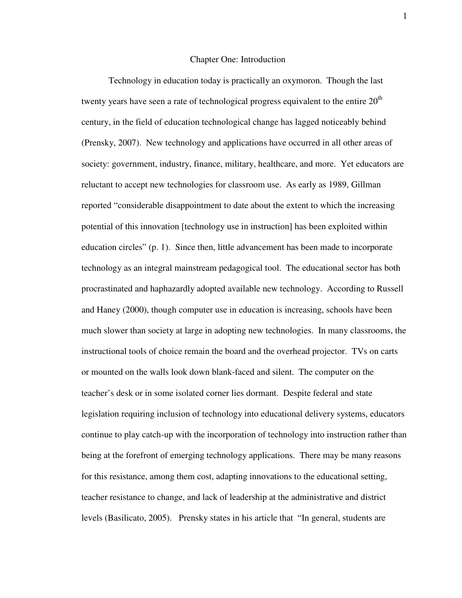#### Chapter One: Introduction

Technology in education today is practically an oxymoron. Though the last twenty years have seen a rate of technological progress equivalent to the entire  $20<sup>th</sup>$ century, in the field of education technological change has lagged noticeably behind (Prensky, 2007). New technology and applications have occurred in all other areas of society: government, industry, finance, military, healthcare, and more. Yet educators are reluctant to accept new technologies for classroom use. As early as 1989, Gillman reported "considerable disappointment to date about the extent to which the increasing potential of this innovation [technology use in instruction] has been exploited within education circles" (p. 1). Since then, little advancement has been made to incorporate technology as an integral mainstream pedagogical tool. The educational sector has both procrastinated and haphazardly adopted available new technology. According to Russell and Haney (2000), though computer use in education is increasing, schools have been much slower than society at large in adopting new technologies. In many classrooms, the instructional tools of choice remain the board and the overhead projector. TVs on carts or mounted on the walls look down blank-faced and silent. The computer on the teacher's desk or in some isolated corner lies dormant. Despite federal and state legislation requiring inclusion of technology into educational delivery systems, educators continue to play catch-up with the incorporation of technology into instruction rather than being at the forefront of emerging technology applications. There may be many reasons for this resistance, among them cost, adapting innovations to the educational setting, teacher resistance to change, and lack of leadership at the administrative and district levels (Basilicato, 2005). Prensky states in his article that "In general, students are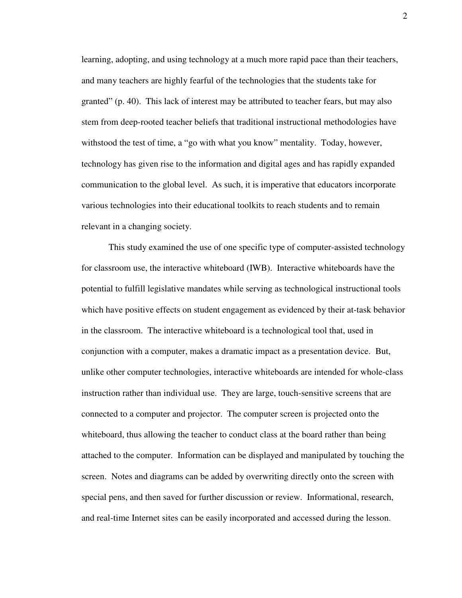learning, adopting, and using technology at a much more rapid pace than their teachers, and many teachers are highly fearful of the technologies that the students take for granted" (p. 40). This lack of interest may be attributed to teacher fears, but may also stem from deep-rooted teacher beliefs that traditional instructional methodologies have withstood the test of time, a "go with what you know" mentality. Today, however, technology has given rise to the information and digital ages and has rapidly expanded communication to the global level. As such, it is imperative that educators incorporate various technologies into their educational toolkits to reach students and to remain relevant in a changing society.

This study examined the use of one specific type of computer-assisted technology for classroom use, the interactive whiteboard (IWB). Interactive whiteboards have the potential to fulfill legislative mandates while serving as technological instructional tools which have positive effects on student engagement as evidenced by their at-task behavior in the classroom. The interactive whiteboard is a technological tool that, used in conjunction with a computer, makes a dramatic impact as a presentation device. But, unlike other computer technologies, interactive whiteboards are intended for whole-class instruction rather than individual use. They are large, touch-sensitive screens that are connected to a computer and projector. The computer screen is projected onto the whiteboard, thus allowing the teacher to conduct class at the board rather than being attached to the computer. Information can be displayed and manipulated by touching the screen. Notes and diagrams can be added by overwriting directly onto the screen with special pens, and then saved for further discussion or review. Informational, research, and real-time Internet sites can be easily incorporated and accessed during the lesson.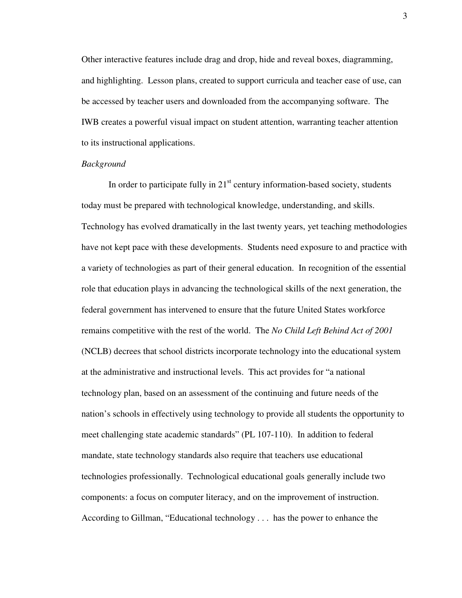Other interactive features include drag and drop, hide and reveal boxes, diagramming, and highlighting. Lesson plans, created to support curricula and teacher ease of use, can be accessed by teacher users and downloaded from the accompanying software. The IWB creates a powerful visual impact on student attention, warranting teacher attention to its instructional applications.

#### *Background*

In order to participate fully in  $21<sup>st</sup>$  century information-based society, students today must be prepared with technological knowledge, understanding, and skills. Technology has evolved dramatically in the last twenty years, yet teaching methodologies have not kept pace with these developments. Students need exposure to and practice with a variety of technologies as part of their general education. In recognition of the essential role that education plays in advancing the technological skills of the next generation, the federal government has intervened to ensure that the future United States workforce remains competitive with the rest of the world. The *No Child Left Behind Act of 2001*  (NCLB) decrees that school districts incorporate technology into the educational system at the administrative and instructional levels. This act provides for "a national technology plan, based on an assessment of the continuing and future needs of the nation's schools in effectively using technology to provide all students the opportunity to meet challenging state academic standards" (PL 107-110). In addition to federal mandate, state technology standards also require that teachers use educational technologies professionally. Technological educational goals generally include two components: a focus on computer literacy, and on the improvement of instruction. According to Gillman, "Educational technology . . . has the power to enhance the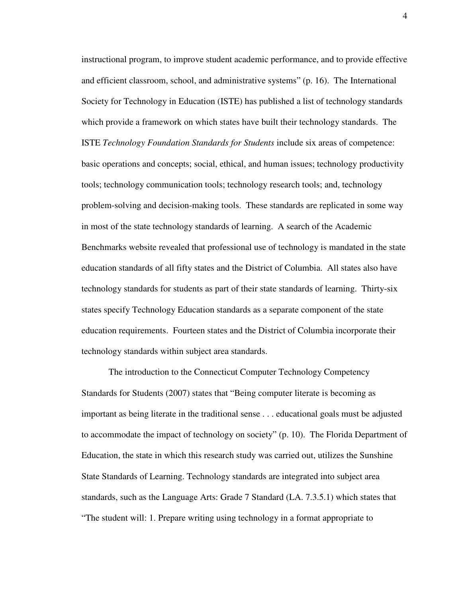instructional program, to improve student academic performance, and to provide effective and efficient classroom, school, and administrative systems" (p. 16). The International Society for Technology in Education (ISTE) has published a list of technology standards which provide a framework on which states have built their technology standards. The ISTE *Technology Foundation Standards for Students* include six areas of competence: basic operations and concepts; social, ethical, and human issues; technology productivity tools; technology communication tools; technology research tools; and, technology problem-solving and decision-making tools. These standards are replicated in some way in most of the state technology standards of learning. A search of the Academic Benchmarks website revealed that professional use of technology is mandated in the state education standards of all fifty states and the District of Columbia. All states also have technology standards for students as part of their state standards of learning. Thirty-six states specify Technology Education standards as a separate component of the state education requirements. Fourteen states and the District of Columbia incorporate their technology standards within subject area standards.

The introduction to the Connecticut Computer Technology Competency Standards for Students (2007) states that "Being computer literate is becoming as important as being literate in the traditional sense . . . educational goals must be adjusted to accommodate the impact of technology on society" (p. 10). The Florida Department of Education, the state in which this research study was carried out, utilizes the Sunshine State Standards of Learning. Technology standards are integrated into subject area standards, such as the Language Arts: Grade 7 Standard (LA. 7.3.5.1) which states that "The student will: 1. Prepare writing using technology in a format appropriate to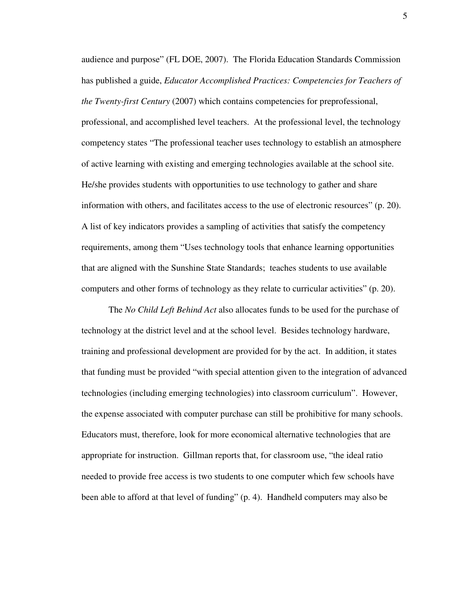audience and purpose" (FL DOE, 2007). The Florida Education Standards Commission has published a guide, *Educator Accomplished Practices: Competencies for Teachers of the Twenty-first Century* (2007) which contains competencies for preprofessional, professional, and accomplished level teachers. At the professional level, the technology competency states "The professional teacher uses technology to establish an atmosphere of active learning with existing and emerging technologies available at the school site. He/she provides students with opportunities to use technology to gather and share information with others, and facilitates access to the use of electronic resources" (p. 20). A list of key indicators provides a sampling of activities that satisfy the competency requirements, among them "Uses technology tools that enhance learning opportunities that are aligned with the Sunshine State Standards; teaches students to use available computers and other forms of technology as they relate to curricular activities" (p. 20).

The *No Child Left Behind Act* also allocates funds to be used for the purchase of technology at the district level and at the school level. Besides technology hardware, training and professional development are provided for by the act. In addition, it states that funding must be provided "with special attention given to the integration of advanced technologies (including emerging technologies) into classroom curriculum". However, the expense associated with computer purchase can still be prohibitive for many schools. Educators must, therefore, look for more economical alternative technologies that are appropriate for instruction. Gillman reports that, for classroom use, "the ideal ratio needed to provide free access is two students to one computer which few schools have been able to afford at that level of funding" (p. 4). Handheld computers may also be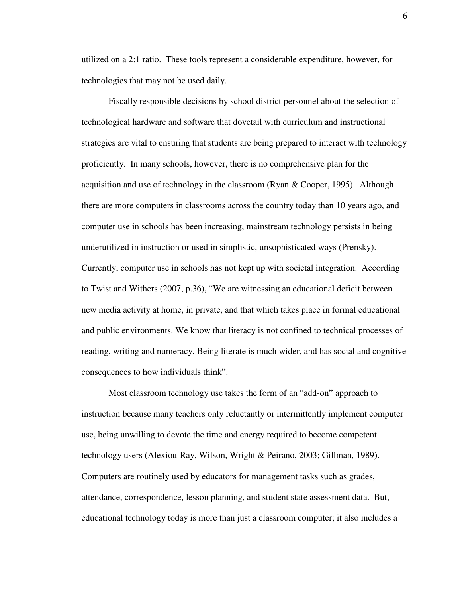utilized on a 2:1 ratio. These tools represent a considerable expenditure, however, for technologies that may not be used daily.

Fiscally responsible decisions by school district personnel about the selection of technological hardware and software that dovetail with curriculum and instructional strategies are vital to ensuring that students are being prepared to interact with technology proficiently. In many schools, however, there is no comprehensive plan for the acquisition and use of technology in the classroom (Ryan & Cooper, 1995). Although there are more computers in classrooms across the country today than 10 years ago, and computer use in schools has been increasing, mainstream technology persists in being underutilized in instruction or used in simplistic, unsophisticated ways (Prensky). Currently, computer use in schools has not kept up with societal integration. According to Twist and Withers (2007, p.36), "We are witnessing an educational deficit between new media activity at home, in private, and that which takes place in formal educational and public environments. We know that literacy is not confined to technical processes of reading, writing and numeracy. Being literate is much wider, and has social and cognitive consequences to how individuals think".

Most classroom technology use takes the form of an "add-on" approach to instruction because many teachers only reluctantly or intermittently implement computer use, being unwilling to devote the time and energy required to become competent technology users (Alexiou-Ray, Wilson, Wright & Peirano, 2003; Gillman, 1989). Computers are routinely used by educators for management tasks such as grades, attendance, correspondence, lesson planning, and student state assessment data. But, educational technology today is more than just a classroom computer; it also includes a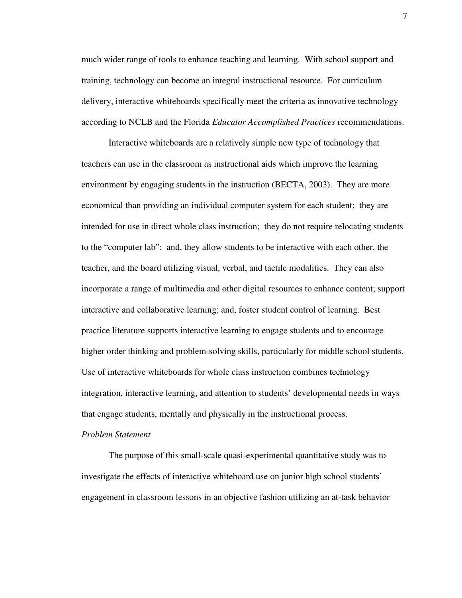much wider range of tools to enhance teaching and learning. With school support and training, technology can become an integral instructional resource. For curriculum delivery, interactive whiteboards specifically meet the criteria as innovative technology according to NCLB and the Florida *Educator Accomplished Practices* recommendations.

Interactive whiteboards are a relatively simple new type of technology that teachers can use in the classroom as instructional aids which improve the learning environment by engaging students in the instruction (BECTA, 2003). They are more economical than providing an individual computer system for each student; they are intended for use in direct whole class instruction; they do not require relocating students to the "computer lab"; and, they allow students to be interactive with each other, the teacher, and the board utilizing visual, verbal, and tactile modalities. They can also incorporate a range of multimedia and other digital resources to enhance content; support interactive and collaborative learning; and, foster student control of learning. Best practice literature supports interactive learning to engage students and to encourage higher order thinking and problem-solving skills, particularly for middle school students. Use of interactive whiteboards for whole class instruction combines technology integration, interactive learning, and attention to students' developmental needs in ways that engage students, mentally and physically in the instructional process.

#### *Problem Statement*

 The purpose of this small-scale quasi-experimental quantitative study was to investigate the effects of interactive whiteboard use on junior high school students' engagement in classroom lessons in an objective fashion utilizing an at-task behavior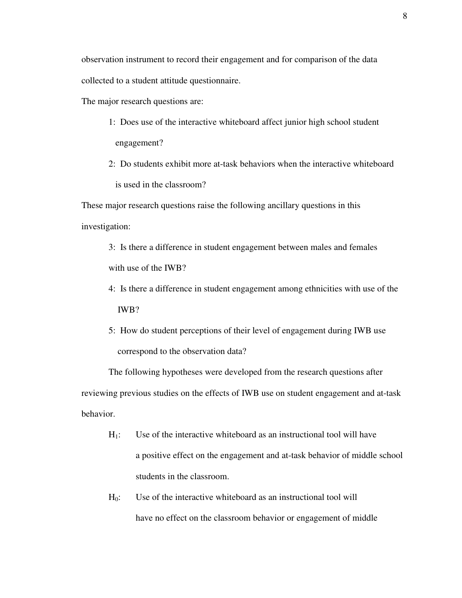collected to a student attitude questionnaire.

The major research questions are:

- 1: Does use of the interactive whiteboard affect junior high school student engagement?
- 2: Do students exhibit more at-task behaviors when the interactive whiteboard is used in the classroom?

These major research questions raise the following ancillary questions in this investigation:

 3: Is there a difference in student engagement between males and females with use of the IWB?

- 4: Is there a difference in student engagement among ethnicities with use of the IWB?
- 5: How do student perceptions of their level of engagement during IWB use correspond to the observation data?

The following hypotheses were developed from the research questions after reviewing previous studies on the effects of IWB use on student engagement and at-task behavior.

- $H<sub>1</sub>$ : Use of the interactive whiteboard as an instructional tool will have a positive effect on the engagement and at-task behavior of middle school students in the classroom.
- $H<sub>0</sub>$ : Use of the interactive whiteboard as an instructional tool will have no effect on the classroom behavior or engagement of middle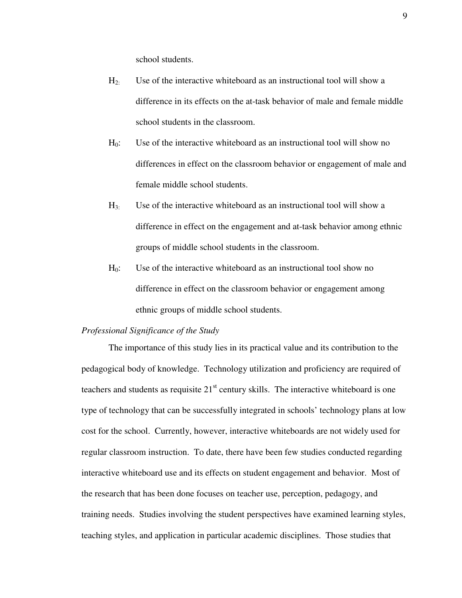school students.

- H2: Use of the interactive whiteboard as an instructional tool will show a difference in its effects on the at-task behavior of male and female middle school students in the classroom.
- H0: Use of the interactive whiteboard as an instructional tool will show no differences in effect on the classroom behavior or engagement of male and female middle school students.
- $H_3$ : Use of the interactive whiteboard as an instructional tool will show a difference in effect on the engagement and at-task behavior among ethnic groups of middle school students in the classroom.
- $H<sub>0</sub>$ : Use of the interactive whiteboard as an instructional tool show no difference in effect on the classroom behavior or engagement among ethnic groups of middle school students.

#### *Professional Significance of the Study*

 The importance of this study lies in its practical value and its contribution to the pedagogical body of knowledge. Technology utilization and proficiency are required of teachers and students as requisite  $21<sup>st</sup>$  century skills. The interactive whiteboard is one type of technology that can be successfully integrated in schools' technology plans at low cost for the school. Currently, however, interactive whiteboards are not widely used for regular classroom instruction. To date, there have been few studies conducted regarding interactive whiteboard use and its effects on student engagement and behavior. Most of the research that has been done focuses on teacher use, perception, pedagogy, and training needs. Studies involving the student perspectives have examined learning styles, teaching styles, and application in particular academic disciplines. Those studies that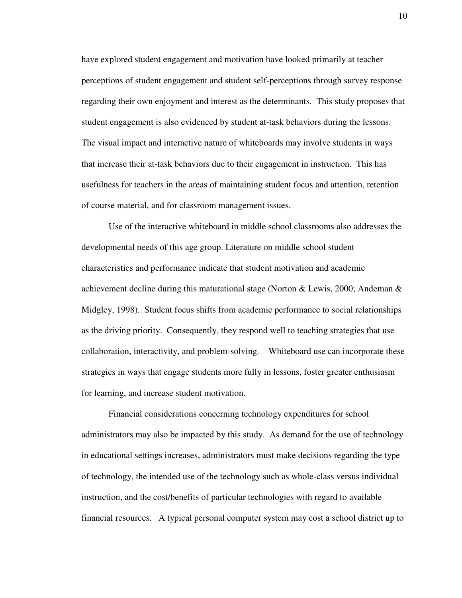have explored student engagement and motivation have looked primarily at teacher perceptions of student engagement and student self-perceptions through survey response regarding their own enjoyment and interest as the determinants. This study proposes that student engagement is also evidenced by student at-task behaviors during the lessons. The visual impact and interactive nature of whiteboards may involve students in ways that increase their at-task behaviors due to their engagement in instruction. This has usefulness for teachers in the areas of maintaining student focus and attention, retention of course material, and for classroom management issues.

 Use of the interactive whiteboard in middle school classrooms also addresses the developmental needs of this age group. Literature on middle school student characteristics and performance indicate that student motivation and academic achievement decline during this maturational stage (Norton & Lewis, 2000; Andeman & Midgley, 1998). Student focus shifts from academic performance to social relationships as the driving priority. Consequently, they respond well to teaching strategies that use collaboration, interactivity, and problem-solving. Whiteboard use can incorporate these strategies in ways that engage students more fully in lessons, foster greater enthusiasm for learning, and increase student motivation.

Financial considerations concerning technology expenditures for school administrators may also be impacted by this study. As demand for the use of technology in educational settings increases, administrators must make decisions regarding the type of technology, the intended use of the technology such as whole-class versus individual instruction, and the cost/benefits of particular technologies with regard to available financial resources. A typical personal computer system may cost a school district up to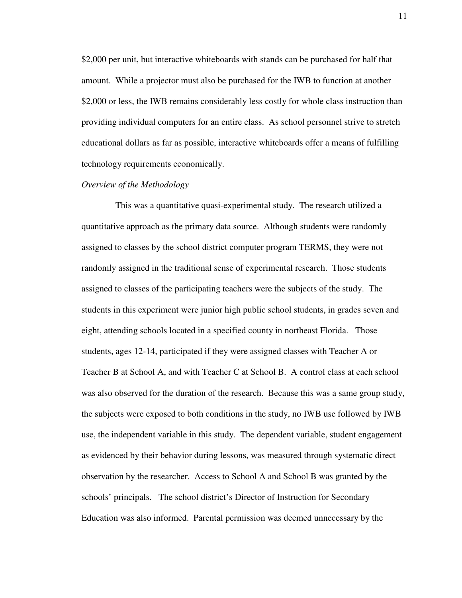\$2,000 per unit, but interactive whiteboards with stands can be purchased for half that amount. While a projector must also be purchased for the IWB to function at another \$2,000 or less, the IWB remains considerably less costly for whole class instruction than providing individual computers for an entire class. As school personnel strive to stretch educational dollars as far as possible, interactive whiteboards offer a means of fulfilling technology requirements economically.

#### *Overview of the Methodology*

 This was a quantitative quasi-experimental study. The research utilized a quantitative approach as the primary data source. Although students were randomly assigned to classes by the school district computer program TERMS, they were not randomly assigned in the traditional sense of experimental research. Those students assigned to classes of the participating teachers were the subjects of the study. The students in this experiment were junior high public school students, in grades seven and eight, attending schools located in a specified county in northeast Florida. Those students, ages 12-14, participated if they were assigned classes with Teacher A or Teacher B at School A, and with Teacher C at School B. A control class at each school was also observed for the duration of the research. Because this was a same group study, the subjects were exposed to both conditions in the study, no IWB use followed by IWB use, the independent variable in this study. The dependent variable, student engagement as evidenced by their behavior during lessons, was measured through systematic direct observation by the researcher. Access to School A and School B was granted by the schools' principals. The school district's Director of Instruction for Secondary Education was also informed. Parental permission was deemed unnecessary by the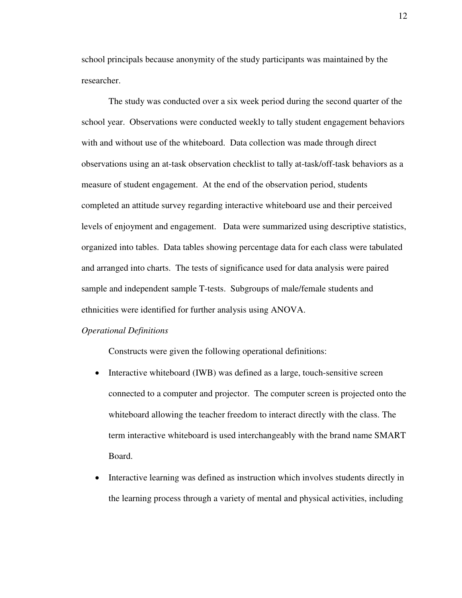school principals because anonymity of the study participants was maintained by the researcher.

The study was conducted over a six week period during the second quarter of the school year. Observations were conducted weekly to tally student engagement behaviors with and without use of the whiteboard. Data collection was made through direct observations using an at-task observation checklist to tally at-task/off-task behaviors as a measure of student engagement. At the end of the observation period, students completed an attitude survey regarding interactive whiteboard use and their perceived levels of enjoyment and engagement. Data were summarized using descriptive statistics, organized into tables. Data tables showing percentage data for each class were tabulated and arranged into charts. The tests of significance used for data analysis were paired sample and independent sample T-tests. Subgroups of male/female students and ethnicities were identified for further analysis using ANOVA.

#### *Operational Definitions*

Constructs were given the following operational definitions:

- Interactive whiteboard (IWB) was defined as a large, touch-sensitive screen connected to a computer and projector. The computer screen is projected onto the whiteboard allowing the teacher freedom to interact directly with the class. The term interactive whiteboard is used interchangeably with the brand name SMART Board.
- Interactive learning was defined as instruction which involves students directly in the learning process through a variety of mental and physical activities, including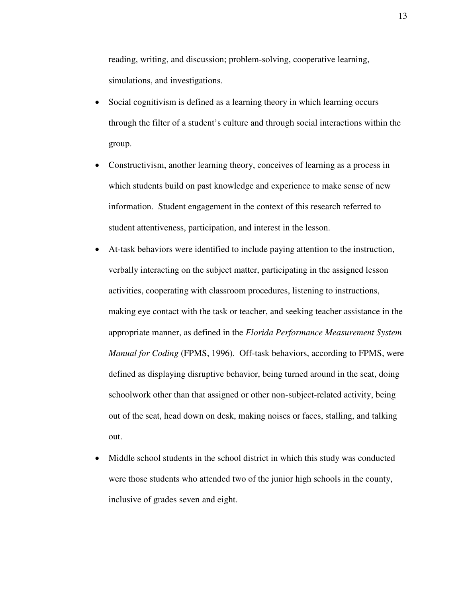reading, writing, and discussion; problem-solving, cooperative learning, simulations, and investigations.

- Social cognitivism is defined as a learning theory in which learning occurs through the filter of a student's culture and through social interactions within the group.
- Constructivism, another learning theory, conceives of learning as a process in which students build on past knowledge and experience to make sense of new information. Student engagement in the context of this research referred to student attentiveness, participation, and interest in the lesson.
- At-task behaviors were identified to include paying attention to the instruction, verbally interacting on the subject matter, participating in the assigned lesson activities, cooperating with classroom procedures, listening to instructions, making eye contact with the task or teacher, and seeking teacher assistance in the appropriate manner, as defined in the *Florida Performance Measurement System Manual for Coding* (FPMS, 1996). Off-task behaviors, according to FPMS, were defined as displaying disruptive behavior, being turned around in the seat, doing schoolwork other than that assigned or other non-subject-related activity, being out of the seat, head down on desk, making noises or faces, stalling, and talking out.
- Middle school students in the school district in which this study was conducted were those students who attended two of the junior high schools in the county, inclusive of grades seven and eight.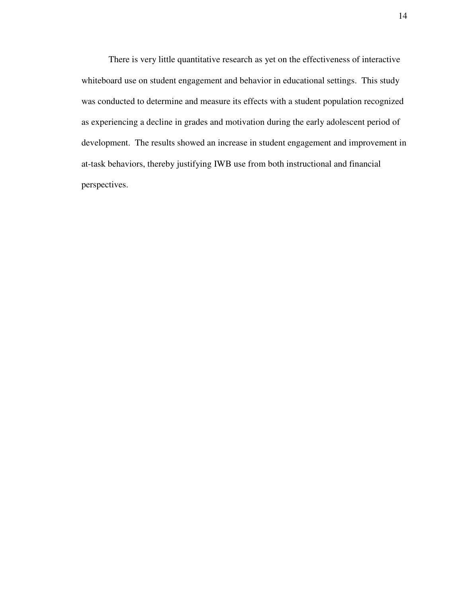There is very little quantitative research as yet on the effectiveness of interactive whiteboard use on student engagement and behavior in educational settings. This study was conducted to determine and measure its effects with a student population recognized as experiencing a decline in grades and motivation during the early adolescent period of development. The results showed an increase in student engagement and improvement in at-task behaviors, thereby justifying IWB use from both instructional and financial perspectives.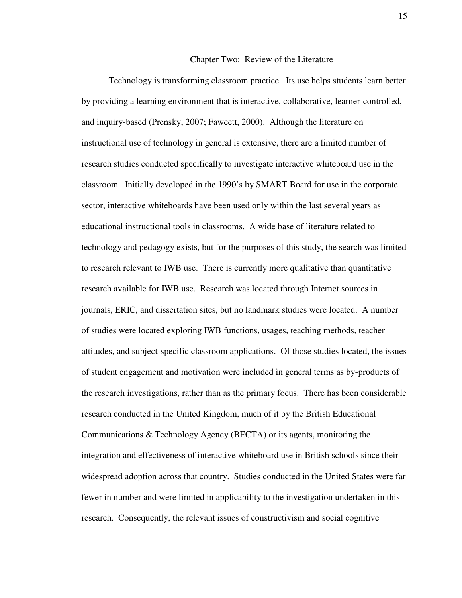#### Chapter Two: Review of the Literature

Technology is transforming classroom practice. Its use helps students learn better by providing a learning environment that is interactive, collaborative, learner-controlled, and inquiry-based (Prensky, 2007; Fawcett, 2000). Although the literature on instructional use of technology in general is extensive, there are a limited number of research studies conducted specifically to investigate interactive whiteboard use in the classroom. Initially developed in the 1990's by SMART Board for use in the corporate sector, interactive whiteboards have been used only within the last several years as educational instructional tools in classrooms. A wide base of literature related to technology and pedagogy exists, but for the purposes of this study, the search was limited to research relevant to IWB use. There is currently more qualitative than quantitative research available for IWB use. Research was located through Internet sources in journals, ERIC, and dissertation sites, but no landmark studies were located. A number of studies were located exploring IWB functions, usages, teaching methods, teacher attitudes, and subject-specific classroom applications. Of those studies located, the issues of student engagement and motivation were included in general terms as by-products of the research investigations, rather than as the primary focus. There has been considerable research conducted in the United Kingdom, much of it by the British Educational Communications & Technology Agency (BECTA) or its agents, monitoring the integration and effectiveness of interactive whiteboard use in British schools since their widespread adoption across that country. Studies conducted in the United States were far fewer in number and were limited in applicability to the investigation undertaken in this research. Consequently, the relevant issues of constructivism and social cognitive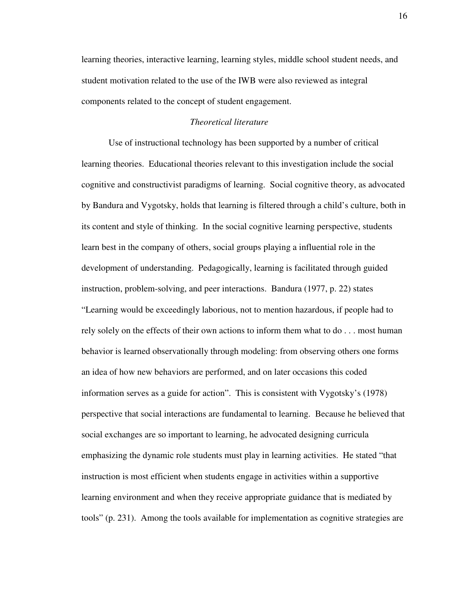learning theories, interactive learning, learning styles, middle school student needs, and student motivation related to the use of the IWB were also reviewed as integral components related to the concept of student engagement.

#### *Theoretical literature*

Use of instructional technology has been supported by a number of critical learning theories. Educational theories relevant to this investigation include the social cognitive and constructivist paradigms of learning. Social cognitive theory, as advocated by Bandura and Vygotsky, holds that learning is filtered through a child's culture, both in its content and style of thinking. In the social cognitive learning perspective, students learn best in the company of others, social groups playing a influential role in the development of understanding. Pedagogically, learning is facilitated through guided instruction, problem-solving, and peer interactions. Bandura (1977, p. 22) states "Learning would be exceedingly laborious, not to mention hazardous, if people had to rely solely on the effects of their own actions to inform them what to do . . . most human behavior is learned observationally through modeling: from observing others one forms an idea of how new behaviors are performed, and on later occasions this coded information serves as a guide for action". This is consistent with Vygotsky's (1978) perspective that social interactions are fundamental to learning. Because he believed that social exchanges are so important to learning, he advocated designing curricula emphasizing the dynamic role students must play in learning activities. He stated "that instruction is most efficient when students engage in activities within a supportive learning environment and when they receive appropriate guidance that is mediated by tools" (p. 231). Among the tools available for implementation as cognitive strategies are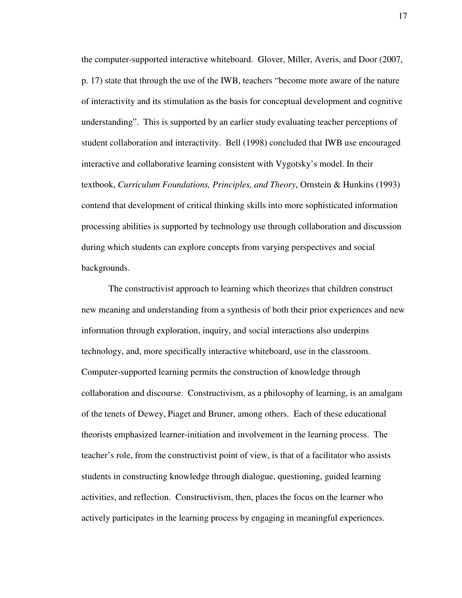the computer-supported interactive whiteboard. Glover, Miller, Averis, and Door (2007, p. 17) state that through the use of the IWB, teachers "become more aware of the nature of interactivity and its stimulation as the basis for conceptual development and cognitive understanding". This is supported by an earlier study evaluating teacher perceptions of student collaboration and interactivity. Bell (1998) concluded that IWB use encouraged interactive and collaborative learning consistent with Vygotsky's model. In their textbook, *Curriculum Foundations, Principles, and Theory*, Ornstein & Hunkins (1993) contend that development of critical thinking skills into more sophisticated information processing abilities is supported by technology use through collaboration and discussion during which students can explore concepts from varying perspectives and social backgrounds.

The constructivist approach to learning which theorizes that children construct new meaning and understanding from a synthesis of both their prior experiences and new information through exploration, inquiry, and social interactions also underpins technology, and, more specifically interactive whiteboard, use in the classroom. Computer-supported learning permits the construction of knowledge through collaboration and discourse. Constructivism, as a philosophy of learning, is an amalgam of the tenets of Dewey, Piaget and Bruner, among others. Each of these educational theorists emphasized learner-initiation and involvement in the learning process. The teacher's role, from the constructivist point of view, is that of a facilitator who assists students in constructing knowledge through dialogue, questioning, guided learning activities, and reflection. Constructivism, then, places the focus on the learner who actively participates in the learning process by engaging in meaningful experiences.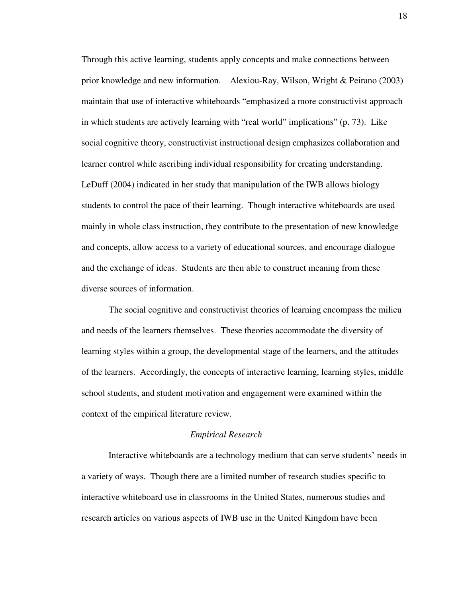Through this active learning, students apply concepts and make connections between prior knowledge and new information. Alexiou-Ray, Wilson, Wright & Peirano (2003) maintain that use of interactive whiteboards "emphasized a more constructivist approach in which students are actively learning with "real world" implications" (p. 73). Like social cognitive theory, constructivist instructional design emphasizes collaboration and learner control while ascribing individual responsibility for creating understanding. LeDuff (2004) indicated in her study that manipulation of the IWB allows biology students to control the pace of their learning. Though interactive whiteboards are used mainly in whole class instruction, they contribute to the presentation of new knowledge and concepts, allow access to a variety of educational sources, and encourage dialogue and the exchange of ideas. Students are then able to construct meaning from these diverse sources of information.

The social cognitive and constructivist theories of learning encompass the milieu and needs of the learners themselves. These theories accommodate the diversity of learning styles within a group, the developmental stage of the learners, and the attitudes of the learners. Accordingly, the concepts of interactive learning, learning styles, middle school students, and student motivation and engagement were examined within the context of the empirical literature review.

#### *Empirical Research*

Interactive whiteboards are a technology medium that can serve students' needs in a variety of ways. Though there are a limited number of research studies specific to interactive whiteboard use in classrooms in the United States, numerous studies and research articles on various aspects of IWB use in the United Kingdom have been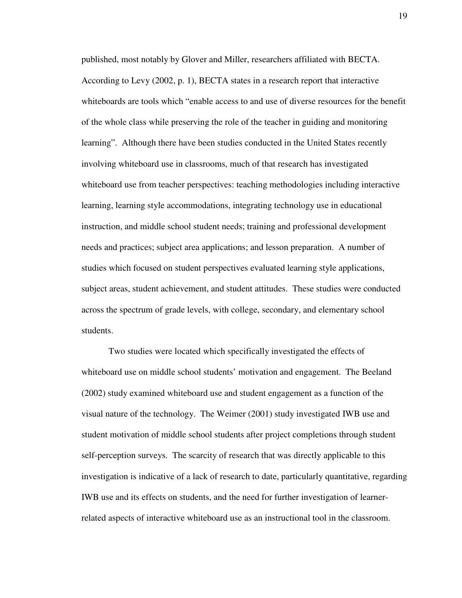published, most notably by Glover and Miller, researchers affiliated with BECTA. According to Levy (2002, p. 1), BECTA states in a research report that interactive whiteboards are tools which "enable access to and use of diverse resources for the benefit of the whole class while preserving the role of the teacher in guiding and monitoring learning". Although there have been studies conducted in the United States recently involving whiteboard use in classrooms, much of that research has investigated whiteboard use from teacher perspectives: teaching methodologies including interactive learning, learning style accommodations, integrating technology use in educational instruction, and middle school student needs; training and professional development needs and practices; subject area applications; and lesson preparation. A number of studies which focused on student perspectives evaluated learning style applications, subject areas, student achievement, and student attitudes. These studies were conducted across the spectrum of grade levels, with college, secondary, and elementary school students.

Two studies were located which specifically investigated the effects of whiteboard use on middle school students' motivation and engagement. The Beeland (2002) study examined whiteboard use and student engagement as a function of the visual nature of the technology. The Weimer (2001) study investigated IWB use and student motivation of middle school students after project completions through student self-perception surveys. The scarcity of research that was directly applicable to this investigation is indicative of a lack of research to date, particularly quantitative, regarding IWB use and its effects on students, and the need for further investigation of learnerrelated aspects of interactive whiteboard use as an instructional tool in the classroom.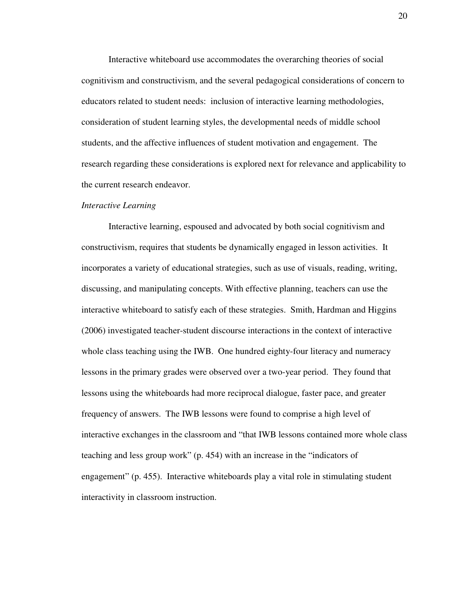Interactive whiteboard use accommodates the overarching theories of social cognitivism and constructivism, and the several pedagogical considerations of concern to educators related to student needs: inclusion of interactive learning methodologies, consideration of student learning styles, the developmental needs of middle school students, and the affective influences of student motivation and engagement. The research regarding these considerations is explored next for relevance and applicability to the current research endeavor.

#### *Interactive Learning*

Interactive learning, espoused and advocated by both social cognitivism and constructivism, requires that students be dynamically engaged in lesson activities. It incorporates a variety of educational strategies, such as use of visuals, reading, writing, discussing, and manipulating concepts. With effective planning, teachers can use the interactive whiteboard to satisfy each of these strategies. Smith, Hardman and Higgins (2006) investigated teacher-student discourse interactions in the context of interactive whole class teaching using the IWB. One hundred eighty-four literacy and numeracy lessons in the primary grades were observed over a two-year period. They found that lessons using the whiteboards had more reciprocal dialogue, faster pace, and greater frequency of answers. The IWB lessons were found to comprise a high level of interactive exchanges in the classroom and "that IWB lessons contained more whole class teaching and less group work" (p. 454) with an increase in the "indicators of engagement" (p. 455). Interactive whiteboards play a vital role in stimulating student interactivity in classroom instruction.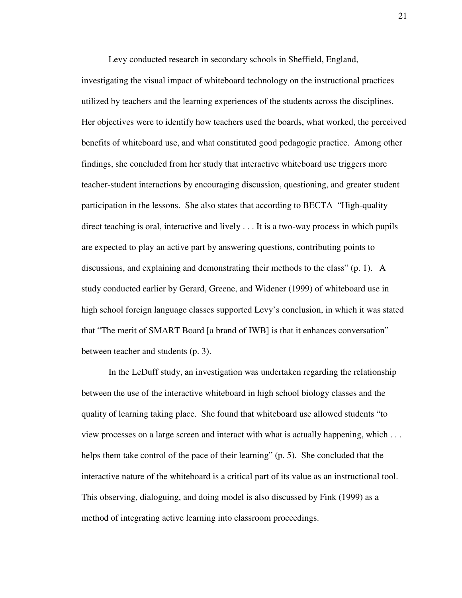Levy conducted research in secondary schools in Sheffield, England,

investigating the visual impact of whiteboard technology on the instructional practices utilized by teachers and the learning experiences of the students across the disciplines. Her objectives were to identify how teachers used the boards, what worked, the perceived benefits of whiteboard use, and what constituted good pedagogic practice. Among other findings, she concluded from her study that interactive whiteboard use triggers more teacher-student interactions by encouraging discussion, questioning, and greater student participation in the lessons. She also states that according to BECTA "High-quality direct teaching is oral, interactive and lively . . . It is a two-way process in which pupils are expected to play an active part by answering questions, contributing points to discussions, and explaining and demonstrating their methods to the class" (p. 1). A study conducted earlier by Gerard, Greene, and Widener (1999) of whiteboard use in high school foreign language classes supported Levy's conclusion, in which it was stated that "The merit of SMART Board [a brand of IWB] is that it enhances conversation" between teacher and students (p. 3).

 In the LeDuff study, an investigation was undertaken regarding the relationship between the use of the interactive whiteboard in high school biology classes and the quality of learning taking place. She found that whiteboard use allowed students "to view processes on a large screen and interact with what is actually happening, which . . . helps them take control of the pace of their learning" (p. 5). She concluded that the interactive nature of the whiteboard is a critical part of its value as an instructional tool. This observing, dialoguing, and doing model is also discussed by Fink (1999) as a method of integrating active learning into classroom proceedings.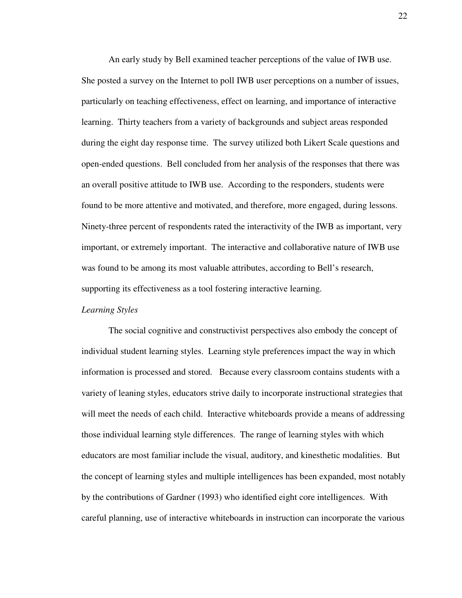An early study by Bell examined teacher perceptions of the value of IWB use. She posted a survey on the Internet to poll IWB user perceptions on a number of issues, particularly on teaching effectiveness, effect on learning, and importance of interactive learning. Thirty teachers from a variety of backgrounds and subject areas responded during the eight day response time. The survey utilized both Likert Scale questions and open-ended questions. Bell concluded from her analysis of the responses that there was an overall positive attitude to IWB use. According to the responders, students were found to be more attentive and motivated, and therefore, more engaged, during lessons. Ninety-three percent of respondents rated the interactivity of the IWB as important, very important, or extremely important. The interactive and collaborative nature of IWB use was found to be among its most valuable attributes, according to Bell's research, supporting its effectiveness as a tool fostering interactive learning.

#### *Learning Styles*

The social cognitive and constructivist perspectives also embody the concept of individual student learning styles. Learning style preferences impact the way in which information is processed and stored. Because every classroom contains students with a variety of leaning styles, educators strive daily to incorporate instructional strategies that will meet the needs of each child. Interactive whiteboards provide a means of addressing those individual learning style differences. The range of learning styles with which educators are most familiar include the visual, auditory, and kinesthetic modalities. But the concept of learning styles and multiple intelligences has been expanded, most notably by the contributions of Gardner (1993) who identified eight core intelligences. With careful planning, use of interactive whiteboards in instruction can incorporate the various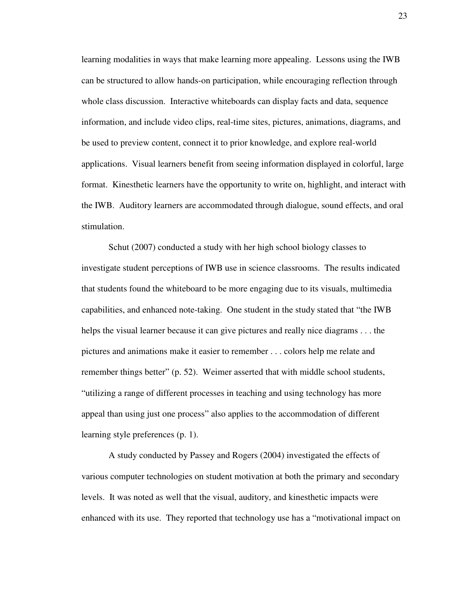learning modalities in ways that make learning more appealing. Lessons using the IWB can be structured to allow hands-on participation, while encouraging reflection through whole class discussion. Interactive whiteboards can display facts and data, sequence information, and include video clips, real-time sites, pictures, animations, diagrams, and be used to preview content, connect it to prior knowledge, and explore real-world applications. Visual learners benefit from seeing information displayed in colorful, large format. Kinesthetic learners have the opportunity to write on, highlight, and interact with the IWB. Auditory learners are accommodated through dialogue, sound effects, and oral stimulation.

Schut (2007) conducted a study with her high school biology classes to investigate student perceptions of IWB use in science classrooms. The results indicated that students found the whiteboard to be more engaging due to its visuals, multimedia capabilities, and enhanced note-taking. One student in the study stated that "the IWB helps the visual learner because it can give pictures and really nice diagrams . . . the pictures and animations make it easier to remember . . . colors help me relate and remember things better" (p. 52). Weimer asserted that with middle school students, "utilizing a range of different processes in teaching and using technology has more appeal than using just one process" also applies to the accommodation of different learning style preferences (p. 1).

A study conducted by Passey and Rogers (2004) investigated the effects of various computer technologies on student motivation at both the primary and secondary levels. It was noted as well that the visual, auditory, and kinesthetic impacts were enhanced with its use. They reported that technology use has a "motivational impact on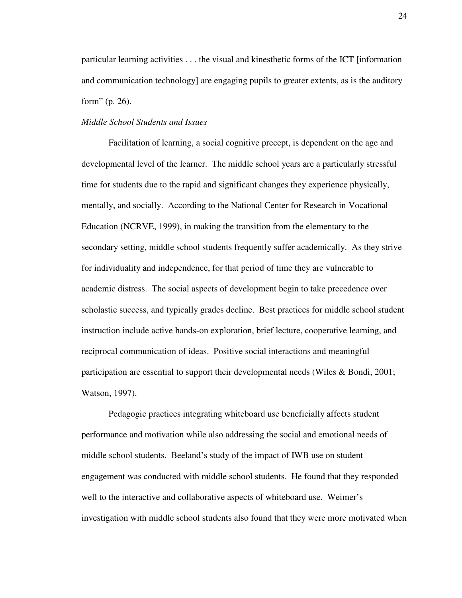particular learning activities . . . the visual and kinesthetic forms of the ICT [information and communication technology] are engaging pupils to greater extents, as is the auditory form" (p. 26).

#### *Middle School Students and Issues*

Facilitation of learning, a social cognitive precept, is dependent on the age and developmental level of the learner. The middle school years are a particularly stressful time for students due to the rapid and significant changes they experience physically, mentally, and socially. According to the National Center for Research in Vocational Education (NCRVE, 1999), in making the transition from the elementary to the secondary setting, middle school students frequently suffer academically. As they strive for individuality and independence, for that period of time they are vulnerable to academic distress. The social aspects of development begin to take precedence over scholastic success, and typically grades decline. Best practices for middle school student instruction include active hands-on exploration, brief lecture, cooperative learning, and reciprocal communication of ideas. Positive social interactions and meaningful participation are essential to support their developmental needs (Wiles & Bondi, 2001; Watson, 1997).

Pedagogic practices integrating whiteboard use beneficially affects student performance and motivation while also addressing the social and emotional needs of middle school students. Beeland's study of the impact of IWB use on student engagement was conducted with middle school students. He found that they responded well to the interactive and collaborative aspects of whiteboard use. Weimer's investigation with middle school students also found that they were more motivated when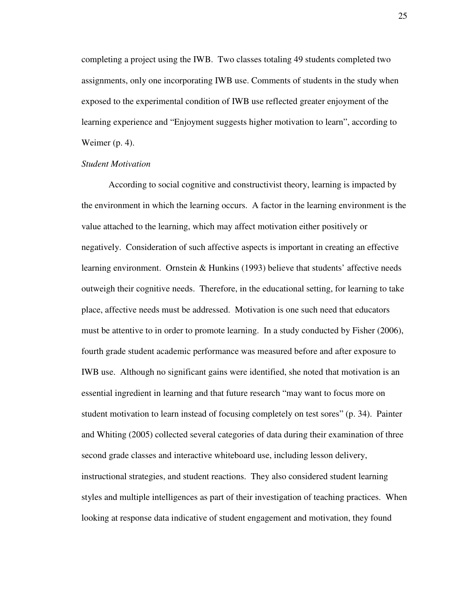completing a project using the IWB. Two classes totaling 49 students completed two assignments, only one incorporating IWB use. Comments of students in the study when exposed to the experimental condition of IWB use reflected greater enjoyment of the learning experience and "Enjoyment suggests higher motivation to learn", according to Weimer (p. 4).

#### *Student Motivation*

According to social cognitive and constructivist theory, learning is impacted by the environment in which the learning occurs. A factor in the learning environment is the value attached to the learning, which may affect motivation either positively or negatively. Consideration of such affective aspects is important in creating an effective learning environment. Ornstein & Hunkins (1993) believe that students' affective needs outweigh their cognitive needs. Therefore, in the educational setting, for learning to take place, affective needs must be addressed. Motivation is one such need that educators must be attentive to in order to promote learning. In a study conducted by Fisher (2006), fourth grade student academic performance was measured before and after exposure to IWB use. Although no significant gains were identified, she noted that motivation is an essential ingredient in learning and that future research "may want to focus more on student motivation to learn instead of focusing completely on test sores" (p. 34). Painter and Whiting (2005) collected several categories of data during their examination of three second grade classes and interactive whiteboard use, including lesson delivery, instructional strategies, and student reactions. They also considered student learning styles and multiple intelligences as part of their investigation of teaching practices. When looking at response data indicative of student engagement and motivation, they found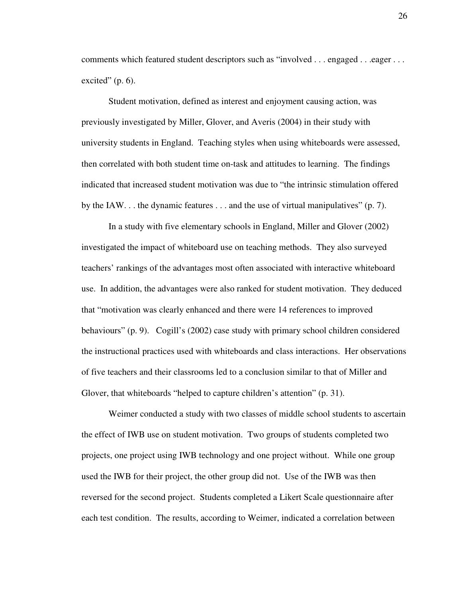comments which featured student descriptors such as "involved . . . engaged . . . eager . . . excited"  $(p. 6)$ .

Student motivation, defined as interest and enjoyment causing action, was previously investigated by Miller, Glover, and Averis (2004) in their study with university students in England. Teaching styles when using whiteboards were assessed, then correlated with both student time on-task and attitudes to learning. The findings indicated that increased student motivation was due to "the intrinsic stimulation offered by the IAW.  $\ldots$  the dynamic features  $\ldots$  and the use of virtual manipulatives" (p. 7).

In a study with five elementary schools in England, Miller and Glover (2002) investigated the impact of whiteboard use on teaching methods. They also surveyed teachers' rankings of the advantages most often associated with interactive whiteboard use. In addition, the advantages were also ranked for student motivation. They deduced that "motivation was clearly enhanced and there were 14 references to improved behaviours" (p. 9). Cogill's (2002) case study with primary school children considered the instructional practices used with whiteboards and class interactions. Her observations of five teachers and their classrooms led to a conclusion similar to that of Miller and Glover, that whiteboards "helped to capture children's attention" (p. 31).

Weimer conducted a study with two classes of middle school students to ascertain the effect of IWB use on student motivation. Two groups of students completed two projects, one project using IWB technology and one project without. While one group used the IWB for their project, the other group did not. Use of the IWB was then reversed for the second project. Students completed a Likert Scale questionnaire after each test condition. The results, according to Weimer, indicated a correlation between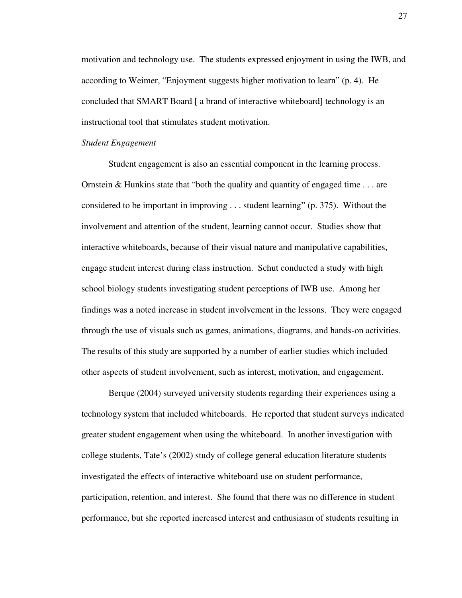motivation and technology use. The students expressed enjoyment in using the IWB, and according to Weimer, "Enjoyment suggests higher motivation to learn" (p. 4). He concluded that SMART Board [ a brand of interactive whiteboard] technology is an instructional tool that stimulates student motivation.

#### *Student Engagement*

Student engagement is also an essential component in the learning process. Ornstein & Hunkins state that "both the quality and quantity of engaged time . . . are considered to be important in improving . . . student learning" (p. 375). Without the involvement and attention of the student, learning cannot occur. Studies show that interactive whiteboards, because of their visual nature and manipulative capabilities, engage student interest during class instruction. Schut conducted a study with high school biology students investigating student perceptions of IWB use. Among her findings was a noted increase in student involvement in the lessons. They were engaged through the use of visuals such as games, animations, diagrams, and hands-on activities. The results of this study are supported by a number of earlier studies which included other aspects of student involvement, such as interest, motivation, and engagement.

Berque (2004) surveyed university students regarding their experiences using a technology system that included whiteboards. He reported that student surveys indicated greater student engagement when using the whiteboard. In another investigation with college students, Tate's (2002) study of college general education literature students investigated the effects of interactive whiteboard use on student performance, participation, retention, and interest. She found that there was no difference in student performance, but she reported increased interest and enthusiasm of students resulting in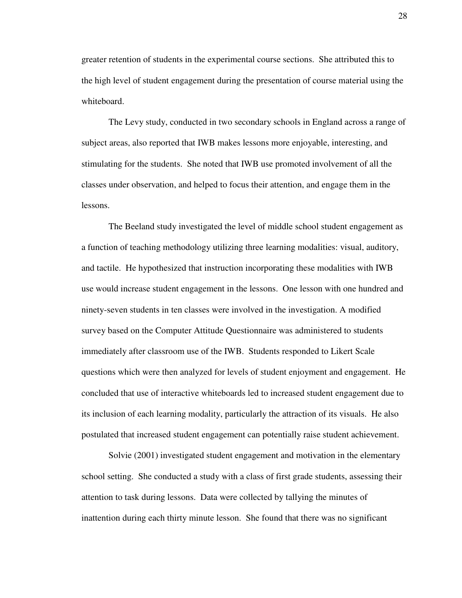greater retention of students in the experimental course sections. She attributed this to the high level of student engagement during the presentation of course material using the whiteboard.

The Levy study, conducted in two secondary schools in England across a range of subject areas, also reported that IWB makes lessons more enjoyable, interesting, and stimulating for the students. She noted that IWB use promoted involvement of all the classes under observation, and helped to focus their attention, and engage them in the lessons.

The Beeland study investigated the level of middle school student engagement as a function of teaching methodology utilizing three learning modalities: visual, auditory, and tactile. He hypothesized that instruction incorporating these modalities with IWB use would increase student engagement in the lessons. One lesson with one hundred and ninety-seven students in ten classes were involved in the investigation. A modified survey based on the Computer Attitude Questionnaire was administered to students immediately after classroom use of the IWB. Students responded to Likert Scale questions which were then analyzed for levels of student enjoyment and engagement. He concluded that use of interactive whiteboards led to increased student engagement due to its inclusion of each learning modality, particularly the attraction of its visuals. He also postulated that increased student engagement can potentially raise student achievement.

Solvie (2001) investigated student engagement and motivation in the elementary school setting. She conducted a study with a class of first grade students, assessing their attention to task during lessons. Data were collected by tallying the minutes of inattention during each thirty minute lesson. She found that there was no significant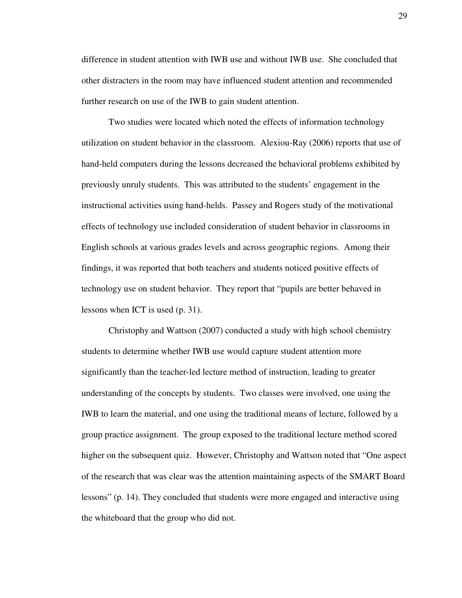difference in student attention with IWB use and without IWB use. She concluded that other distracters in the room may have influenced student attention and recommended further research on use of the IWB to gain student attention.

Two studies were located which noted the effects of information technology utilization on student behavior in the classroom. Alexiou-Ray (2006) reports that use of hand-held computers during the lessons decreased the behavioral problems exhibited by previously unruly students. This was attributed to the students' engagement in the instructional activities using hand-helds. Passey and Rogers study of the motivational effects of technology use included consideration of student behavior in classrooms in English schools at various grades levels and across geographic regions. Among their findings, it was reported that both teachers and students noticed positive effects of technology use on student behavior. They report that "pupils are better behaved in lessons when ICT is used (p. 31).

Christophy and Wattson (2007) conducted a study with high school chemistry students to determine whether IWB use would capture student attention more significantly than the teacher-led lecture method of instruction, leading to greater understanding of the concepts by students. Two classes were involved, one using the IWB to learn the material, and one using the traditional means of lecture, followed by a group practice assignment. The group exposed to the traditional lecture method scored higher on the subsequent quiz. However, Christophy and Wattson noted that "One aspect of the research that was clear was the attention maintaining aspects of the SMART Board lessons" (p. 14). They concluded that students were more engaged and interactive using the whiteboard that the group who did not.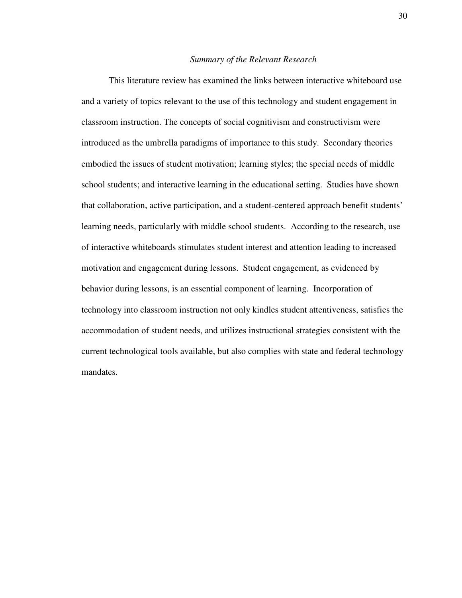### *Summary of the Relevant Research*

This literature review has examined the links between interactive whiteboard use and a variety of topics relevant to the use of this technology and student engagement in classroom instruction. The concepts of social cognitivism and constructivism were introduced as the umbrella paradigms of importance to this study. Secondary theories embodied the issues of student motivation; learning styles; the special needs of middle school students; and interactive learning in the educational setting. Studies have shown that collaboration, active participation, and a student-centered approach benefit students' learning needs, particularly with middle school students. According to the research, use of interactive whiteboards stimulates student interest and attention leading to increased motivation and engagement during lessons. Student engagement, as evidenced by behavior during lessons, is an essential component of learning. Incorporation of technology into classroom instruction not only kindles student attentiveness, satisfies the accommodation of student needs, and utilizes instructional strategies consistent with the current technological tools available, but also complies with state and federal technology mandates.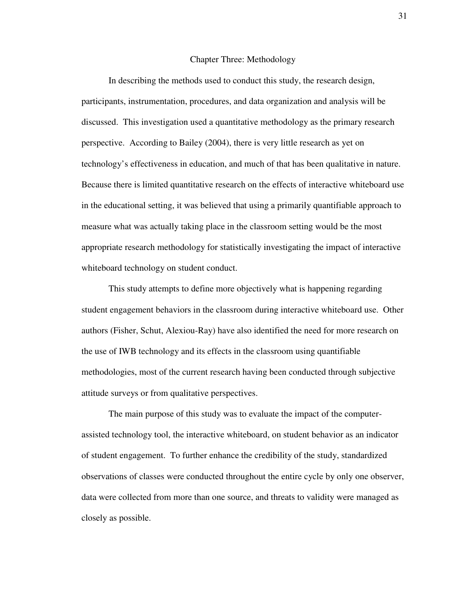#### Chapter Three: Methodology

In describing the methods used to conduct this study, the research design, participants, instrumentation, procedures, and data organization and analysis will be discussed. This investigation used a quantitative methodology as the primary research perspective. According to Bailey (2004), there is very little research as yet on technology's effectiveness in education, and much of that has been qualitative in nature. Because there is limited quantitative research on the effects of interactive whiteboard use in the educational setting, it was believed that using a primarily quantifiable approach to measure what was actually taking place in the classroom setting would be the most appropriate research methodology for statistically investigating the impact of interactive whiteboard technology on student conduct.

This study attempts to define more objectively what is happening regarding student engagement behaviors in the classroom during interactive whiteboard use. Other authors (Fisher, Schut, Alexiou-Ray) have also identified the need for more research on the use of IWB technology and its effects in the classroom using quantifiable methodologies, most of the current research having been conducted through subjective attitude surveys or from qualitative perspectives.

The main purpose of this study was to evaluate the impact of the computerassisted technology tool, the interactive whiteboard, on student behavior as an indicator of student engagement. To further enhance the credibility of the study, standardized observations of classes were conducted throughout the entire cycle by only one observer, data were collected from more than one source, and threats to validity were managed as closely as possible.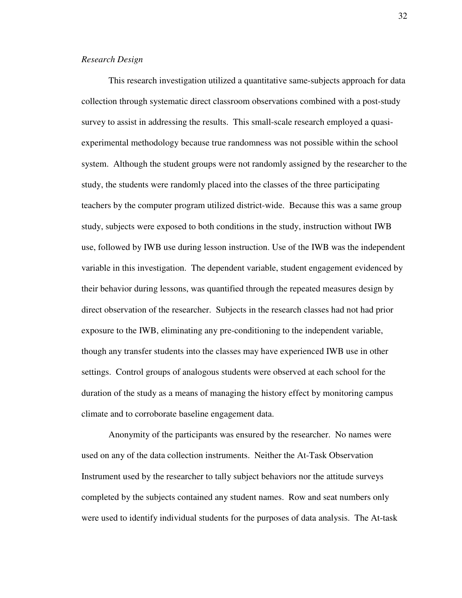### *Research Design*

This research investigation utilized a quantitative same-subjects approach for data collection through systematic direct classroom observations combined with a post-study survey to assist in addressing the results. This small-scale research employed a quasiexperimental methodology because true randomness was not possible within the school system. Although the student groups were not randomly assigned by the researcher to the study, the students were randomly placed into the classes of the three participating teachers by the computer program utilized district-wide. Because this was a same group study, subjects were exposed to both conditions in the study, instruction without IWB use, followed by IWB use during lesson instruction. Use of the IWB was the independent variable in this investigation. The dependent variable, student engagement evidenced by their behavior during lessons, was quantified through the repeated measures design by direct observation of the researcher. Subjects in the research classes had not had prior exposure to the IWB, eliminating any pre-conditioning to the independent variable, though any transfer students into the classes may have experienced IWB use in other settings. Control groups of analogous students were observed at each school for the duration of the study as a means of managing the history effect by monitoring campus climate and to corroborate baseline engagement data.

Anonymity of the participants was ensured by the researcher. No names were used on any of the data collection instruments. Neither the At-Task Observation Instrument used by the researcher to tally subject behaviors nor the attitude surveys completed by the subjects contained any student names. Row and seat numbers only were used to identify individual students for the purposes of data analysis. The At-task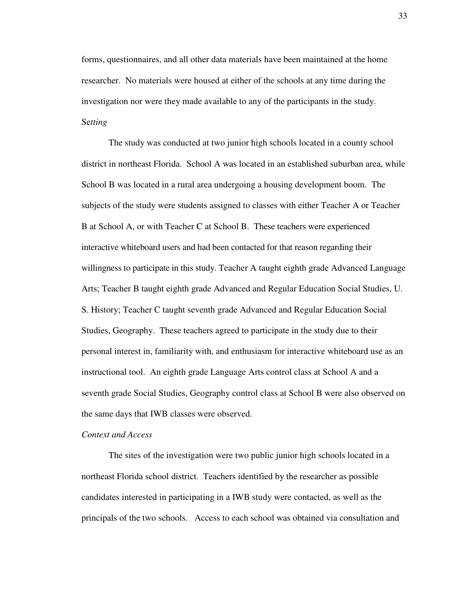forms, questionnaires, and all other data materials have been maintained at the home researcher. No materials were housed at either of the schools at any time during the investigation nor were they made available to any of the participants in the study. Se*tting* 

 The study was conducted at two junior high schools located in a county school district in northeast Florida. School A was located in an established suburban area, while School B was located in a rural area undergoing a housing development boom. The subjects of the study were students assigned to classes with either Teacher A or Teacher B at School A, or with Teacher C at School B. These teachers were experienced interactive whiteboard users and had been contacted for that reason regarding their willingness to participate in this study. Teacher A taught eighth grade Advanced Language Arts; Teacher B taught eighth grade Advanced and Regular Education Social Studies, U. S. History; Teacher C taught seventh grade Advanced and Regular Education Social Studies, Geography. These teachers agreed to participate in the study due to their personal interest in, familiarity with, and enthusiasm for interactive whiteboard use as an instructional tool. An eighth grade Language Arts control class at School A and a seventh grade Social Studies, Geography control class at School B were also observed on the same days that IWB classes were observed.

## *Context and Access*

The sites of the investigation were two public junior high schools located in a northeast Florida school district. Teachers identified by the researcher as possible candidates interested in participating in a IWB study were contacted, as well as the principals of the two schools. Access to each school was obtained via consultation and

33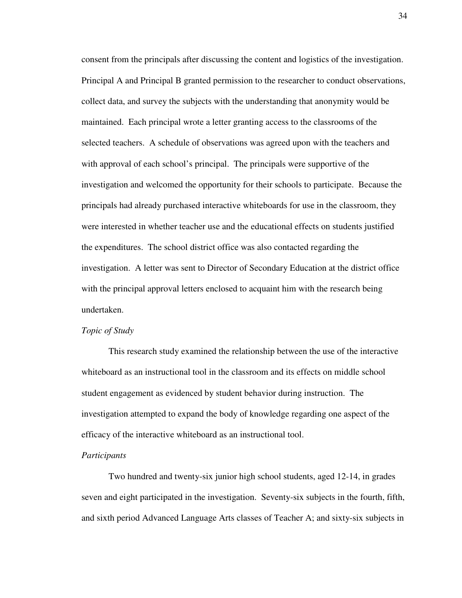consent from the principals after discussing the content and logistics of the investigation. Principal A and Principal B granted permission to the researcher to conduct observations, collect data, and survey the subjects with the understanding that anonymity would be maintained. Each principal wrote a letter granting access to the classrooms of the selected teachers. A schedule of observations was agreed upon with the teachers and with approval of each school's principal. The principals were supportive of the investigation and welcomed the opportunity for their schools to participate. Because the principals had already purchased interactive whiteboards for use in the classroom, they were interested in whether teacher use and the educational effects on students justified the expenditures. The school district office was also contacted regarding the investigation. A letter was sent to Director of Secondary Education at the district office with the principal approval letters enclosed to acquaint him with the research being undertaken.

### *Topic of Study*

This research study examined the relationship between the use of the interactive whiteboard as an instructional tool in the classroom and its effects on middle school student engagement as evidenced by student behavior during instruction. The investigation attempted to expand the body of knowledge regarding one aspect of the efficacy of the interactive whiteboard as an instructional tool.

#### *Participants*

Two hundred and twenty-six junior high school students, aged 12-14, in grades seven and eight participated in the investigation. Seventy-six subjects in the fourth, fifth, and sixth period Advanced Language Arts classes of Teacher A; and sixty-six subjects in

34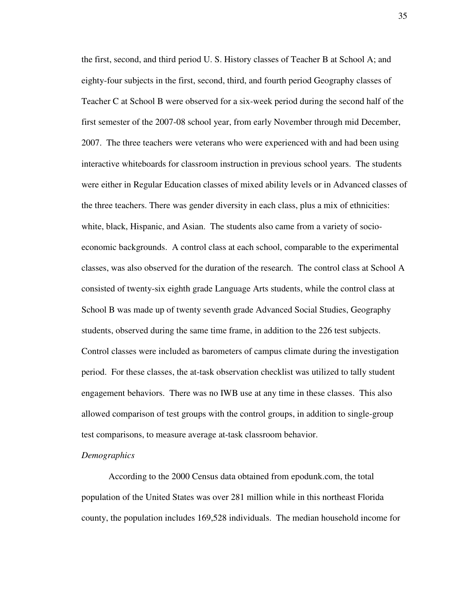the first, second, and third period U. S. History classes of Teacher B at School A; and eighty-four subjects in the first, second, third, and fourth period Geography classes of Teacher C at School B were observed for a six-week period during the second half of the first semester of the 2007-08 school year, from early November through mid December, 2007. The three teachers were veterans who were experienced with and had been using interactive whiteboards for classroom instruction in previous school years. The students were either in Regular Education classes of mixed ability levels or in Advanced classes of the three teachers. There was gender diversity in each class, plus a mix of ethnicities: white, black, Hispanic, and Asian. The students also came from a variety of socioeconomic backgrounds. A control class at each school, comparable to the experimental classes, was also observed for the duration of the research. The control class at School A consisted of twenty-six eighth grade Language Arts students, while the control class at School B was made up of twenty seventh grade Advanced Social Studies, Geography students, observed during the same time frame, in addition to the 226 test subjects. Control classes were included as barometers of campus climate during the investigation period. For these classes, the at-task observation checklist was utilized to tally student engagement behaviors. There was no IWB use at any time in these classes. This also allowed comparison of test groups with the control groups, in addition to single-group test comparisons, to measure average at-task classroom behavior.

# *Demographics*

According to the 2000 Census data obtained from epodunk.com, the total population of the United States was over 281 million while in this northeast Florida county, the population includes 169,528 individuals. The median household income for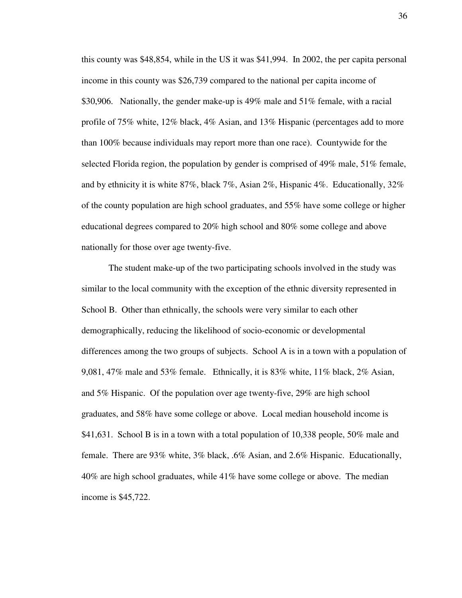this county was \$48,854, while in the US it was \$41,994. In 2002, the per capita personal income in this county was \$26,739 compared to the national per capita income of \$30,906. Nationally, the gender make-up is 49% male and 51% female, with a racial profile of 75% white, 12% black, 4% Asian, and 13% Hispanic (percentages add to more than 100% because individuals may report more than one race). Countywide for the selected Florida region, the population by gender is comprised of 49% male, 51% female, and by ethnicity it is white 87%, black 7%, Asian 2%, Hispanic 4%. Educationally, 32% of the county population are high school graduates, and 55% have some college or higher educational degrees compared to 20% high school and 80% some college and above nationally for those over age twenty-five.

The student make-up of the two participating schools involved in the study was similar to the local community with the exception of the ethnic diversity represented in School B. Other than ethnically, the schools were very similar to each other demographically, reducing the likelihood of socio-economic or developmental differences among the two groups of subjects. School A is in a town with a population of 9,081, 47% male and 53% female. Ethnically, it is 83% white, 11% black, 2% Asian, and 5% Hispanic. Of the population over age twenty-five, 29% are high school graduates, and 58% have some college or above. Local median household income is \$41,631. School B is in a town with a total population of 10,338 people, 50% male and female. There are 93% white, 3% black, .6% Asian, and 2.6% Hispanic. Educationally, 40% are high school graduates, while 41% have some college or above. The median income is \$45,722.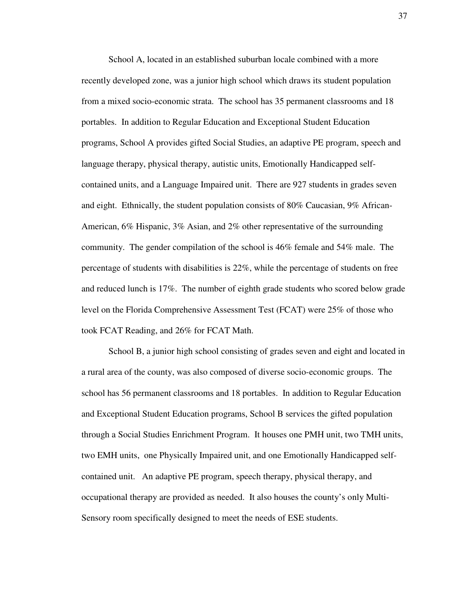School A, located in an established suburban locale combined with a more recently developed zone, was a junior high school which draws its student population from a mixed socio-economic strata. The school has 35 permanent classrooms and 18 portables. In addition to Regular Education and Exceptional Student Education programs, School A provides gifted Social Studies, an adaptive PE program, speech and language therapy, physical therapy, autistic units, Emotionally Handicapped selfcontained units, and a Language Impaired unit. There are 927 students in grades seven and eight. Ethnically, the student population consists of 80% Caucasian, 9% African-American, 6% Hispanic, 3% Asian, and 2% other representative of the surrounding community. The gender compilation of the school is 46% female and 54% male. The percentage of students with disabilities is 22%, while the percentage of students on free and reduced lunch is 17%. The number of eighth grade students who scored below grade level on the Florida Comprehensive Assessment Test (FCAT) were 25% of those who took FCAT Reading, and 26% for FCAT Math.

School B, a junior high school consisting of grades seven and eight and located in a rural area of the county, was also composed of diverse socio-economic groups. The school has 56 permanent classrooms and 18 portables. In addition to Regular Education and Exceptional Student Education programs, School B services the gifted population through a Social Studies Enrichment Program. It houses one PMH unit, two TMH units, two EMH units, one Physically Impaired unit, and one Emotionally Handicapped selfcontained unit. An adaptive PE program, speech therapy, physical therapy, and occupational therapy are provided as needed. It also houses the county's only Multi-Sensory room specifically designed to meet the needs of ESE students.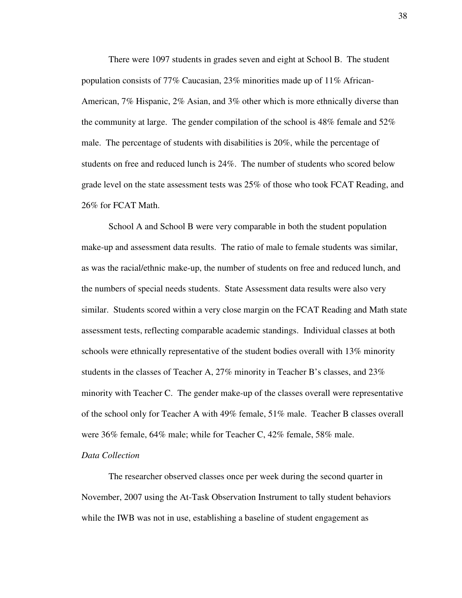There were 1097 students in grades seven and eight at School B. The student population consists of 77% Caucasian, 23% minorities made up of 11% African-American, 7% Hispanic, 2% Asian, and 3% other which is more ethnically diverse than the community at large. The gender compilation of the school is  $48\%$  female and  $52\%$ male. The percentage of students with disabilities is 20%, while the percentage of students on free and reduced lunch is 24%. The number of students who scored below grade level on the state assessment tests was 25% of those who took FCAT Reading, and 26% for FCAT Math.

School A and School B were very comparable in both the student population make-up and assessment data results. The ratio of male to female students was similar, as was the racial/ethnic make-up, the number of students on free and reduced lunch, and the numbers of special needs students. State Assessment data results were also very similar. Students scored within a very close margin on the FCAT Reading and Math state assessment tests, reflecting comparable academic standings. Individual classes at both schools were ethnically representative of the student bodies overall with 13% minority students in the classes of Teacher A, 27% minority in Teacher B's classes, and 23% minority with Teacher C. The gender make-up of the classes overall were representative of the school only for Teacher A with 49% female, 51% male. Teacher B classes overall were 36% female, 64% male; while for Teacher C, 42% female, 58% male.

## *Data Collection*

The researcher observed classes once per week during the second quarter in November, 2007 using the At-Task Observation Instrument to tally student behaviors while the IWB was not in use, establishing a baseline of student engagement as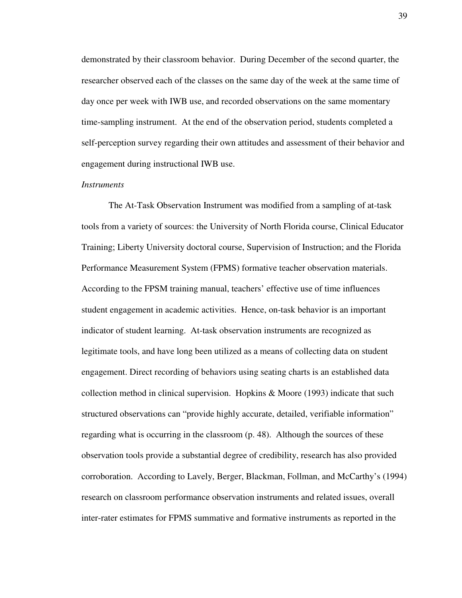demonstrated by their classroom behavior. During December of the second quarter, the researcher observed each of the classes on the same day of the week at the same time of day once per week with IWB use, and recorded observations on the same momentary time-sampling instrument. At the end of the observation period, students completed a self-perception survey regarding their own attitudes and assessment of their behavior and engagement during instructional IWB use.

### *Instruments*

The At-Task Observation Instrument was modified from a sampling of at-task tools from a variety of sources: the University of North Florida course, Clinical Educator Training; Liberty University doctoral course, Supervision of Instruction; and the Florida Performance Measurement System (FPMS) formative teacher observation materials. According to the FPSM training manual, teachers' effective use of time influences student engagement in academic activities. Hence, on-task behavior is an important indicator of student learning. At-task observation instruments are recognized as legitimate tools, and have long been utilized as a means of collecting data on student engagement. Direct recording of behaviors using seating charts is an established data collection method in clinical supervision. Hopkins & Moore (1993) indicate that such structured observations can "provide highly accurate, detailed, verifiable information" regarding what is occurring in the classroom (p. 48). Although the sources of these observation tools provide a substantial degree of credibility, research has also provided corroboration. According to Lavely, Berger, Blackman, Follman, and McCarthy's (1994) research on classroom performance observation instruments and related issues, overall inter-rater estimates for FPMS summative and formative instruments as reported in the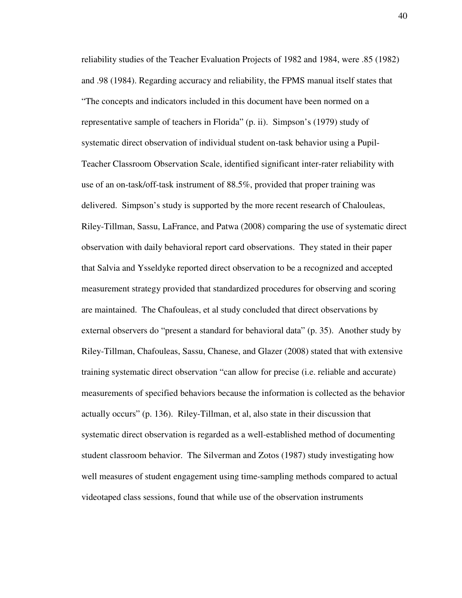reliability studies of the Teacher Evaluation Projects of 1982 and 1984, were .85 (1982) and .98 (1984). Regarding accuracy and reliability, the FPMS manual itself states that "The concepts and indicators included in this document have been normed on a representative sample of teachers in Florida" (p. ii). Simpson's (1979) study of systematic direct observation of individual student on-task behavior using a Pupil-Teacher Classroom Observation Scale, identified significant inter-rater reliability with use of an on-task/off-task instrument of 88.5%, provided that proper training was delivered. Simpson's study is supported by the more recent research of Chalouleas, Riley-Tillman, Sassu, LaFrance, and Patwa (2008) comparing the use of systematic direct observation with daily behavioral report card observations. They stated in their paper that Salvia and Ysseldyke reported direct observation to be a recognized and accepted measurement strategy provided that standardized procedures for observing and scoring are maintained. The Chafouleas, et al study concluded that direct observations by external observers do "present a standard for behavioral data" (p. 35). Another study by Riley-Tillman, Chafouleas, Sassu, Chanese, and Glazer (2008) stated that with extensive training systematic direct observation "can allow for precise (i.e. reliable and accurate) measurements of specified behaviors because the information is collected as the behavior actually occurs" (p. 136). Riley-Tillman, et al, also state in their discussion that systematic direct observation is regarded as a well-established method of documenting student classroom behavior. The Silverman and Zotos (1987) study investigating how well measures of student engagement using time-sampling methods compared to actual videotaped class sessions, found that while use of the observation instruments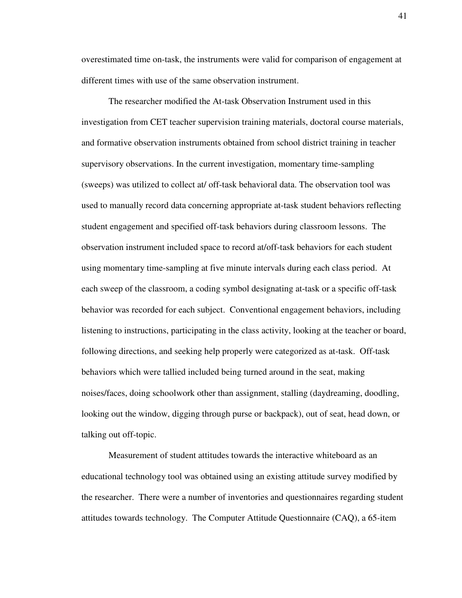overestimated time on-task, the instruments were valid for comparison of engagement at different times with use of the same observation instrument.

The researcher modified the At-task Observation Instrument used in this investigation from CET teacher supervision training materials, doctoral course materials, and formative observation instruments obtained from school district training in teacher supervisory observations. In the current investigation, momentary time-sampling (sweeps) was utilized to collect at/ off-task behavioral data. The observation tool was used to manually record data concerning appropriate at-task student behaviors reflecting student engagement and specified off-task behaviors during classroom lessons. The observation instrument included space to record at/off-task behaviors for each student using momentary time-sampling at five minute intervals during each class period. At each sweep of the classroom, a coding symbol designating at-task or a specific off-task behavior was recorded for each subject. Conventional engagement behaviors, including listening to instructions, participating in the class activity, looking at the teacher or board, following directions, and seeking help properly were categorized as at-task. Off-task behaviors which were tallied included being turned around in the seat, making noises/faces, doing schoolwork other than assignment, stalling (daydreaming, doodling, looking out the window, digging through purse or backpack), out of seat, head down, or talking out off-topic.

Measurement of student attitudes towards the interactive whiteboard as an educational technology tool was obtained using an existing attitude survey modified by the researcher. There were a number of inventories and questionnaires regarding student attitudes towards technology. The Computer Attitude Questionnaire (CAQ), a 65-item

41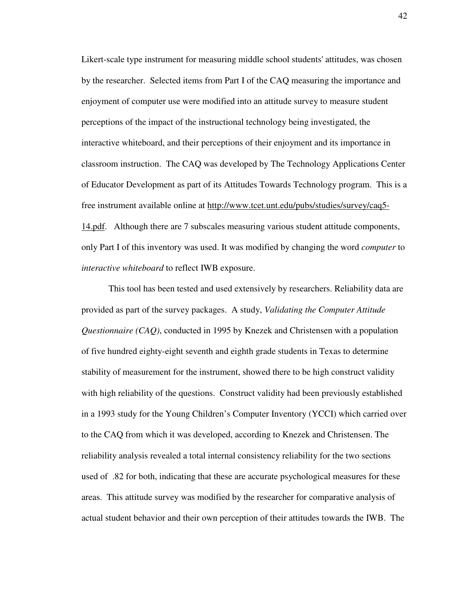Likert-scale type instrument for measuring middle school students' attitudes, was chosen by the researcher. Selected items from Part I of the CAQ measuring the importance and enjoyment of computer use were modified into an attitude survey to measure student perceptions of the impact of the instructional technology being investigated, the interactive whiteboard, and their perceptions of their enjoyment and its importance in classroom instruction. The CAQ was developed by The Technology Applications Center of Educator Development as part of its Attitudes Towards Technology program. This is a free instrument available online at http://www.tcet.unt.edu/pubs/studies/survey/caq5- 14.pdf. Although there are 7 subscales measuring various student attitude components, only Part I of this inventory was used. It was modified by changing the word *computer* to *interactive whiteboard* to reflect IWB exposure.

This tool has been tested and used extensively by researchers. Reliability data are provided as part of the survey packages. A study, *Validating the Computer Attitude Questionnaire (CAQ)*, conducted in 1995 by Knezek and Christensen with a population of five hundred eighty-eight seventh and eighth grade students in Texas to determine stability of measurement for the instrument, showed there to be high construct validity with high reliability of the questions. Construct validity had been previously established in a 1993 study for the Young Children's Computer Inventory (YCCI) which carried over to the CAQ from which it was developed, according to Knezek and Christensen. The reliability analysis revealed a total internal consistency reliability for the two sections used of .82 for both, indicating that these are accurate psychological measures for these areas. This attitude survey was modified by the researcher for comparative analysis of actual student behavior and their own perception of their attitudes towards the IWB. The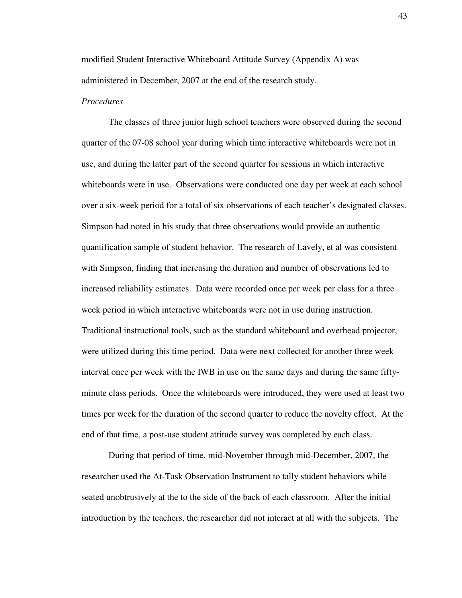modified Student Interactive Whiteboard Attitude Survey (Appendix A) was administered in December, 2007 at the end of the research study.

## *Procedures*

The classes of three junior high school teachers were observed during the second quarter of the 07-08 school year during which time interactive whiteboards were not in use, and during the latter part of the second quarter for sessions in which interactive whiteboards were in use. Observations were conducted one day per week at each school over a six-week period for a total of six observations of each teacher's designated classes. Simpson had noted in his study that three observations would provide an authentic quantification sample of student behavior. The research of Lavely, et al was consistent with Simpson, finding that increasing the duration and number of observations led to increased reliability estimates. Data were recorded once per week per class for a three week period in which interactive whiteboards were not in use during instruction. Traditional instructional tools, such as the standard whiteboard and overhead projector, were utilized during this time period. Data were next collected for another three week interval once per week with the IWB in use on the same days and during the same fiftyminute class periods. Once the whiteboards were introduced, they were used at least two times per week for the duration of the second quarter to reduce the novelty effect. At the end of that time, a post-use student attitude survey was completed by each class.

During that period of time, mid-November through mid-December, 2007, the researcher used the At-Task Observation Instrument to tally student behaviors while seated unobtrusively at the to the side of the back of each classroom. After the initial introduction by the teachers, the researcher did not interact at all with the subjects. The

43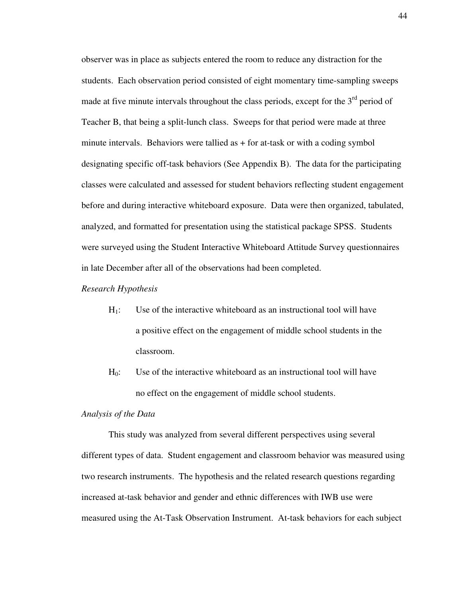observer was in place as subjects entered the room to reduce any distraction for the students. Each observation period consisted of eight momentary time-sampling sweeps made at five minute intervals throughout the class periods, except for the  $3<sup>rd</sup>$  period of Teacher B, that being a split-lunch class. Sweeps for that period were made at three minute intervals. Behaviors were tallied as  $+$  for at-task or with a coding symbol designating specific off-task behaviors (See Appendix B). The data for the participating classes were calculated and assessed for student behaviors reflecting student engagement before and during interactive whiteboard exposure. Data were then organized, tabulated, analyzed, and formatted for presentation using the statistical package SPSS. Students were surveyed using the Student Interactive Whiteboard Attitude Survey questionnaires in late December after all of the observations had been completed.

*Research Hypothesis* 

- $H<sub>1</sub>$ : Use of the interactive whiteboard as an instructional tool will have a positive effect on the engagement of middle school students in the classroom.
- $H<sub>0</sub>$ : Use of the interactive whiteboard as an instructional tool will have no effect on the engagement of middle school students.

#### *Analysis of the Data*

This study was analyzed from several different perspectives using several different types of data. Student engagement and classroom behavior was measured using two research instruments. The hypothesis and the related research questions regarding increased at-task behavior and gender and ethnic differences with IWB use were measured using the At-Task Observation Instrument. At-task behaviors for each subject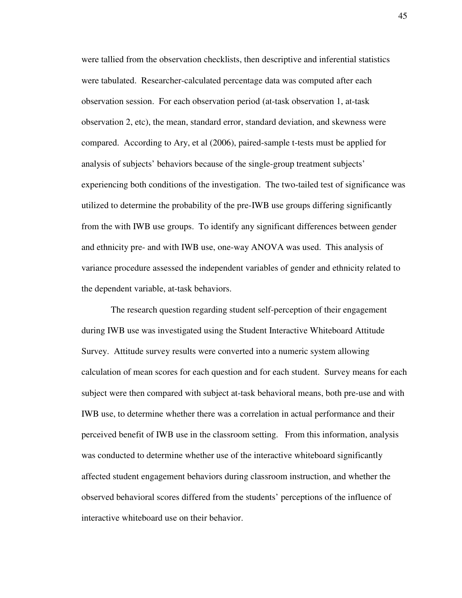were tallied from the observation checklists, then descriptive and inferential statistics were tabulated. Researcher-calculated percentage data was computed after each observation session. For each observation period (at-task observation 1, at-task observation 2, etc), the mean, standard error, standard deviation, and skewness were compared. According to Ary, et al (2006), paired-sample t-tests must be applied for analysis of subjects' behaviors because of the single-group treatment subjects' experiencing both conditions of the investigation. The two-tailed test of significance was utilized to determine the probability of the pre-IWB use groups differing significantly from the with IWB use groups. To identify any significant differences between gender and ethnicity pre- and with IWB use, one-way ANOVA was used. This analysis of variance procedure assessed the independent variables of gender and ethnicity related to the dependent variable, at-task behaviors.

 The research question regarding student self-perception of their engagement during IWB use was investigated using the Student Interactive Whiteboard Attitude Survey. Attitude survey results were converted into a numeric system allowing calculation of mean scores for each question and for each student. Survey means for each subject were then compared with subject at-task behavioral means, both pre-use and with IWB use, to determine whether there was a correlation in actual performance and their perceived benefit of IWB use in the classroom setting. From this information, analysis was conducted to determine whether use of the interactive whiteboard significantly affected student engagement behaviors during classroom instruction, and whether the observed behavioral scores differed from the students' perceptions of the influence of interactive whiteboard use on their behavior.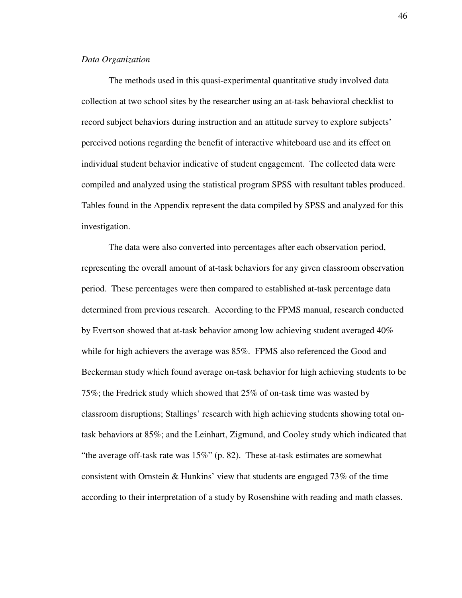### *Data Organization*

The methods used in this quasi-experimental quantitative study involved data collection at two school sites by the researcher using an at-task behavioral checklist to record subject behaviors during instruction and an attitude survey to explore subjects' perceived notions regarding the benefit of interactive whiteboard use and its effect on individual student behavior indicative of student engagement. The collected data were compiled and analyzed using the statistical program SPSS with resultant tables produced. Tables found in the Appendix represent the data compiled by SPSS and analyzed for this investigation.

The data were also converted into percentages after each observation period, representing the overall amount of at-task behaviors for any given classroom observation period. These percentages were then compared to established at-task percentage data determined from previous research. According to the FPMS manual, research conducted by Evertson showed that at-task behavior among low achieving student averaged 40% while for high achievers the average was 85%. FPMS also referenced the Good and Beckerman study which found average on-task behavior for high achieving students to be 75%; the Fredrick study which showed that 25% of on-task time was wasted by classroom disruptions; Stallings' research with high achieving students showing total ontask behaviors at 85%; and the Leinhart, Zigmund, and Cooley study which indicated that "the average off-task rate was 15%" (p. 82). These at-task estimates are somewhat consistent with Ornstein & Hunkins' view that students are engaged  $73\%$  of the time according to their interpretation of a study by Rosenshine with reading and math classes.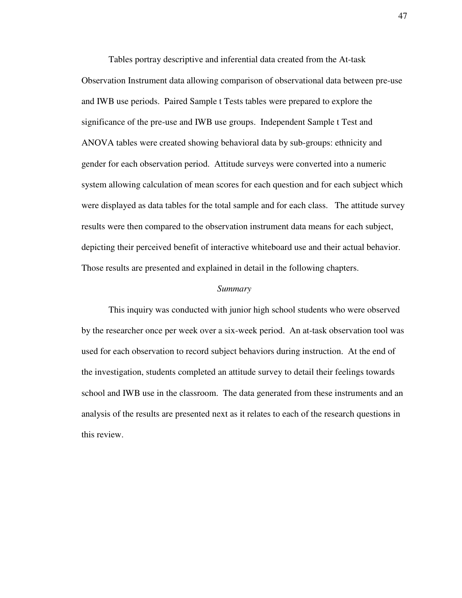Tables portray descriptive and inferential data created from the At-task Observation Instrument data allowing comparison of observational data between pre-use and IWB use periods. Paired Sample t Tests tables were prepared to explore the significance of the pre-use and IWB use groups. Independent Sample t Test and ANOVA tables were created showing behavioral data by sub-groups: ethnicity and gender for each observation period. Attitude surveys were converted into a numeric system allowing calculation of mean scores for each question and for each subject which were displayed as data tables for the total sample and for each class. The attitude survey results were then compared to the observation instrument data means for each subject, depicting their perceived benefit of interactive whiteboard use and their actual behavior. Those results are presented and explained in detail in the following chapters.

#### *Summary*

 This inquiry was conducted with junior high school students who were observed by the researcher once per week over a six-week period. An at-task observation tool was used for each observation to record subject behaviors during instruction. At the end of the investigation, students completed an attitude survey to detail their feelings towards school and IWB use in the classroom. The data generated from these instruments and an analysis of the results are presented next as it relates to each of the research questions in this review.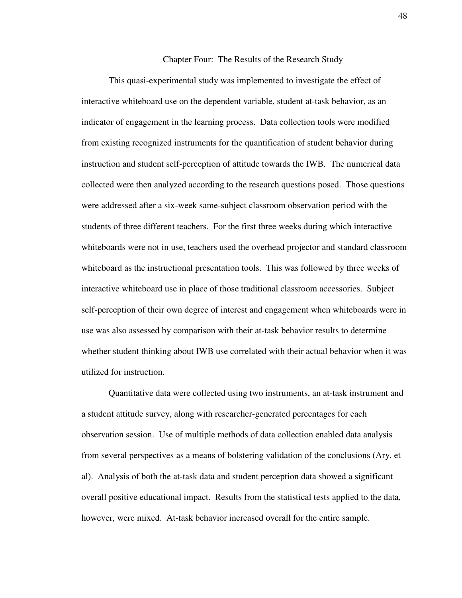#### Chapter Four: The Results of the Research Study

 This quasi-experimental study was implemented to investigate the effect of interactive whiteboard use on the dependent variable, student at-task behavior, as an indicator of engagement in the learning process. Data collection tools were modified from existing recognized instruments for the quantification of student behavior during instruction and student self-perception of attitude towards the IWB. The numerical data collected were then analyzed according to the research questions posed. Those questions were addressed after a six-week same-subject classroom observation period with the students of three different teachers. For the first three weeks during which interactive whiteboards were not in use, teachers used the overhead projector and standard classroom whiteboard as the instructional presentation tools. This was followed by three weeks of interactive whiteboard use in place of those traditional classroom accessories. Subject self-perception of their own degree of interest and engagement when whiteboards were in use was also assessed by comparison with their at-task behavior results to determine whether student thinking about IWB use correlated with their actual behavior when it was utilized for instruction.

 Quantitative data were collected using two instruments, an at-task instrument and a student attitude survey, along with researcher-generated percentages for each observation session. Use of multiple methods of data collection enabled data analysis from several perspectives as a means of bolstering validation of the conclusions (Ary, et al). Analysis of both the at-task data and student perception data showed a significant overall positive educational impact. Results from the statistical tests applied to the data, however, were mixed. At-task behavior increased overall for the entire sample.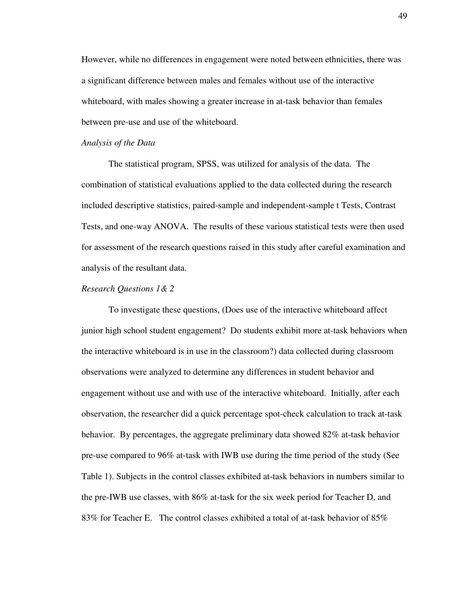However, while no differences in engagement were noted between ethnicities, there was a significant difference between males and females without use of the interactive whiteboard, with males showing a greater increase in at-task behavior than females between pre-use and use of the whiteboard.

#### *Analysis of the Data*

The statistical program, SPSS, was utilized for analysis of the data. The combination of statistical evaluations applied to the data collected during the research included descriptive statistics, paired-sample and independent-sample t Tests, Contrast Tests, and one-way ANOVA. The results of these various statistical tests were then used for assessment of the research questions raised in this study after careful examination and analysis of the resultant data.

### *Research Questions 1& 2*

 To investigate these questions, (Does use of the interactive whiteboard affect junior high school student engagement? Do students exhibit more at-task behaviors when the interactive whiteboard is in use in the classroom?) data collected during classroom observations were analyzed to determine any differences in student behavior and engagement without use and with use of the interactive whiteboard. Initially, after each observation, the researcher did a quick percentage spot-check calculation to track at-task behavior. By percentages, the aggregate preliminary data showed 82% at-task behavior pre-use compared to 96% at-task with IWB use during the time period of the study (See Table 1). Subjects in the control classes exhibited at-task behaviors in numbers similar to the pre-IWB use classes, with 86% at-task for the six week period for Teacher D, and 83% for Teacher E. The control classes exhibited a total of at-task behavior of 85%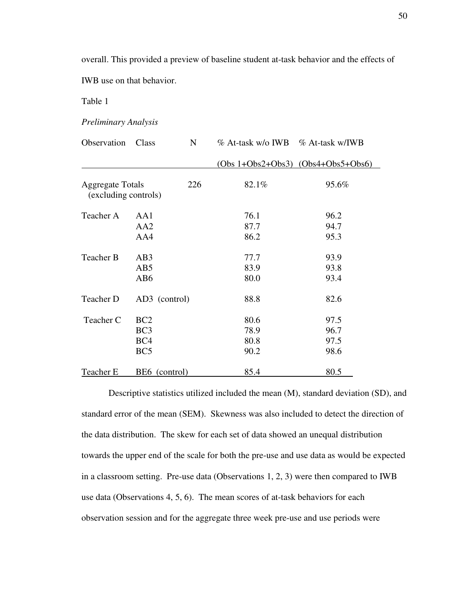overall. This provided a preview of baseline student at-task behavior and the effects of

IWB use on that behavior.

Table 1

*Preliminary Analysis* 

| Observation                                     | Class                                                        | N   | % At-task w/o IWB % At-task w/IWB |                              |
|-------------------------------------------------|--------------------------------------------------------------|-----|-----------------------------------|------------------------------|
|                                                 |                                                              |     | $(Obs 1+Obs2+Obs3)$               | $(Obs4+Obs5+Obs6)$           |
| <b>Aggregate Totals</b><br>(excluding controls) |                                                              | 226 | 82.1%                             | 95.6%                        |
| Teacher A                                       | AA1<br>AA2<br>AA4                                            |     | 76.1<br>87.7<br>86.2              | 96.2<br>94.7<br>95.3         |
| Teacher B                                       | AB <sub>3</sub><br>AB5<br>AB6                                |     | 77.7<br>83.9<br>80.0              | 93.9<br>93.8<br>93.4         |
| Teacher D                                       | AD3 (control)                                                |     | 88.8                              | 82.6                         |
| Teacher C                                       | BC <sub>2</sub><br>BC <sub>3</sub><br>BC4<br>BC <sub>5</sub> |     | 80.6<br>78.9<br>80.8<br>90.2      | 97.5<br>96.7<br>97.5<br>98.6 |
| <b>Teacher E</b>                                | BE6 (control)                                                |     | 85.4                              | 80.5                         |

Descriptive statistics utilized included the mean (M), standard deviation (SD), and standard error of the mean (SEM). Skewness was also included to detect the direction of the data distribution. The skew for each set of data showed an unequal distribution towards the upper end of the scale for both the pre-use and use data as would be expected in a classroom setting. Pre-use data (Observations 1, 2, 3) were then compared to IWB use data (Observations 4, 5, 6). The mean scores of at-task behaviors for each observation session and for the aggregate three week pre-use and use periods were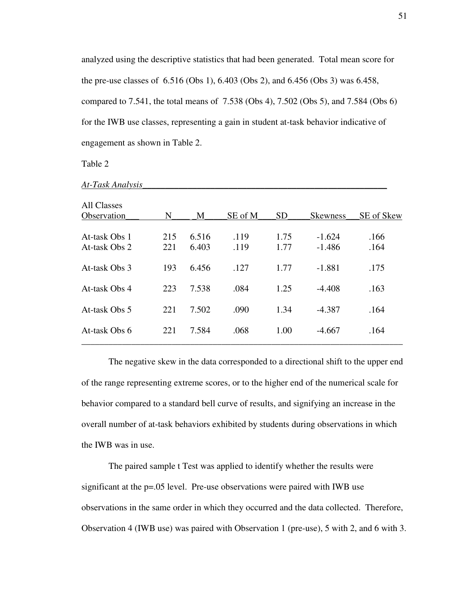analyzed using the descriptive statistics that had been generated. Total mean score for the pre-use classes of 6.516 (Obs 1), 6.403 (Obs 2), and 6.456 (Obs 3) was 6.458, compared to 7.541, the total means of 7.538 (Obs 4), 7.502 (Obs 5), and 7.584 (Obs 6) for the IWB use classes, representing a gain in student at-task behavior indicative of engagement as shown in Table 2.

Table 2

| <b>All Classes</b> |     |       |         |           |                 |            |
|--------------------|-----|-------|---------|-----------|-----------------|------------|
| Observation        | N   | M     | SE of M | <b>SD</b> | <b>Skewness</b> | SE of Skew |
| At-task Obs 1      | 215 | 6.516 | .119    | 1.75      | $-1.624$        | .166       |
| At-task Obs 2      | 221 | 6.403 | .119    | 1.77      | $-1.486$        | .164       |
|                    |     |       |         |           |                 |            |
| At-task Obs 3      | 193 | 6.456 | .127    | 1.77      | $-1.881$        | .175       |
|                    |     |       |         |           |                 |            |
| At-task Obs 4      | 223 | 7.538 | .084    | 1.25      | $-4.408$        | .163       |
|                    |     |       |         |           |                 |            |
| At-task Obs 5      | 221 | 7.502 | .090    | 1.34      | $-4.387$        | .164       |
|                    |     |       |         |           |                 |            |
| At-task Obs 6      | 221 | 7.584 | .068    | 1.00      | $-4.667$        | .164       |
|                    |     |       |         |           |                 |            |

*At-Task Analysis\_\_\_\_\_\_\_\_\_\_\_\_\_\_\_\_\_\_\_\_\_\_\_\_\_\_\_\_\_\_\_\_\_\_\_\_\_\_\_\_\_\_\_\_\_\_\_\_\_\_\_\_\_\_*

The negative skew in the data corresponded to a directional shift to the upper end of the range representing extreme scores, or to the higher end of the numerical scale for behavior compared to a standard bell curve of results, and signifying an increase in the overall number of at-task behaviors exhibited by students during observations in which the IWB was in use.

The paired sample t Test was applied to identify whether the results were significant at the p=.05 level. Pre-use observations were paired with IWB use observations in the same order in which they occurred and the data collected. Therefore, Observation 4 (IWB use) was paired with Observation 1 (pre-use), 5 with 2, and 6 with 3.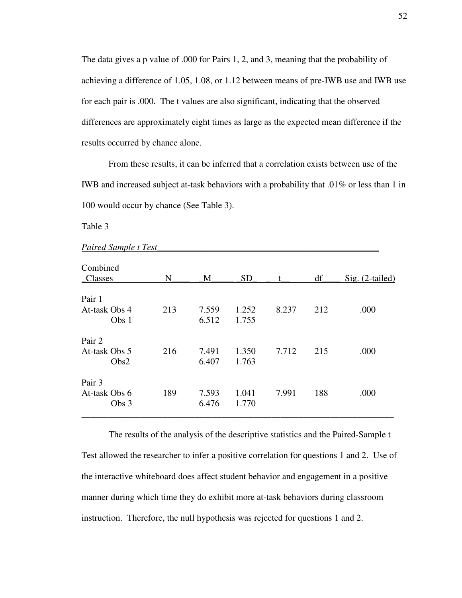The data gives a p value of .000 for Pairs 1, 2, and 3, meaning that the probability of achieving a difference of 1.05, 1.08, or 1.12 between means of pre-IWB use and IWB use for each pair is .000. The t values are also significant, indicating that the observed differences are approximately eight times as large as the expected mean difference if the results occurred by chance alone.

From these results, it can be inferred that a correlation exists between use of the IWB and increased subject at-task behaviors with a probability that .01% or less than 1 in 100 would occur by chance (See Table 3).

Table 3

| <i>h</i> an ca banpic <i>i</i> resi |     |       |           |       |     |                 |
|-------------------------------------|-----|-------|-----------|-------|-----|-----------------|
| Combined<br>Classes                 | N   | M     | <b>SD</b> | t     | df  | Sig. (2-tailed) |
|                                     |     |       |           |       |     |                 |
| Pair 1                              |     |       |           |       |     |                 |
| At-task Obs 4                       | 213 | 7.559 | 1.252     | 8.237 | 212 | .000            |
| Obs 1                               |     | 6.512 | 1.755     |       |     |                 |
|                                     |     |       |           |       |     |                 |
| Pair 2                              |     |       |           |       |     |                 |
| At-task Obs 5                       | 216 | 7.491 | 1.350     | 7.712 | 215 | .000            |
| Obs2                                |     | 6.407 | 1.763     |       |     |                 |
|                                     |     |       |           |       |     |                 |
| Pair 3                              |     |       |           |       |     |                 |
| At-task Obs 6                       | 189 | 7.593 | 1.041     | 7.991 | 188 | .000            |
| Obs 3                               |     | 6.476 | 1.770     |       |     |                 |
|                                     |     |       |           |       |     |                 |

*Paired Sample t Test\_\_\_\_\_\_\_\_\_\_\_\_\_\_\_\_\_\_\_\_\_\_\_\_\_\_\_\_\_\_\_\_\_\_\_\_\_\_\_\_\_\_\_\_\_\_\_\_\_*

The results of the analysis of the descriptive statistics and the Paired-Sample t Test allowed the researcher to infer a positive correlation for questions 1 and 2. Use of the interactive whiteboard does affect student behavior and engagement in a positive manner during which time they do exhibit more at-task behaviors during classroom instruction. Therefore, the null hypothesis was rejected for questions 1 and 2.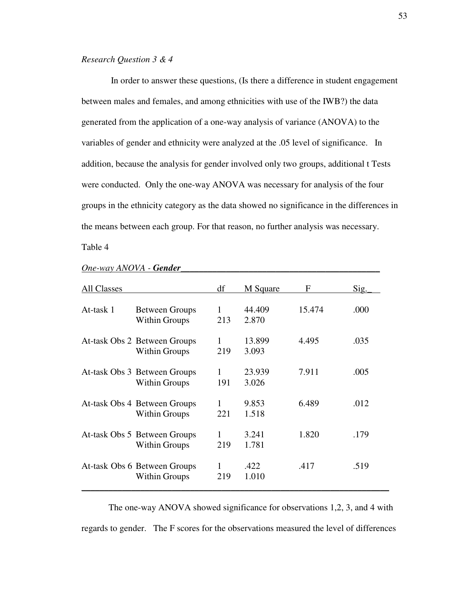## *Research Question 3 & 4*

 In order to answer these questions, (Is there a difference in student engagement between males and females, and among ethnicities with use of the IWB?) the data generated from the application of a one-way analysis of variance (ANOVA) to the variables of gender and ethnicity were analyzed at the .05 level of significance. In addition, because the analysis for gender involved only two groups, additional t Tests were conducted. Only the one-way ANOVA was necessary for analysis of the four groups in the ethnicity category as the data showed no significance in the differences in the means between each group. For that reason, no further analysis was necessary.

Table 4

| All Classes |                                                      | df       | M Square        | F      | Sig. |
|-------------|------------------------------------------------------|----------|-----------------|--------|------|
| At-task 1   | <b>Between Groups</b><br><b>Within Groups</b>        | 1<br>213 | 44.409<br>2.870 | 15.474 | .000 |
|             | At-task Obs 2 Between Groups<br><b>Within Groups</b> | 1<br>219 | 13.899<br>3.093 | 4.495  | .035 |
|             | At-task Obs 3 Between Groups<br>Within Groups        | 1<br>191 | 23.939<br>3.026 | 7.911  | .005 |
|             | At-task Obs 4 Between Groups<br><b>Within Groups</b> | 1<br>221 | 9.853<br>1.518  | 6.489  | .012 |
|             | At-task Obs 5 Between Groups<br><b>Within Groups</b> | 219      | 3.241<br>1.781  | 1.820  | .179 |
|             | At-task Obs 6 Between Groups<br><b>Within Groups</b> | 1<br>219 | .422<br>1.010   | .417   | .519 |

#### *One-way ANOVA - Gender\_\_\_\_\_\_\_\_\_\_\_\_\_\_\_\_\_\_\_\_\_\_\_\_\_\_\_\_\_\_\_\_\_\_\_\_\_\_\_\_\_\_\_\_*

The one-way ANOVA showed significance for observations 1,2, 3, and 4 with regards to gender. The F scores for the observations measured the level of differences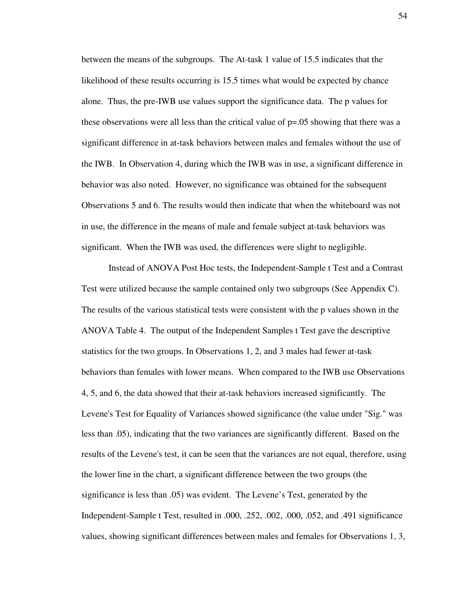between the means of the subgroups. The At-task 1 value of 15.5 indicates that the likelihood of these results occurring is 15.5 times what would be expected by chance alone. Thus, the pre-IWB use values support the significance data. The p values for these observations were all less than the critical value of p=.05 showing that there was a significant difference in at-task behaviors between males and females without the use of the IWB. In Observation 4, during which the IWB was in use, a significant difference in behavior was also noted. However, no significance was obtained for the subsequent Observations 5 and 6. The results would then indicate that when the whiteboard was not in use, the difference in the means of male and female subject at-task behaviors was significant. When the IWB was used, the differences were slight to negligible.

Instead of ANOVA Post Hoc tests, the Independent-Sample t Test and a Contrast Test were utilized because the sample contained only two subgroups (See Appendix C). The results of the various statistical tests were consistent with the p values shown in the ANOVA Table 4. The output of the Independent Samples t Test gave the descriptive statistics for the two groups. In Observations 1, 2, and 3 males had fewer at-task behaviors than females with lower means. When compared to the IWB use Observations 4, 5, and 6, the data showed that their at-task behaviors increased significantly. The Levene's Test for Equality of Variances showed significance (the value under "Sig." was less than .05), indicating that the two variances are significantly different. Based on the results of the Levene's test, it can be seen that the variances are not equal, therefore, using the lower line in the chart, a significant difference between the two groups (the significance is less than .05) was evident. The Levene's Test, generated by the Independent-Sample t Test, resulted in .000, .252, .002, .000, .052, and .491 significance values, showing significant differences between males and females for Observations 1, 3,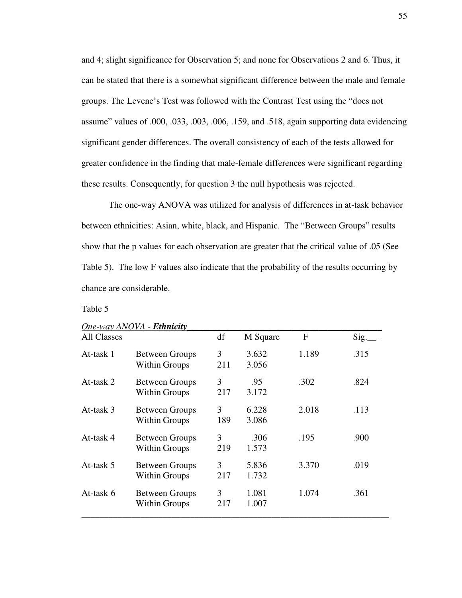and 4; slight significance for Observation 5; and none for Observations 2 and 6. Thus, it can be stated that there is a somewhat significant difference between the male and female groups. The Levene's Test was followed with the Contrast Test using the "does not assume" values of .000, .033, .003, .006, .159, and .518, again supporting data evidencing significant gender differences. The overall consistency of each of the tests allowed for greater confidence in the finding that male-female differences were significant regarding these results. Consequently, for question 3 the null hypothesis was rejected.

 The one-way ANOVA was utilized for analysis of differences in at-task behavior between ethnicities: Asian, white, black, and Hispanic. The "Between Groups" results show that the p values for each observation are greater that the critical value of .05 (See Table 5). The low F values also indicate that the probability of the results occurring by chance are considerable.

### Table 5

| <b>All Classes</b> |                                               | df       | M Square       | F     | Sig. |
|--------------------|-----------------------------------------------|----------|----------------|-------|------|
| At-task 1          | <b>Between Groups</b><br><b>Within Groups</b> | 3<br>211 | 3.632<br>3.056 | 1.189 | .315 |
| At-task 2          | <b>Between Groups</b><br><b>Within Groups</b> | 3<br>217 | .95<br>3.172   | .302  | .824 |
| At-task 3          | <b>Between Groups</b><br><b>Within Groups</b> | 3<br>189 | 6.228<br>3.086 | 2.018 | .113 |
| At-task 4          | <b>Between Groups</b><br><b>Within Groups</b> | 3<br>219 | .306<br>1.573  | .195  | .900 |
| At-task 5          | <b>Between Groups</b><br><b>Within Groups</b> | 3<br>217 | 5.836<br>1.732 | 3.370 | .019 |
| At-task 6          | <b>Between Groups</b><br><b>Within Groups</b> | 3<br>217 | 1.081<br>1.007 | 1.074 | .361 |

# *One-way ANOVA - Ethnicity\_\_\_\_\_\_\_\_\_\_\_\_\_\_\_\_\_\_\_\_\_\_\_\_\_\_\_\_\_\_\_\_\_\_\_\_\_\_\_\_\_\_\_*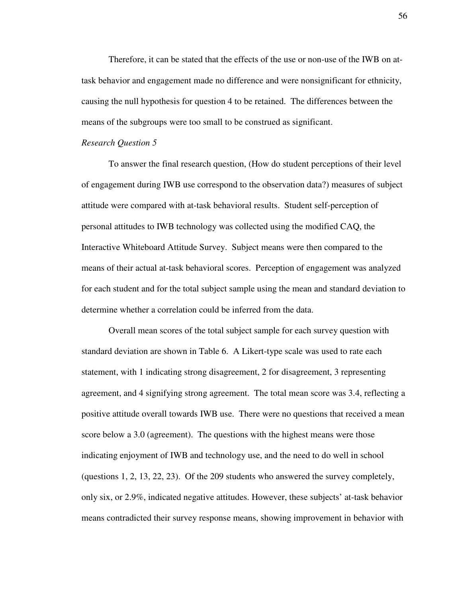Therefore, it can be stated that the effects of the use or non-use of the IWB on attask behavior and engagement made no difference and were nonsignificant for ethnicity, causing the null hypothesis for question 4 to be retained. The differences between the means of the subgroups were too small to be construed as significant.

#### *Research Question 5*

To answer the final research question, (How do student perceptions of their level of engagement during IWB use correspond to the observation data?) measures of subject attitude were compared with at-task behavioral results. Student self-perception of personal attitudes to IWB technology was collected using the modified CAQ, the Interactive Whiteboard Attitude Survey. Subject means were then compared to the means of their actual at-task behavioral scores. Perception of engagement was analyzed for each student and for the total subject sample using the mean and standard deviation to determine whether a correlation could be inferred from the data.

Overall mean scores of the total subject sample for each survey question with standard deviation are shown in Table 6. A Likert-type scale was used to rate each statement, with 1 indicating strong disagreement, 2 for disagreement, 3 representing agreement, and 4 signifying strong agreement. The total mean score was 3.4, reflecting a positive attitude overall towards IWB use. There were no questions that received a mean score below a 3.0 (agreement). The questions with the highest means were those indicating enjoyment of IWB and technology use, and the need to do well in school (questions 1, 2, 13, 22, 23). Of the 209 students who answered the survey completely, only six, or 2.9%, indicated negative attitudes. However, these subjects' at-task behavior means contradicted their survey response means, showing improvement in behavior with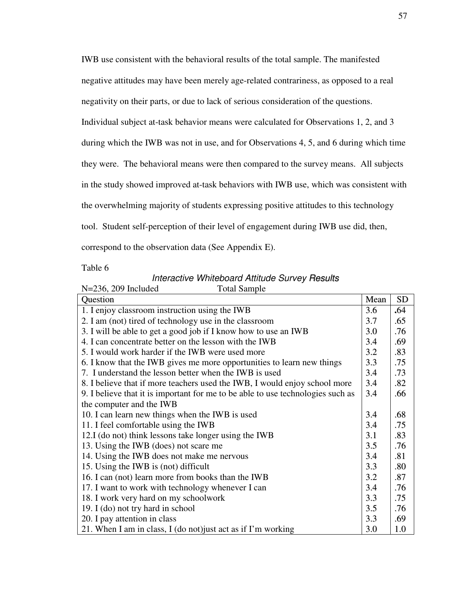IWB use consistent with the behavioral results of the total sample. The manifested negative attitudes may have been merely age-related contrariness, as opposed to a real negativity on their parts, or due to lack of serious consideration of the questions. Individual subject at-task behavior means were calculated for Observations 1, 2, and 3 during which the IWB was not in use, and for Observations 4, 5, and 6 during which time they were. The behavioral means were then compared to the survey means. All subjects in the study showed improved at-task behaviors with IWB use, which was consistent with the overwhelming majority of students expressing positive attitudes to this technology tool. Student self-perception of their level of engagement during IWB use did, then, correspond to the observation data (See Appendix E).

Table 6

#### Interactive Whiteboard Attitude Survey Results  $N=236$  200 Included

| $N=250$ , $209$ included<br>Total Saliipie                                      |      |     |
|---------------------------------------------------------------------------------|------|-----|
| Question                                                                        | Mean | SD  |
| 1. I enjoy classroom instruction using the IWB                                  | 3.6  | .64 |
| 2. I am (not) tired of technology use in the classroom                          | 3.7  | .65 |
| 3. I will be able to get a good job if I know how to use an IWB                 | 3.0  | .76 |
| 4. I can concentrate better on the lesson with the IWB                          | 3.4  | .69 |
| 5. I would work harder if the IWB were used more                                | 3.2  | .83 |
| 6. I know that the IWB gives me more opportunities to learn new things          | 3.3  | .75 |
| 7. I understand the lesson better when the IWB is used                          | 3,4  | .73 |
| 8. I believe that if more teachers used the IWB, I would enjoy school more      | 3.4  | .82 |
| 9. I believe that it is important for me to be able to use technologies such as | 3.4  | .66 |
| the computer and the IWB                                                        |      |     |
| 10. I can learn new things when the IWB is used                                 | 3.4  | .68 |
| 11. I feel comfortable using the IWB                                            | 3,4  | .75 |
| 12.I (do not) think lessons take longer using the IWB                           | 3.1  | .83 |
| 13. Using the IWB (does) not scare me                                           | 3.5  | .76 |
| 14. Using the IWB does not make me nervous                                      | 3.4  | .81 |
| 15. Using the IWB is (not) difficult                                            | 3.3  | .80 |
| 16. I can (not) learn more from books than the IWB                              | 3.2  | .87 |
| 17. I want to work with technology whenever I can                               | 3.4  | .76 |
| 18. I work very hard on my schoolwork                                           | 3.3  | .75 |
| 19. I (do) not try hard in school                                               | 3.5  | .76 |
| 20. I pay attention in class                                                    | 3.3  | .69 |
| 21. When I am in class, I (do not) just act as if I'm working                   | 3.0  | 1.0 |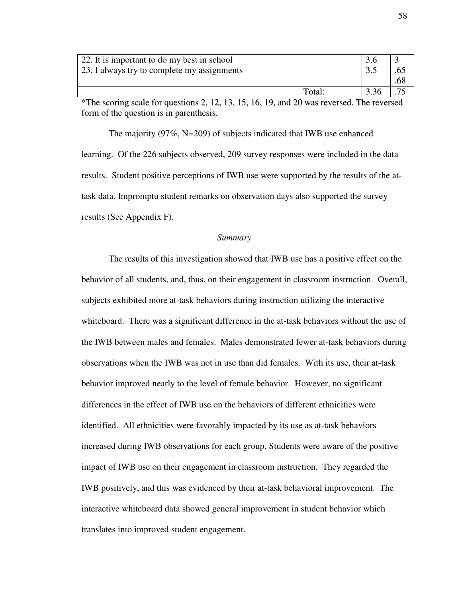| 22. It is important to do my best in school<br>23. I always try to complete my assignments       |      | .68 |
|--------------------------------------------------------------------------------------------------|------|-----|
| Total:                                                                                           | 3.36 |     |
| $*$ The corrigation coale for questions 2, 12, 13, 15, 16, 10, and 20 was reversed. The reversed |      |     |

The scoring scale for questions 2, 12, 13, 15, 16, 19, and 20 was reversed. The reversed form of the question is in parenthesis.

The majority (97%, N=209) of subjects indicated that IWB use enhanced learning. Of the 226 subjects observed, 209 survey responses were included in the data results. Student positive perceptions of IWB use were supported by the results of the attask data. Impromptu student remarks on observation days also supported the survey results (See Appendix F).

## *Summary*

The results of this investigation showed that IWB use has a positive effect on the behavior of all students, and, thus, on their engagement in classroom instruction. Overall, subjects exhibited more at-task behaviors during instruction utilizing the interactive whiteboard. There was a significant difference in the at-task behaviors without the use of the IWB between males and females. Males demonstrated fewer at-task behaviors during observations when the IWB was not in use than did females. With its use, their at-task behavior improved nearly to the level of female behavior. However, no significant differences in the effect of IWB use on the behaviors of different ethnicities were identified. All ethnicities were favorably impacted by its use as at-task behaviors increased during IWB observations for each group. Students were aware of the positive impact of IWB use on their engagement in classroom instruction. They regarded the IWB positively, and this was evidenced by their at-task behavioral improvement. The interactive whiteboard data showed general improvement in student behavior which translates into improved student engagement.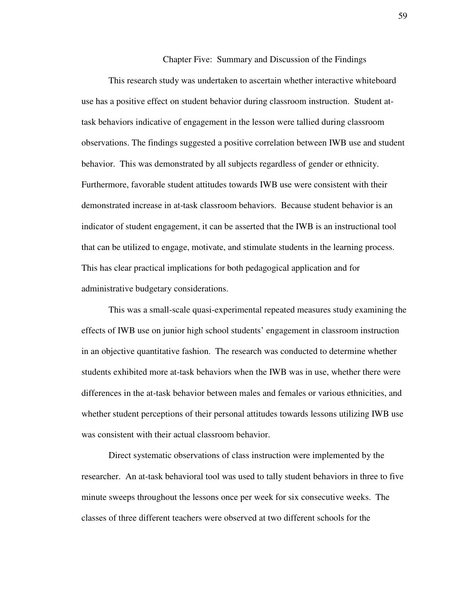Chapter Five: Summary and Discussion of the Findings

 This research study was undertaken to ascertain whether interactive whiteboard use has a positive effect on student behavior during classroom instruction. Student attask behaviors indicative of engagement in the lesson were tallied during classroom observations. The findings suggested a positive correlation between IWB use and student behavior. This was demonstrated by all subjects regardless of gender or ethnicity. Furthermore, favorable student attitudes towards IWB use were consistent with their demonstrated increase in at-task classroom behaviors. Because student behavior is an indicator of student engagement, it can be asserted that the IWB is an instructional tool that can be utilized to engage, motivate, and stimulate students in the learning process. This has clear practical implications for both pedagogical application and for administrative budgetary considerations.

This was a small-scale quasi-experimental repeated measures study examining the effects of IWB use on junior high school students' engagement in classroom instruction in an objective quantitative fashion. The research was conducted to determine whether students exhibited more at-task behaviors when the IWB was in use, whether there were differences in the at-task behavior between males and females or various ethnicities, and whether student perceptions of their personal attitudes towards lessons utilizing IWB use was consistent with their actual classroom behavior.

Direct systematic observations of class instruction were implemented by the researcher. An at-task behavioral tool was used to tally student behaviors in three to five minute sweeps throughout the lessons once per week for six consecutive weeks. The classes of three different teachers were observed at two different schools for the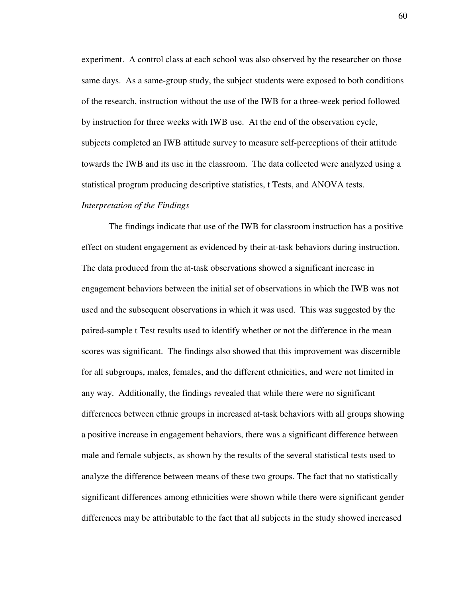experiment. A control class at each school was also observed by the researcher on those same days. As a same-group study, the subject students were exposed to both conditions of the research, instruction without the use of the IWB for a three-week period followed by instruction for three weeks with IWB use. At the end of the observation cycle, subjects completed an IWB attitude survey to measure self-perceptions of their attitude towards the IWB and its use in the classroom. The data collected were analyzed using a statistical program producing descriptive statistics, t Tests, and ANOVA tests.

#### *Interpretation of the Findings*

The findings indicate that use of the IWB for classroom instruction has a positive effect on student engagement as evidenced by their at-task behaviors during instruction. The data produced from the at-task observations showed a significant increase in engagement behaviors between the initial set of observations in which the IWB was not used and the subsequent observations in which it was used. This was suggested by the paired-sample t Test results used to identify whether or not the difference in the mean scores was significant. The findings also showed that this improvement was discernible for all subgroups, males, females, and the different ethnicities, and were not limited in any way. Additionally, the findings revealed that while there were no significant differences between ethnic groups in increased at-task behaviors with all groups showing a positive increase in engagement behaviors, there was a significant difference between male and female subjects, as shown by the results of the several statistical tests used to analyze the difference between means of these two groups. The fact that no statistically significant differences among ethnicities were shown while there were significant gender differences may be attributable to the fact that all subjects in the study showed increased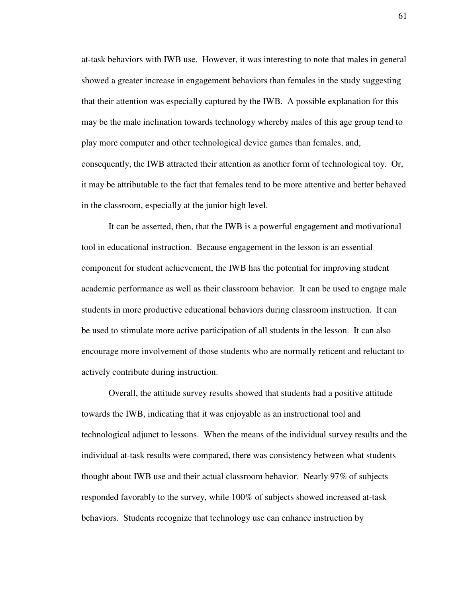at-task behaviors with IWB use. However, it was interesting to note that males in general showed a greater increase in engagement behaviors than females in the study suggesting that their attention was especially captured by the IWB. A possible explanation for this may be the male inclination towards technology whereby males of this age group tend to play more computer and other technological device games than females, and, consequently, the IWB attracted their attention as another form of technological toy. Or, it may be attributable to the fact that females tend to be more attentive and better behaved in the classroom, especially at the junior high level.

It can be asserted, then, that the IWB is a powerful engagement and motivational tool in educational instruction. Because engagement in the lesson is an essential component for student achievement, the IWB has the potential for improving student academic performance as well as their classroom behavior. It can be used to engage male students in more productive educational behaviors during classroom instruction. It can be used to stimulate more active participation of all students in the lesson. It can also encourage more involvement of those students who are normally reticent and reluctant to actively contribute during instruction.

Overall, the attitude survey results showed that students had a positive attitude towards the IWB, indicating that it was enjoyable as an instructional tool and technological adjunct to lessons. When the means of the individual survey results and the individual at-task results were compared, there was consistency between what students thought about IWB use and their actual classroom behavior. Nearly 97% of subjects responded favorably to the survey, while 100% of subjects showed increased at-task behaviors. Students recognize that technology use can enhance instruction by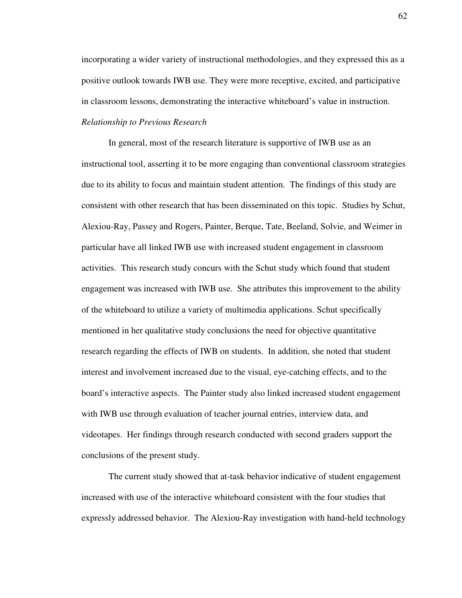incorporating a wider variety of instructional methodologies, and they expressed this as a positive outlook towards IWB use. They were more receptive, excited, and participative in classroom lessons, demonstrating the interactive whiteboard's value in instruction. *Relationship to Previous Research*

In general, most of the research literature is supportive of IWB use as an instructional tool, asserting it to be more engaging than conventional classroom strategies due to its ability to focus and maintain student attention. The findings of this study are consistent with other research that has been disseminated on this topic. Studies by Schut, Alexiou-Ray, Passey and Rogers, Painter, Berque, Tate, Beeland, Solvie, and Weimer in particular have all linked IWB use with increased student engagement in classroom activities. This research study concurs with the Schut study which found that student engagement was increased with IWB use. She attributes this improvement to the ability of the whiteboard to utilize a variety of multimedia applications. Schut specifically mentioned in her qualitative study conclusions the need for objective quantitative research regarding the effects of IWB on students. In addition, she noted that student interest and involvement increased due to the visual, eye-catching effects, and to the board's interactive aspects. The Painter study also linked increased student engagement with IWB use through evaluation of teacher journal entries, interview data, and videotapes. Her findings through research conducted with second graders support the conclusions of the present study.

The current study showed that at-task behavior indicative of student engagement increased with use of the interactive whiteboard consistent with the four studies that expressly addressed behavior. The Alexiou-Ray investigation with hand-held technology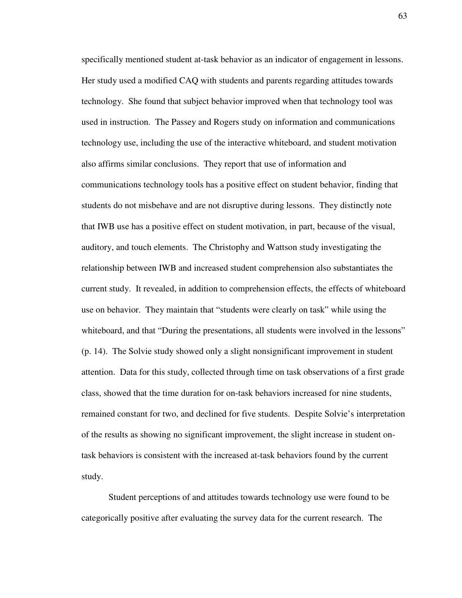specifically mentioned student at-task behavior as an indicator of engagement in lessons. Her study used a modified CAQ with students and parents regarding attitudes towards technology. She found that subject behavior improved when that technology tool was used in instruction. The Passey and Rogers study on information and communications technology use, including the use of the interactive whiteboard, and student motivation also affirms similar conclusions. They report that use of information and communications technology tools has a positive effect on student behavior, finding that students do not misbehave and are not disruptive during lessons. They distinctly note that IWB use has a positive effect on student motivation, in part, because of the visual, auditory, and touch elements. The Christophy and Wattson study investigating the relationship between IWB and increased student comprehension also substantiates the current study. It revealed, in addition to comprehension effects, the effects of whiteboard use on behavior. They maintain that "students were clearly on task" while using the whiteboard, and that "During the presentations, all students were involved in the lessons" (p. 14). The Solvie study showed only a slight nonsignificant improvement in student attention. Data for this study, collected through time on task observations of a first grade class, showed that the time duration for on-task behaviors increased for nine students, remained constant for two, and declined for five students. Despite Solvie's interpretation of the results as showing no significant improvement, the slight increase in student ontask behaviors is consistent with the increased at-task behaviors found by the current study.

Student perceptions of and attitudes towards technology use were found to be categorically positive after evaluating the survey data for the current research. The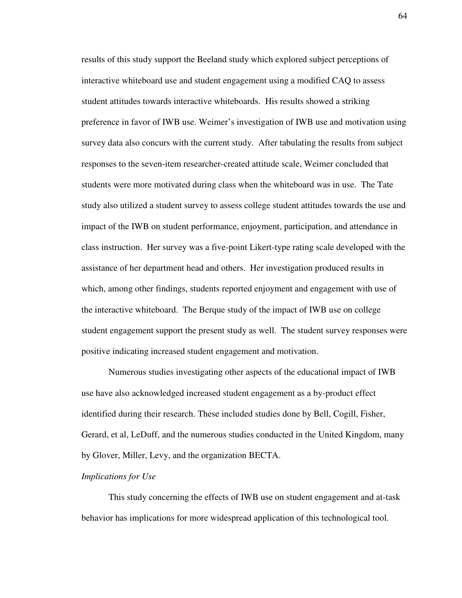results of this study support the Beeland study which explored subject perceptions of interactive whiteboard use and student engagement using a modified CAQ to assess student attitudes towards interactive whiteboards. His results showed a striking preference in favor of IWB use. Weimer's investigation of IWB use and motivation using survey data also concurs with the current study. After tabulating the results from subject responses to the seven-item researcher-created attitude scale, Weimer concluded that students were more motivated during class when the whiteboard was in use. The Tate study also utilized a student survey to assess college student attitudes towards the use and impact of the IWB on student performance, enjoyment, participation, and attendance in class instruction. Her survey was a five-point Likert-type rating scale developed with the assistance of her department head and others. Her investigation produced results in which, among other findings, students reported enjoyment and engagement with use of the interactive whiteboard. The Berque study of the impact of IWB use on college student engagement support the present study as well. The student survey responses were positive indicating increased student engagement and motivation.

Numerous studies investigating other aspects of the educational impact of IWB use have also acknowledged increased student engagement as a by-product effect identified during their research. These included studies done by Bell, Cogill, Fisher, Gerard, et al, LeDuff, and the numerous studies conducted in the United Kingdom, many by Glover, Miller, Levy, and the organization BECTA.

#### *Implications for Use*

This study concerning the effects of IWB use on student engagement and at-task behavior has implications for more widespread application of this technological tool.

64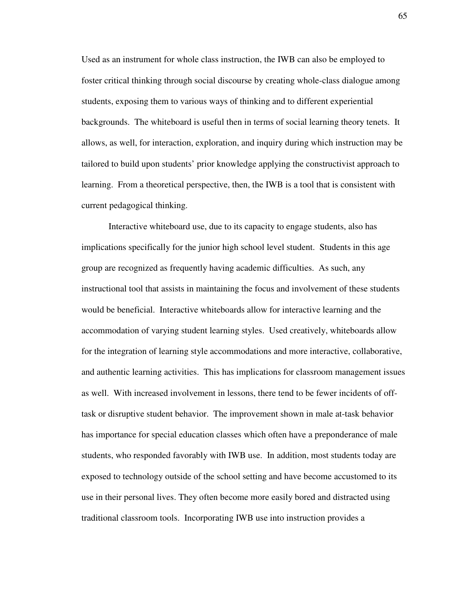Used as an instrument for whole class instruction, the IWB can also be employed to foster critical thinking through social discourse by creating whole-class dialogue among students, exposing them to various ways of thinking and to different experiential backgrounds. The whiteboard is useful then in terms of social learning theory tenets. It allows, as well, for interaction, exploration, and inquiry during which instruction may be tailored to build upon students' prior knowledge applying the constructivist approach to learning. From a theoretical perspective, then, the IWB is a tool that is consistent with current pedagogical thinking.

Interactive whiteboard use, due to its capacity to engage students, also has implications specifically for the junior high school level student. Students in this age group are recognized as frequently having academic difficulties. As such, any instructional tool that assists in maintaining the focus and involvement of these students would be beneficial. Interactive whiteboards allow for interactive learning and the accommodation of varying student learning styles. Used creatively, whiteboards allow for the integration of learning style accommodations and more interactive, collaborative, and authentic learning activities. This has implications for classroom management issues as well. With increased involvement in lessons, there tend to be fewer incidents of offtask or disruptive student behavior. The improvement shown in male at-task behavior has importance for special education classes which often have a preponderance of male students, who responded favorably with IWB use. In addition, most students today are exposed to technology outside of the school setting and have become accustomed to its use in their personal lives. They often become more easily bored and distracted using traditional classroom tools. Incorporating IWB use into instruction provides a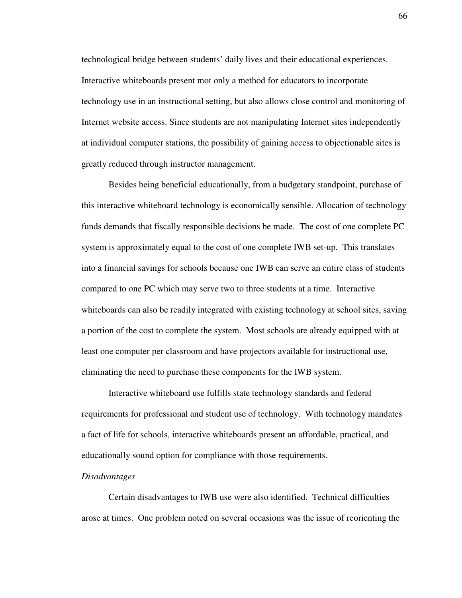technological bridge between students' daily lives and their educational experiences. Interactive whiteboards present mot only a method for educators to incorporate technology use in an instructional setting, but also allows close control and monitoring of Internet website access. Since students are not manipulating Internet sites independently at individual computer stations, the possibility of gaining access to objectionable sites is greatly reduced through instructor management.

Besides being beneficial educationally, from a budgetary standpoint, purchase of this interactive whiteboard technology is economically sensible. Allocation of technology funds demands that fiscally responsible decisions be made. The cost of one complete PC system is approximately equal to the cost of one complete IWB set-up. This translates into a financial savings for schools because one IWB can serve an entire class of students compared to one PC which may serve two to three students at a time. Interactive whiteboards can also be readily integrated with existing technology at school sites, saving a portion of the cost to complete the system. Most schools are already equipped with at least one computer per classroom and have projectors available for instructional use, eliminating the need to purchase these components for the IWB system.

Interactive whiteboard use fulfills state technology standards and federal requirements for professional and student use of technology. With technology mandates a fact of life for schools, interactive whiteboards present an affordable, practical, and educationally sound option for compliance with those requirements.

#### *Disadvantages*

 Certain disadvantages to IWB use were also identified. Technical difficulties arose at times. One problem noted on several occasions was the issue of reorienting the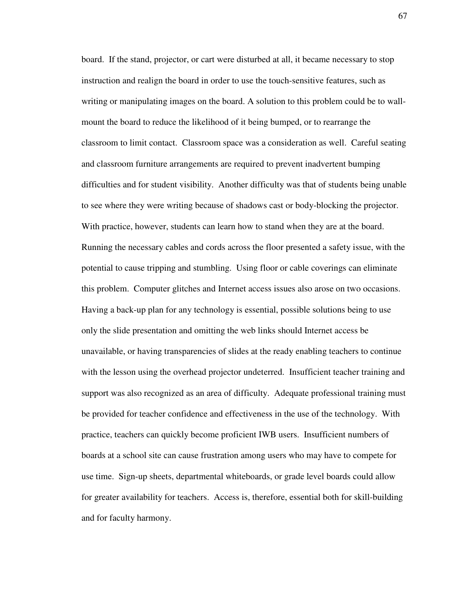board. If the stand, projector, or cart were disturbed at all, it became necessary to stop instruction and realign the board in order to use the touch-sensitive features, such as writing or manipulating images on the board. A solution to this problem could be to wallmount the board to reduce the likelihood of it being bumped, or to rearrange the classroom to limit contact. Classroom space was a consideration as well. Careful seating and classroom furniture arrangements are required to prevent inadvertent bumping difficulties and for student visibility. Another difficulty was that of students being unable to see where they were writing because of shadows cast or body-blocking the projector. With practice, however, students can learn how to stand when they are at the board. Running the necessary cables and cords across the floor presented a safety issue, with the potential to cause tripping and stumbling. Using floor or cable coverings can eliminate this problem. Computer glitches and Internet access issues also arose on two occasions. Having a back-up plan for any technology is essential, possible solutions being to use only the slide presentation and omitting the web links should Internet access be unavailable, or having transparencies of slides at the ready enabling teachers to continue with the lesson using the overhead projector undeterred. Insufficient teacher training and support was also recognized as an area of difficulty. Adequate professional training must be provided for teacher confidence and effectiveness in the use of the technology. With practice, teachers can quickly become proficient IWB users. Insufficient numbers of boards at a school site can cause frustration among users who may have to compete for use time. Sign-up sheets, departmental whiteboards, or grade level boards could allow for greater availability for teachers. Access is, therefore, essential both for skill-building and for faculty harmony.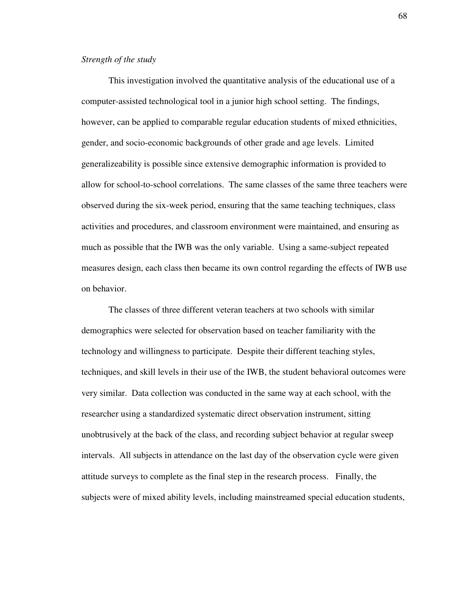## *Strength of the study*

This investigation involved the quantitative analysis of the educational use of a computer-assisted technological tool in a junior high school setting. The findings, however, can be applied to comparable regular education students of mixed ethnicities, gender, and socio-economic backgrounds of other grade and age levels. Limited generalizeability is possible since extensive demographic information is provided to allow for school-to-school correlations. The same classes of the same three teachers were observed during the six-week period, ensuring that the same teaching techniques, class activities and procedures, and classroom environment were maintained, and ensuring as much as possible that the IWB was the only variable. Using a same-subject repeated measures design, each class then became its own control regarding the effects of IWB use on behavior.

The classes of three different veteran teachers at two schools with similar demographics were selected for observation based on teacher familiarity with the technology and willingness to participate. Despite their different teaching styles, techniques, and skill levels in their use of the IWB, the student behavioral outcomes were very similar. Data collection was conducted in the same way at each school, with the researcher using a standardized systematic direct observation instrument, sitting unobtrusively at the back of the class, and recording subject behavior at regular sweep intervals. All subjects in attendance on the last day of the observation cycle were given attitude surveys to complete as the final step in the research process. Finally, the subjects were of mixed ability levels, including mainstreamed special education students,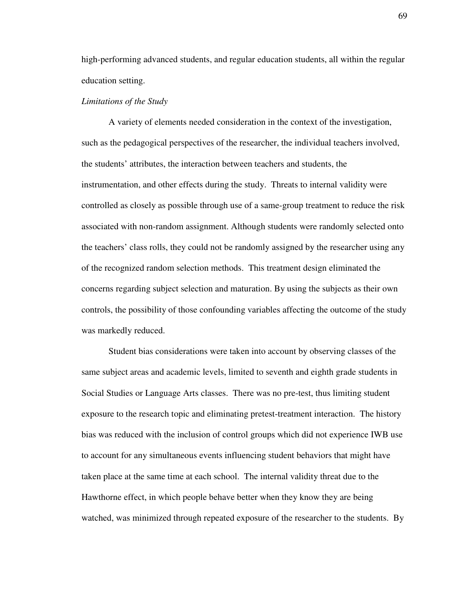high-performing advanced students, and regular education students, all within the regular education setting.

#### *Limitations of the Study*

A variety of elements needed consideration in the context of the investigation, such as the pedagogical perspectives of the researcher, the individual teachers involved, the students' attributes, the interaction between teachers and students, the instrumentation, and other effects during the study. Threats to internal validity were controlled as closely as possible through use of a same-group treatment to reduce the risk associated with non-random assignment. Although students were randomly selected onto the teachers' class rolls, they could not be randomly assigned by the researcher using any of the recognized random selection methods. This treatment design eliminated the concerns regarding subject selection and maturation. By using the subjects as their own controls, the possibility of those confounding variables affecting the outcome of the study was markedly reduced.

Student bias considerations were taken into account by observing classes of the same subject areas and academic levels, limited to seventh and eighth grade students in Social Studies or Language Arts classes. There was no pre-test, thus limiting student exposure to the research topic and eliminating pretest-treatment interaction. The history bias was reduced with the inclusion of control groups which did not experience IWB use to account for any simultaneous events influencing student behaviors that might have taken place at the same time at each school. The internal validity threat due to the Hawthorne effect, in which people behave better when they know they are being watched, was minimized through repeated exposure of the researcher to the students. By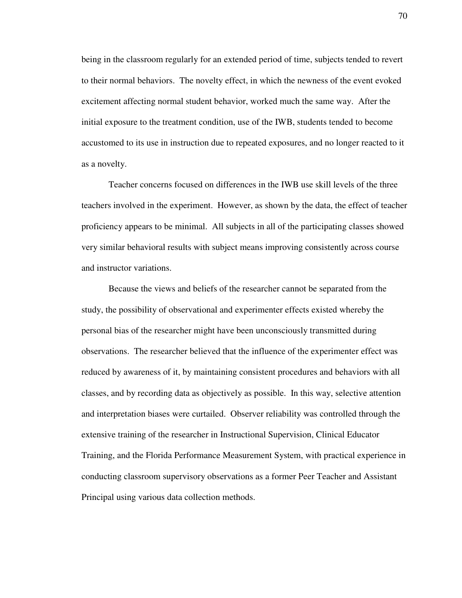being in the classroom regularly for an extended period of time, subjects tended to revert to their normal behaviors. The novelty effect, in which the newness of the event evoked excitement affecting normal student behavior, worked much the same way. After the initial exposure to the treatment condition, use of the IWB, students tended to become accustomed to its use in instruction due to repeated exposures, and no longer reacted to it as a novelty.

Teacher concerns focused on differences in the IWB use skill levels of the three teachers involved in the experiment. However, as shown by the data, the effect of teacher proficiency appears to be minimal. All subjects in all of the participating classes showed very similar behavioral results with subject means improving consistently across course and instructor variations.

Because the views and beliefs of the researcher cannot be separated from the study, the possibility of observational and experimenter effects existed whereby the personal bias of the researcher might have been unconsciously transmitted during observations. The researcher believed that the influence of the experimenter effect was reduced by awareness of it, by maintaining consistent procedures and behaviors with all classes, and by recording data as objectively as possible. In this way, selective attention and interpretation biases were curtailed. Observer reliability was controlled through the extensive training of the researcher in Instructional Supervision, Clinical Educator Training, and the Florida Performance Measurement System, with practical experience in conducting classroom supervisory observations as a former Peer Teacher and Assistant Principal using various data collection methods.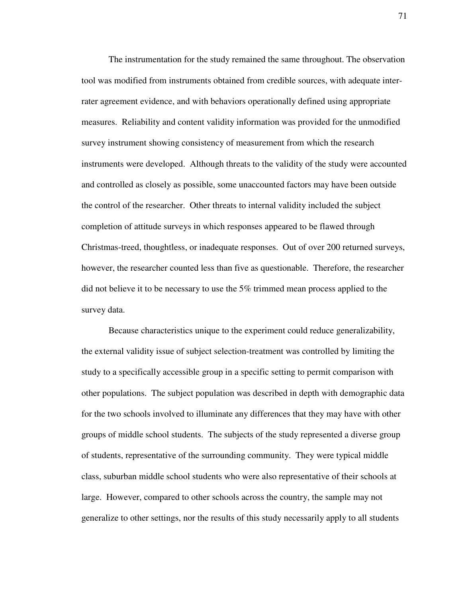The instrumentation for the study remained the same throughout. The observation tool was modified from instruments obtained from credible sources, with adequate interrater agreement evidence, and with behaviors operationally defined using appropriate measures. Reliability and content validity information was provided for the unmodified survey instrument showing consistency of measurement from which the research instruments were developed. Although threats to the validity of the study were accounted and controlled as closely as possible, some unaccounted factors may have been outside the control of the researcher. Other threats to internal validity included the subject completion of attitude surveys in which responses appeared to be flawed through Christmas-treed, thoughtless, or inadequate responses. Out of over 200 returned surveys, however, the researcher counted less than five as questionable. Therefore, the researcher did not believe it to be necessary to use the 5% trimmed mean process applied to the survey data.

Because characteristics unique to the experiment could reduce generalizability, the external validity issue of subject selection-treatment was controlled by limiting the study to a specifically accessible group in a specific setting to permit comparison with other populations. The subject population was described in depth with demographic data for the two schools involved to illuminate any differences that they may have with other groups of middle school students. The subjects of the study represented a diverse group of students, representative of the surrounding community. They were typical middle class, suburban middle school students who were also representative of their schools at large. However, compared to other schools across the country, the sample may not generalize to other settings, nor the results of this study necessarily apply to all students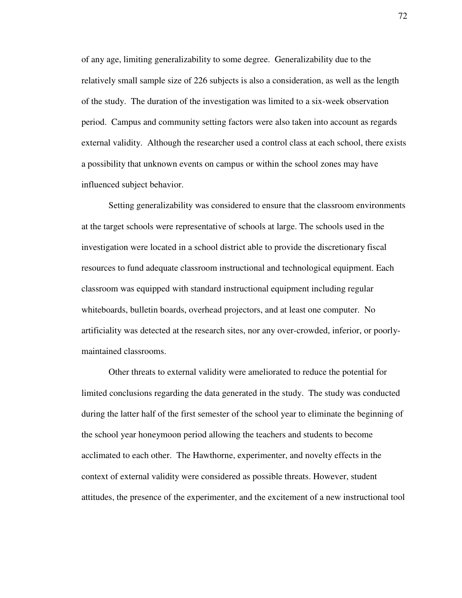of any age, limiting generalizability to some degree. Generalizability due to the relatively small sample size of 226 subjects is also a consideration, as well as the length of the study. The duration of the investigation was limited to a six-week observation period. Campus and community setting factors were also taken into account as regards external validity. Although the researcher used a control class at each school, there exists a possibility that unknown events on campus or within the school zones may have influenced subject behavior.

Setting generalizability was considered to ensure that the classroom environments at the target schools were representative of schools at large. The schools used in the investigation were located in a school district able to provide the discretionary fiscal resources to fund adequate classroom instructional and technological equipment. Each classroom was equipped with standard instructional equipment including regular whiteboards, bulletin boards, overhead projectors, and at least one computer. No artificiality was detected at the research sites, nor any over-crowded, inferior, or poorlymaintained classrooms.

Other threats to external validity were ameliorated to reduce the potential for limited conclusions regarding the data generated in the study. The study was conducted during the latter half of the first semester of the school year to eliminate the beginning of the school year honeymoon period allowing the teachers and students to become acclimated to each other. The Hawthorne, experimenter, and novelty effects in the context of external validity were considered as possible threats. However, student attitudes, the presence of the experimenter, and the excitement of a new instructional tool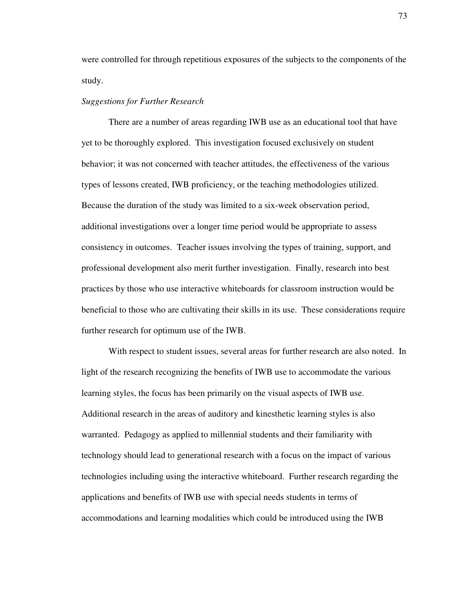were controlled for through repetitious exposures of the subjects to the components of the study.

### *Suggestions for Further Research*

 There are a number of areas regarding IWB use as an educational tool that have yet to be thoroughly explored. This investigation focused exclusively on student behavior; it was not concerned with teacher attitudes, the effectiveness of the various types of lessons created, IWB proficiency, or the teaching methodologies utilized. Because the duration of the study was limited to a six-week observation period, additional investigations over a longer time period would be appropriate to assess consistency in outcomes. Teacher issues involving the types of training, support, and professional development also merit further investigation. Finally, research into best practices by those who use interactive whiteboards for classroom instruction would be beneficial to those who are cultivating their skills in its use. These considerations require further research for optimum use of the IWB.

With respect to student issues, several areas for further research are also noted. In light of the research recognizing the benefits of IWB use to accommodate the various learning styles, the focus has been primarily on the visual aspects of IWB use. Additional research in the areas of auditory and kinesthetic learning styles is also warranted. Pedagogy as applied to millennial students and their familiarity with technology should lead to generational research with a focus on the impact of various technologies including using the interactive whiteboard. Further research regarding the applications and benefits of IWB use with special needs students in terms of accommodations and learning modalities which could be introduced using the IWB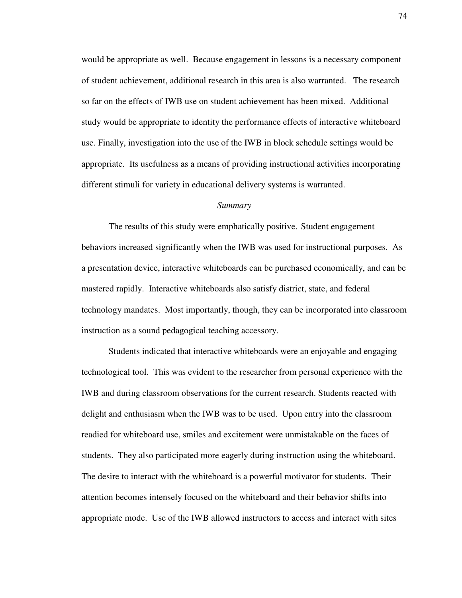would be appropriate as well. Because engagement in lessons is a necessary component of student achievement, additional research in this area is also warranted. The research so far on the effects of IWB use on student achievement has been mixed. Additional study would be appropriate to identity the performance effects of interactive whiteboard use. Finally, investigation into the use of the IWB in block schedule settings would be appropriate. Its usefulness as a means of providing instructional activities incorporating different stimuli for variety in educational delivery systems is warranted.

#### *Summary*

The results of this study were emphatically positive. Student engagement behaviors increased significantly when the IWB was used for instructional purposes. As a presentation device, interactive whiteboards can be purchased economically, and can be mastered rapidly. Interactive whiteboards also satisfy district, state, and federal technology mandates. Most importantly, though, they can be incorporated into classroom instruction as a sound pedagogical teaching accessory.

Students indicated that interactive whiteboards were an enjoyable and engaging technological tool. This was evident to the researcher from personal experience with the IWB and during classroom observations for the current research. Students reacted with delight and enthusiasm when the IWB was to be used. Upon entry into the classroom readied for whiteboard use, smiles and excitement were unmistakable on the faces of students. They also participated more eagerly during instruction using the whiteboard. The desire to interact with the whiteboard is a powerful motivator for students. Their attention becomes intensely focused on the whiteboard and their behavior shifts into appropriate mode. Use of the IWB allowed instructors to access and interact with sites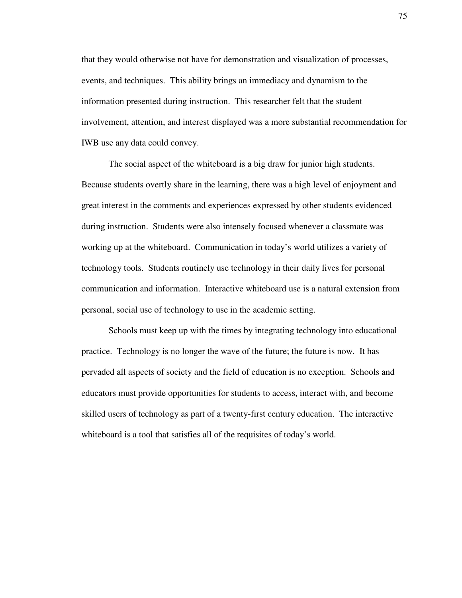that they would otherwise not have for demonstration and visualization of processes, events, and techniques. This ability brings an immediacy and dynamism to the information presented during instruction. This researcher felt that the student involvement, attention, and interest displayed was a more substantial recommendation for IWB use any data could convey.

 The social aspect of the whiteboard is a big draw for junior high students. Because students overtly share in the learning, there was a high level of enjoyment and great interest in the comments and experiences expressed by other students evidenced during instruction. Students were also intensely focused whenever a classmate was working up at the whiteboard. Communication in today's world utilizes a variety of technology tools. Students routinely use technology in their daily lives for personal communication and information. Interactive whiteboard use is a natural extension from personal, social use of technology to use in the academic setting.

Schools must keep up with the times by integrating technology into educational practice. Technology is no longer the wave of the future; the future is now. It has pervaded all aspects of society and the field of education is no exception. Schools and educators must provide opportunities for students to access, interact with, and become skilled users of technology as part of a twenty-first century education. The interactive whiteboard is a tool that satisfies all of the requisites of today's world.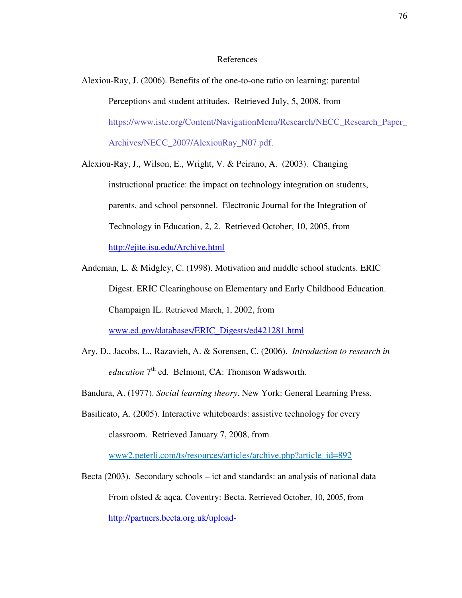#### References

Alexiou-Ray, J. (2006). Benefits of the one-to-one ratio on learning: parental Perceptions and student attitudes. Retrieved July, 5, 2008, from https://www.iste.org/Content/NavigationMenu/Research/NECC\_Research\_Paper\_ Archives/NECC\_2007/AlexiouRay\_N07.pdf.

Alexiou-Ray, J., Wilson, E., Wright, V. & Peirano, A. (2003). Changing instructional practice: the impact on technology integration on students, parents, and school personnel. Electronic Journal for the Integration of Technology in Education, 2, 2. Retrieved October, 10, 2005, from http://ejite.isu.edu/Archive.html

Andeman, L. & Midgley, C. (1998). Motivation and middle school students. ERIC Digest. ERIC Clearinghouse on Elementary and Early Childhood Education. Champaign IL. Retrieved March, 1, 2002, from www.ed.gov/databases/ERIC\_Digests/ed421281.html

- Ary, D., Jacobs, L., Razavieh, A. & Sorensen, C. (2006). *Introduction to research in education* 7<sup>th</sup> ed. Belmont, CA: Thomson Wadsworth.
- Bandura, A. (1977). *Social learning theory*. New York: General Learning Press.

Basilicato, A. (2005). Interactive whiteboards: assistive technology for every classroom. Retrieved January 7, 2008, from

www2.peterli.com/ts/resources/articles/archive.php?article\_id=892

Becta (2003). Secondary schools – ict and standards: an analysis of national data From ofsted & aqca. Coventry: Becta. Retrieved October, 10, 2005, from http://partners.becta.org.uk/upload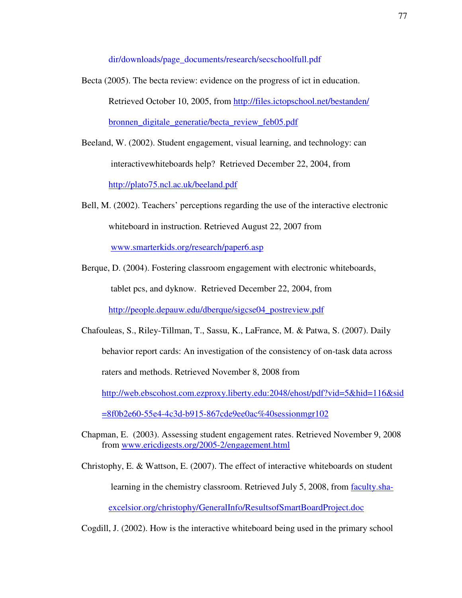dir/downloads/page\_documents/research/secschoolfull.pdf

- Becta (2005). The becta review: evidence on the progress of ict in education. Retrieved October 10, 2005, from http://files.ictopschool.net/bestanden/ bronnen\_digitale\_generatie/becta\_review\_feb05.pdf
- Beeland, W. (2002). Student engagement, visual learning, and technology: can interactivewhiteboards help? Retrieved December 22, 2004, from http://plato75.ncl.ac.uk/beeland.pdf

Bell, M. (2002). Teachers' perceptions regarding the use of the interactive electronic whiteboard in instruction. Retrieved August 22, 2007 from

www.smarterkids.org/research/paper6.asp

Berque, D. (2004). Fostering classroom engagement with electronic whiteboards, tablet pcs, and dyknow. Retrieved December 22, 2004, from

http://people.depauw.edu/dberque/sigcse04\_postreview.pdf

Chafouleas, S., Riley-Tillman, T., Sassu, K., LaFrance, M. & Patwa, S. (2007). Daily behavior report cards: An investigation of the consistency of on-task data across raters and methods. Retrieved November 8, 2008 from http://web.ebscohost.com.ezproxy.liberty.edu:2048/ehost/pdf?vid=5&hid=116&sid

=8f0b2e60-55e4-4c3d-b915-867cde9ee0ac%40sessionmgr102

Chapman, E. (2003). Assessing student engagement rates. Retrieved November 9, 2008 from www.ericdigests.org/2005-2/engagement.html

Christophy, E. & Wattson, E. (2007). The effect of interactive whiteboards on student learning in the chemistry classroom. Retrieved July 5, 2008, from faculty.shaexcelsior.org/christophy/GeneralInfo/ResultsofSmartBoardProject.doc

Cogdill, J. (2002). How is the interactive whiteboard being used in the primary school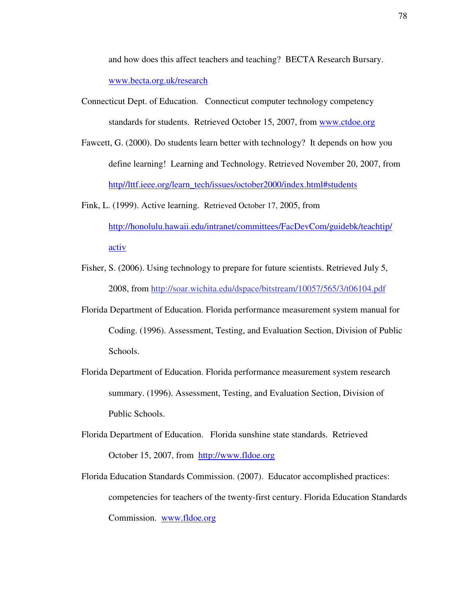and how does this affect teachers and teaching? BECTA Research Bursary. www.becta.org.uk/research

- Connecticut Dept. of Education. Connecticut computer technology competency standards for students. Retrieved October 15, 2007, from www.ctdoe.org
- Fawcett, G. (2000). Do students learn better with technology? It depends on how you define learning! Learning and Technology. Retrieved November 20, 2007, from http//lttf.ieee.org/learn\_tech/issues/october2000/index.html#students
- Fink, L. (1999). Active learning. Retrieved October 17, 2005, from http://honolulu.hawaii.edu/intranet/committees/FacDevCom/guidebk/teachtip/ activ
- Fisher, S. (2006). Using technology to prepare for future scientists. Retrieved July 5, 2008, from http://soar.wichita.edu/dspace/bitstream/10057/565/3/t06104.pdf
- Florida Department of Education. Florida performance measurement system manual for Coding. (1996). Assessment, Testing, and Evaluation Section, Division of Public Schools.
- Florida Department of Education. Florida performance measurement system research summary. (1996). Assessment, Testing, and Evaluation Section, Division of Public Schools.
- Florida Department of Education. Florida sunshine state standards. Retrieved October 15, 2007, from http://www.fldoe.org
- Florida Education Standards Commission. (2007). Educator accomplished practices: competencies for teachers of the twenty-first century. Florida Education Standards Commission. www.fldoe.org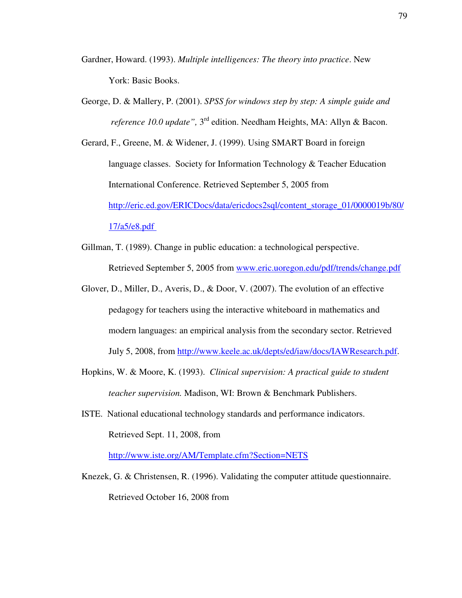- Gardner, Howard. (1993). *Multiple intelligences: The theory into practice*. New York: Basic Books.
- George, D. & Mallery, P. (2001). *SPSS for windows step by step: A simple guide and reference 10.0 update"*, 3<sup>rd</sup> edition. Needham Heights, MA: Allyn & Bacon.
- Gerard, F., Greene, M. & Widener, J. (1999). Using SMART Board in foreign language classes. Society for Information Technology & Teacher Education International Conference. Retrieved September 5, 2005 from http://eric.ed.gov/ERICDocs/data/ericdocs2sql/content\_storage\_01/0000019b/80/ 17/a5/e8.pdf
- Gillman, T. (1989). Change in public education: a technological perspective. Retrieved September 5, 2005 from www.eric.uoregon.edu/pdf/trends/change.pdf
- Glover, D., Miller, D., Averis, D., & Door, V. (2007). The evolution of an effective pedagogy for teachers using the interactive whiteboard in mathematics and modern languages: an empirical analysis from the secondary sector. Retrieved July 5, 2008, from http://www.keele.ac.uk/depts/ed/iaw/docs/IAWResearch.pdf.
- Hopkins, W. & Moore, K. (1993). *Clinical supervision: A practical guide to student teacher supervision.* Madison, WI: Brown & Benchmark Publishers.
- ISTE. National educational technology standards and performance indicators. Retrieved Sept. 11, 2008, from

http://www.iste.org/AM/Template.cfm?Section=NETS

Knezek, G. & Christensen, R. (1996). Validating the computer attitude questionnaire. Retrieved October 16, 2008 from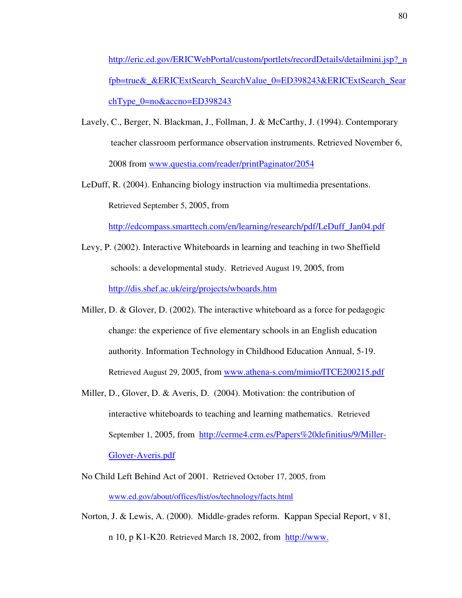http://eric.ed.gov/ERICWebPortal/custom/portlets/recordDetails/detailmini.jsp?\_n fpb=true&\_&ERICExtSearch\_SearchValue\_0=ED398243&ERICExtSearch\_Sear  $chType$   $0=no\&acono=ED398243$ 

- Lavely, C., Berger, N. Blackman, J., Follman, J. & McCarthy, J. (1994). Contemporary teacher classroom performance observation instruments. Retrieved November 6, 2008 from www.questia.com/reader/printPaginator/2054
- LeDuff, R. (2004). Enhancing biology instruction via multimedia presentations. Retrieved September 5, 2005, from

http://edcompass.smarttech.com/en/learning/research/pdf/LeDuff\_Jan04.pdf

- Levy, P. (2002). Interactive Whiteboards in learning and teaching in two Sheffield schools: a developmental study. Retrieved August 19, 2005, from http://dis.shef.ac.uk/eirg/projects/wboards.htm
- Miller, D. & Glover, D. (2002). The interactive whiteboard as a force for pedagogic change: the experience of five elementary schools in an English education authority. Information Technology in Childhood Education Annual, 5-19. Retrieved August 29, 2005, from www.athena-s.com/mimio/ITCE200215.pdf
- Miller, D., Glover, D. & Averis, D. (2004). Motivation: the contribution of interactive whiteboards to teaching and learning mathematics. Retrieved September 1, 2005, from http://cerme4.crm.es/Papers%20definitius/9/Miller- Glover-Averis.pdf
- No Child Left Behind Act of 2001. Retrieved October 17, 2005, from www.ed.gov/about/offices/list/os/technology/facts.html
- Norton, J. & Lewis, A. (2000). Middle-grades reform. Kappan Special Report, v 81, n 10, p K1-K20. Retrieved March 18, 2002, from http://www.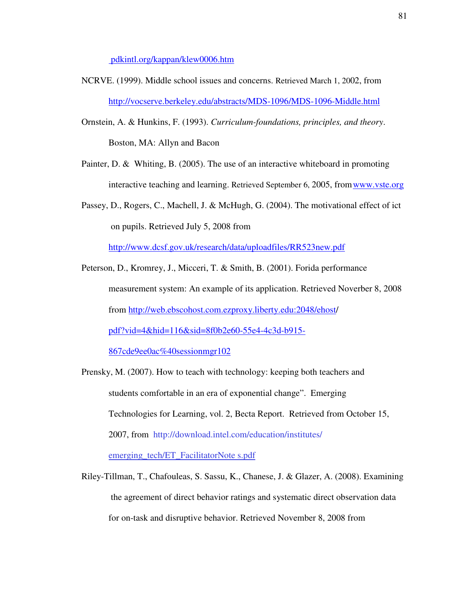pdkintl.org/kappan/klew0006.htm

- NCRVE. (1999). Middle school issues and concerns. Retrieved March 1, 2002, from http://vocserve.berkeley.edu/abstracts/MDS-1096/MDS-1096-Middle.html
- Ornstein, A. & Hunkins, F. (1993). *Curriculum-foundations, principles, and theory*. Boston, MA: Allyn and Bacon
- Painter, D. & Whiting, B. (2005). The use of an interactive whiteboard in promoting interactive teaching and learning. Retrieved September 6, 2005, from www.vste.org
- Passey, D., Rogers, C., Machell, J. & McHugh, G. (2004). The motivational effect of ict on pupils. Retrieved July 5, 2008 from

http://www.dcsf.gov.uk/research/data/uploadfiles/RR523new.pdf

Peterson, D., Kromrey, J., Micceri, T. & Smith, B. (2001). Forida performance measurement system: An example of its application. Retrieved Noverber 8, 2008 from http://web.ebscohost.com.ezproxy.liberty.edu:2048/ehost/ pdf?vid=4&hid=116&sid=8f0b2e60-55e4-4c3d-b915- 867cde9ee0ac%40sessionmgr102

Prensky, M. (2007). How to teach with technology: keeping both teachers and students comfortable in an era of exponential change". Emerging Technologies for Learning, vol. 2, Becta Report. Retrieved from October 15, 2007, from http://download.intel.com/education/institutes/ emerging\_tech/ET\_FacilitatorNote s.pdf

Riley-Tillman, T., Chafouleas, S. Sassu, K., Chanese, J. & Glazer, A. (2008). Examining the agreement of direct behavior ratings and systematic direct observation data for on-task and disruptive behavior. Retrieved November 8, 2008 from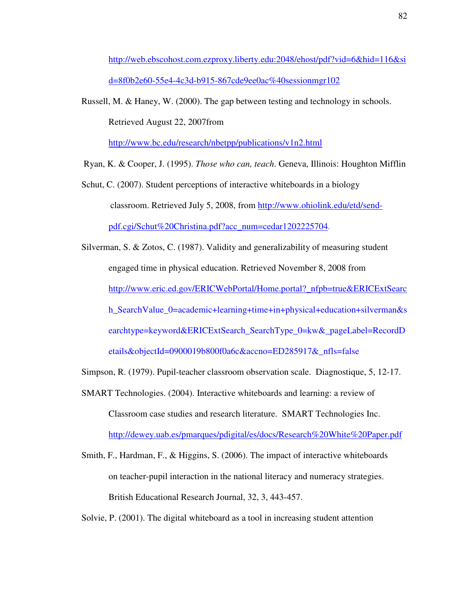http://web.ebscohost.com.ezproxy.liberty.edu:2048/ehost/pdf?vid=6&hid=116&si d=8f0b2e60-55e4-4c3d-b915-867cde9ee0ac%40sessionmgr102

Russell, M. & Haney, W. (2000). The gap between testing and technology in schools. Retrieved August 22, 2007from

http://www.bc.edu/research/nbetpp/publications/v1n2.html

Ryan, K. & Cooper, J. (1995). *Those who can, teach*. Geneva, Illinois: Houghton Mifflin

- Schut, C. (2007). Student perceptions of interactive whiteboards in a biology classroom. Retrieved July 5, 2008, from http://www.ohiolink.edu/etd/sendpdf.cgi/Schut%20Christina.pdf?acc\_num=cedar1202225704.
- Silverman, S. & Zotos, C. (1987). Validity and generalizability of measuring student engaged time in physical education. Retrieved November 8, 2008 from http://www.eric.ed.gov/ERICWebPortal/Home.portal?\_nfpb=true&ERICExtSearc h\_SearchValue\_0=academic+learning+time+in+physical+education+silverman&s earchtype=keyword&ERICExtSearch\_SearchType\_0=kw&\_pageLabel=RecordD etails&objectId=0900019b800f0a6c&accno=ED285917&\_nfls=false

Simpson, R. (1979). Pupil-teacher classroom observation scale. Diagnostique, 5, 12-17.

- SMART Technologies. (2004). Interactive whiteboards and learning: a review of Classroom case studies and research literature. SMART Technologies Inc. http://dewey.uab.es/pmarques/pdigital/es/docs/Research%20White%20Paper.pdf
- Smith, F., Hardman, F., & Higgins, S. (2006). The impact of interactive whiteboards on teacher-pupil interaction in the national literacy and numeracy strategies. British Educational Research Journal, 32, 3, 443-457.

Solvie, P. (2001). The digital whiteboard as a tool in increasing student attention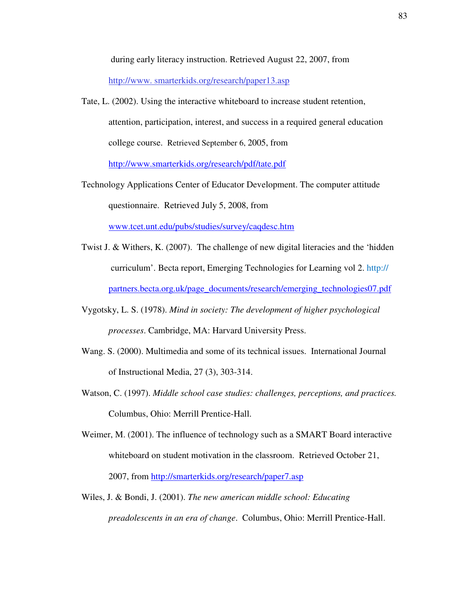during early literacy instruction. Retrieved August 22, 2007, from

http://www. smarterkids.org/research/paper13.asp

- Tate, L. (2002). Using the interactive whiteboard to increase student retention, attention, participation, interest, and success in a required general education college course. Retrieved September 6, 2005, from http://www.smarterkids.org/research/pdf/tate.pdf
- Technology Applications Center of Educator Development. The computer attitude questionnaire. Retrieved July 5, 2008, from

www.tcet.unt.edu/pubs/studies/survey/caqdesc.htm

- Twist J. & Withers, K. (2007). The challenge of new digital literacies and the 'hidden curriculum'. Becta report, Emerging Technologies for Learning vol 2. http:// partners.becta.org.uk/page\_documents/research/emerging\_technologies07.pdf
- Vygotsky, L. S. (1978). *Mind in society: The development of higher psychological processes*. Cambridge, MA: Harvard University Press.
- Wang. S. (2000). Multimedia and some of its technical issues. International Journal of Instructional Media, 27 (3), 303-314.
- Watson, C. (1997). *Middle school case studies: challenges, perceptions, and practices.* Columbus, Ohio: Merrill Prentice-Hall.

Weimer, M. (2001). The influence of technology such as a SMART Board interactive whiteboard on student motivation in the classroom. Retrieved October 21, 2007, from http://smarterkids.org/research/paper7.asp

Wiles, J. & Bondi, J. (2001). *The new american middle school: Educating preadolescents in an era of change*. Columbus, Ohio: Merrill Prentice-Hall.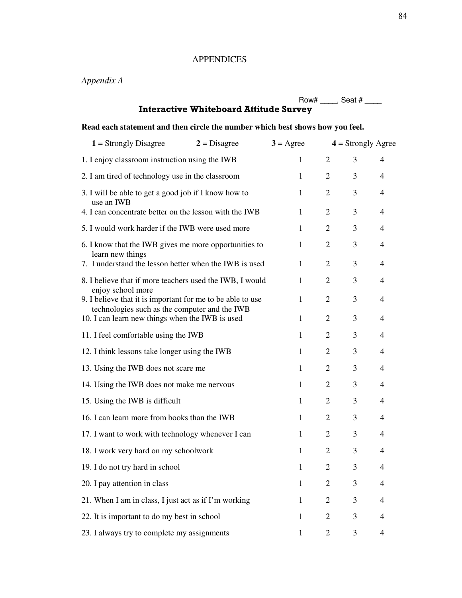## APPENDICES

# *Appendix A*

|                                                                                                             |                    |                | Row# $\_\_\_\$ Seat # $\_\_\_\$ |                |
|-------------------------------------------------------------------------------------------------------------|--------------------|----------------|---------------------------------|----------------|
| <b>Interactive Whiteboard Attitude Survey</b>                                                               |                    |                |                                 |                |
| Read each statement and then circle the number which best shows how you feel.                               |                    |                |                                 |                |
| $1 =$ Strongly Disagree<br>$2 = Disagree$                                                                   | $3 = \text{Agree}$ |                | $4 =$ Strongly Agree            |                |
| 1. I enjoy classroom instruction using the IWB                                                              | $\mathbf{1}$       | 2              | 3                               | 4              |
| 2. I am tired of technology use in the classroom                                                            | $\mathbf{1}$       | 2              | 3                               | 4              |
| 3. I will be able to get a good job if I know how to<br>use an IWB                                          | $\mathbf{1}$       | 2              | 3                               | $\overline{4}$ |
| 4. I can concentrate better on the lesson with the IWB                                                      | $\mathbf{1}$       | 2              | 3                               | 4              |
| 5. I would work harder if the IWB were used more                                                            | $\mathbf{1}$       | 2              | 3                               | $\overline{4}$ |
| 6. I know that the IWB gives me more opportunities to<br>learn new things                                   | 1                  | $\overline{2}$ | 3                               | 4              |
| 7. I understand the lesson better when the IWB is used                                                      | $\mathbf{1}$       | 2              | 3                               | 4              |
| 8. I believe that if more teachers used the IWB, I would<br>enjoy school more                               | 1                  | $\overline{2}$ | 3                               | 4              |
| 9. I believe that it is important for me to be able to use<br>technologies such as the computer and the IWB | 1                  | $\overline{2}$ | 3                               | 4              |
| 10. I can learn new things when the IWB is used                                                             | 1                  | 2              | 3                               | 4              |
| 11. I feel comfortable using the IWB                                                                        | 1                  | 2              | 3                               | 4              |
| 12. I think lessons take longer using the IWB                                                               | 1                  | 2              | 3                               | 4              |
| 13. Using the IWB does not scare me                                                                         | $\mathbf{1}$       | 2              | 3                               | 4              |
| 14. Using the IWB does not make me nervous                                                                  | 1                  | 2              | 3                               | 4              |
| 15. Using the IWB is difficult                                                                              | $\mathbf{1}$       | $\overline{2}$ | 3                               | 4              |
| 16. I can learn more from books than the IWB                                                                | $\mathbf{1}$       | $\overline{2}$ | 3                               | 4              |
| 17. I want to work with technology whenever I can                                                           | 1                  | $\overline{2}$ | 3                               | 4              |
| 18. I work very hard on my schoolwork                                                                       | $\mathbf{1}$       | $\overline{2}$ | 3                               | $\overline{4}$ |
| 19. I do not try hard in school                                                                             | $\mathbf{1}$       | $\overline{2}$ | 3                               | 4              |
| 20. I pay attention in class                                                                                | $\mathbf{1}$       | $\overline{2}$ | 3                               | 4              |
| 21. When I am in class, I just act as if I'm working                                                        | $\mathbf{1}$       | $\overline{2}$ | 3                               | 4              |
| 22. It is important to do my best in school                                                                 | $\mathbf{1}$       | $\overline{2}$ | 3                               | 4              |
| 23. I always try to complete my assignments                                                                 | $\mathbf{1}$       | $\overline{2}$ | 3                               | 4              |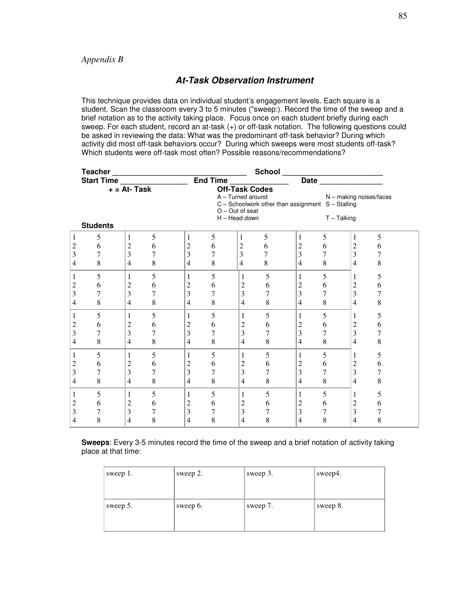## **At-Task Observation Instrument**

This technique provides data on individual student's engagement levels. Each square is a student. Scan the classroom every 3 to 5 minutes ("sweep:). Record the time of the sweep and a brief notation as to the activity taking place. Focus once on each student briefly during each sweep. For each student, record an at-task (+) or off-task notation. The following questions could be asked in reviewing the data: What was the predominant off-task behavior? During which activity did most off-task behaviors occur? During which sweeps were most students off-task? Which students were off-task most often? Possible reasons/recommendations?

|                         | Teacher           |                 |   | $=$ End Time $=$ |   |                                      |   |                                                       |                |                           |                  |  |
|-------------------------|-------------------|-----------------|---|------------------|---|--------------------------------------|---|-------------------------------------------------------|----------------|---------------------------|------------------|--|
|                         | <b>Start Time</b> |                 |   |                  |   |                                      |   |                                                       |                | <b>Date Date</b>          |                  |  |
|                         |                   | $+ = At - Task$ |   |                  |   | <b>Off-Task Codes</b>                |   |                                                       |                |                           |                  |  |
|                         |                   |                 |   |                  |   | A - Turned around                    |   |                                                       |                | $N$ – making noises/faces |                  |  |
|                         |                   |                 |   |                  |   |                                      |   | $C -$ Schoolwork other than assignment $S -$ Stalling |                |                           |                  |  |
|                         |                   |                 |   |                  |   | $O - Out of seat$<br>$H - Head down$ |   |                                                       |                | $T - \text{Talking}$      |                  |  |
|                         | <b>Students</b>   |                 |   |                  |   |                                      |   |                                                       |                |                           |                  |  |
|                         |                   |                 |   |                  |   |                                      |   |                                                       |                |                           |                  |  |
| 1                       | 5                 | 1               | 5 | 1                | 5 | 1                                    | 5 | 1                                                     | 5              | 1                         | 5                |  |
| $\overline{c}$          | 6                 | $\overline{c}$  | 6 | $\mathfrak{2}$   | 6 | $\overline{c}$                       | 6 | $\boldsymbol{2}$                                      | 6              | $\mathfrak{2}$            | 6                |  |
| 3                       | 7                 | 3               | 7 | $\overline{3}$   | 7 | $\overline{\mathbf{3}}$              | 7 | $\overline{3}$                                        | $\overline{7}$ | 3                         | 7                |  |
| $\overline{4}$          | 8                 | 4               | 8 | $\overline{4}$   | 8 | $\overline{4}$                       | 8 | $\overline{4}$                                        | 8              | $\overline{4}$            | 8                |  |
| $\mathbf{1}$            | 5                 | 1               | 5 | 1                | 5 | 1                                    | 5 | 1                                                     | 5              | 1                         | 5                |  |
| $\overline{\mathbf{c}}$ | 6                 | 2               | 6 | $\boldsymbol{2}$ | 6 | $\overline{c}$                       | 6 | $\sqrt{2}$                                            | 6              | $\sqrt{2}$                | 6                |  |
| 3                       | 7                 | 3               | 7 | 3                | 7 | 3                                    | 7 | 3                                                     | 7              | 3                         | 7                |  |
| $\overline{4}$          | 8                 | 4               | 8 | $\overline{4}$   | 8 | 4                                    | 8 | 4                                                     | 8              | $\overline{4}$            | 8                |  |
| $\mathbf{1}$            | 5                 | 1               | 5 | $\mathbf{1}$     | 5 | 1                                    | 5 | 1                                                     | 5              | 1                         | 5                |  |
| $\overline{c}$          | 6                 | 2               | 6 | $\overline{c}$   | 6 | 2                                    | 6 | $\overline{c}$                                        | 6              | $\overline{c}$            | 6                |  |
| 3                       | 7                 | 3               | 7 | 3                | 7 | 3                                    | 7 | 3                                                     | 7              | 3                         | 7                |  |
| $\overline{4}$          | 8                 | 4               | 8 | $\overline{4}$   | 8 | 4                                    | 8 | 4                                                     | 8              | $\overline{4}$            | 8                |  |
| 1                       | 5                 | 1               | 5 | $\mathbf{1}$     | 5 | 1                                    | 5 | $\mathbf{1}$                                          | 5              | 1                         | 5                |  |
| $\overline{c}$          | 6                 | 2               | 6 | 2                | 6 | $\overline{c}$                       | 6 | $\boldsymbol{2}$                                      | 6              | $\mathfrak 2$             | 6                |  |
| 3                       | 7                 | 3               | 7 | 3                | 7 | 3                                    | 7 | 3                                                     | 7              | 3                         | $\boldsymbol{7}$ |  |
| $\overline{4}$          | 8                 | 4               | 8 | $\overline{4}$   | 8 | $\overline{4}$                       | 8 | $\overline{4}$                                        | 8              | $\overline{4}$            | 8                |  |
| 1                       | 5                 | 1               | 5 | 1                | 5 | 1                                    | 5 | 1                                                     | 5              | 1                         | 5                |  |
| $\overline{\mathbf{c}}$ | 6                 | 2               | 6 | $\overline{c}$   | 6 | $\overline{c}$                       | 6 | $\boldsymbol{2}$                                      | 6              | $\mathfrak 2$             | 6                |  |
| 3                       | 7                 | 3               | 7 | $\overline{3}$   | 7 | 3                                    | 7 | 3                                                     | 7              | 3                         | $\overline{7}$   |  |
| 4                       | 8                 | 4               | 8 | $\overline{4}$   | 8 | 4                                    | 8 | 4                                                     | 8              | $\overline{4}$            | 8                |  |

**Sweeps**: Every 3-5 minutes record the time of the sweep and a brief notation of activity taking place at that time:

| sweep 1. | sweep 2. | sweep $3.$ | sweep4.  |
|----------|----------|------------|----------|
| sweep 5. | sweep 6. | sweep 7.   | sweep 8. |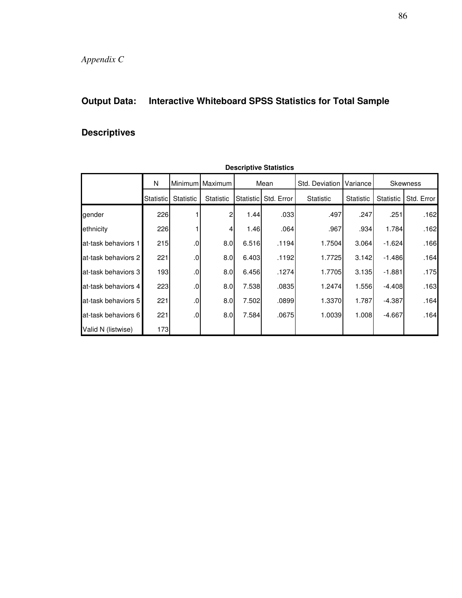# **Output Data: Interactive Whiteboard SPSS Statistics for Total Sample**

# **Descriptives**

| Descriptive Otationes |                  |                  |                  |                        |            |                  |           |                  |            |
|-----------------------|------------------|------------------|------------------|------------------------|------------|------------------|-----------|------------------|------------|
|                       | N                |                  | Minimum Maximum  |                        | Mean       | Std. Deviation   | Variance  |                  | Skewness   |
|                       | <b>Statistic</b> | <b>Statistic</b> | <b>Statistic</b> | Statistic <sup>1</sup> | Std. Error | <b>Statistic</b> | Statistic | <b>Statistic</b> | Std. Error |
| gender                | 226              |                  | 2                | 1.44                   | .033       | .497             | .247      | .251             | .162       |
| ethnicity             | 226              |                  | 4                | 1.46                   | .064       | .967             | .934      | 1.784            | .162       |
| at-task behaviors 1   | 215              | .0               | 8.0              | 6.516                  | .1194      | 1.7504           | 3.064     | $-1.624$         | .166       |
| at-task behaviors 2   | 221              | .0               | 8.0              | 6.403                  | .1192      | 1.7725           | 3.142     | $-1.486$         | .164       |
| at-task behaviors 3   | 193              | $.0 \,$          | 8.0              | 6.456                  | .1274      | 1.7705           | 3.135     | $-1.881$         | .175       |
| at-task behaviors 4   | 223              | .0               | 8.0              | 7.538                  | .0835      | 1.2474           | 1.556     | $-4.408$         | .163       |
| at-task behaviors 5   | 221              | .0               | 8.0              | 7.502                  | .0899      | 1.3370           | 1.787     | $-4.387$         | .164       |
| at-task behaviors 6   | 221              | .0               | 8.0              | 7.584                  | .0675      | 1.0039           | 1.008     | $-4.667$         | .164       |
| Valid N (listwise)    | 173              |                  |                  |                        |            |                  |           |                  |            |

**Descriptive Statistics**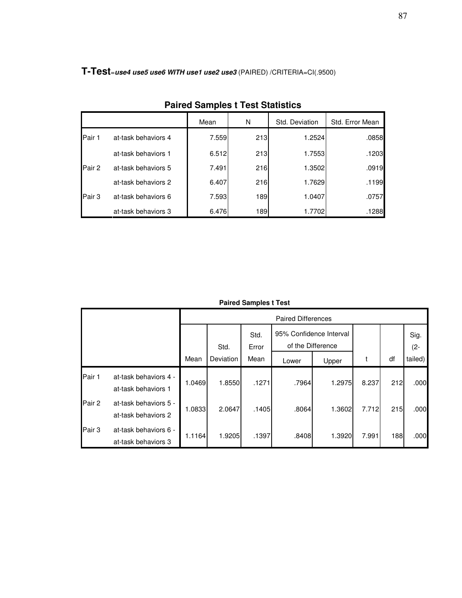**T-Test**<sup>=</sup>**use4 use5 use6 WITH use1 use2 use3** (PAIRED) /CRITERIA=CI(.9500)

|        |                     | Mean  | N   | Std. Deviation | Std. Error Mean |
|--------|---------------------|-------|-----|----------------|-----------------|
| Pair 1 | at-task behaviors 4 | 7.559 | 213 | 1.2524         | .0858           |
|        | at-task behaviors 1 | 6.512 | 213 | 1.7553         | .1203           |
| Pair 2 | at-task behaviors 5 | 7.491 | 216 | 1.3502         | .0919           |
|        | at-task behaviors 2 | 6.407 | 216 | 1.7629         | .1199           |
| Pair 3 | at-task behaviors 6 | 7.593 | 189 | 1.0407         | .0757           |
|        | at-task behaviors 3 | 6.476 | 189 | 1.7702         | .1288           |

**Paired Samples t Test Statistics**

**Paired Samples t Test**

|        |                                              |        |           |               | <b>Paired Differences</b>                    |        |       |     |                |
|--------|----------------------------------------------|--------|-----------|---------------|----------------------------------------------|--------|-------|-----|----------------|
|        |                                              |        | Std.      | Std.<br>Error | 95% Confidence Interval<br>of the Difference |        |       |     | Sig.<br>$(2 -$ |
|        |                                              | Mean   | Deviation | Mean          | Lower                                        | Upper  | t     | df  | tailed)        |
| Pair 1 | at-task behaviors 4 -<br>at-task behaviors 1 | 1.0469 | 1.8550    | .1271         | .7964                                        | 1.2975 | 8.237 | 212 | .000           |
| Pair 2 | at-task behaviors 5 -<br>at-task behaviors 2 | 1.0833 | 2.0647    | .1405         | .8064                                        | 1.3602 | 7.712 | 215 | .000           |
| Pair 3 | at-task behaviors 6 -<br>at-task behaviors 3 | 1.1164 | 1.9205    | .1397         | .8408                                        | 1.3920 | 7.991 | 188 | .000           |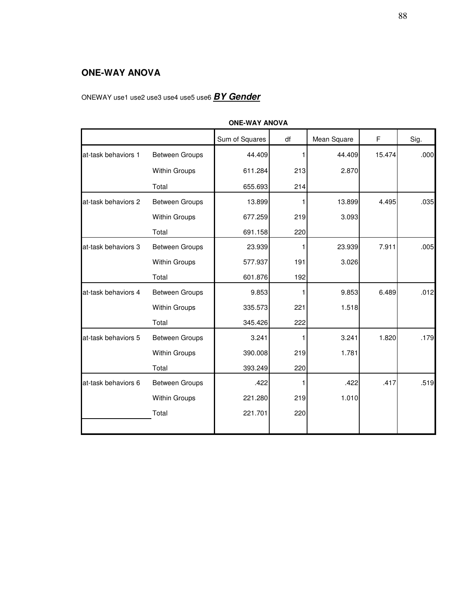# **ONE-WAY ANOVA**

# ONEWAY use1 use2 use3 use4 use5 use6 **BY Gender**

|                     | <b>ONE-WAY ANOVA</b>  |                |     |             |        |      |  |  |  |  |  |
|---------------------|-----------------------|----------------|-----|-------------|--------|------|--|--|--|--|--|
|                     |                       | Sum of Squares | df  | Mean Square | F      | Sig. |  |  |  |  |  |
| at-task behaviors 1 | Between Groups        | 44.409         | 1   | 44.409      | 15.474 | .000 |  |  |  |  |  |
|                     | Within Groups         | 611.284        | 213 | 2.870       |        |      |  |  |  |  |  |
|                     | Total                 | 655.693        | 214 |             |        |      |  |  |  |  |  |
| at-task behaviors 2 | <b>Between Groups</b> | 13.899         | 1   | 13.899      | 4.495  | .035 |  |  |  |  |  |
|                     | Within Groups         | 677.259        | 219 | 3.093       |        |      |  |  |  |  |  |
|                     | Total                 | 691.158        | 220 |             |        |      |  |  |  |  |  |
| at-task behaviors 3 | <b>Between Groups</b> | 23.939         | 1   | 23.939      | 7.911  | .005 |  |  |  |  |  |
|                     | <b>Within Groups</b>  | 577.937        | 191 | 3.026       |        |      |  |  |  |  |  |
|                     | Total                 | 601.876        | 192 |             |        |      |  |  |  |  |  |
| at-task behaviors 4 | Between Groups        | 9.853          |     | 9.853       | 6.489  | .012 |  |  |  |  |  |
|                     | Within Groups         | 335.573        | 221 | 1.518       |        |      |  |  |  |  |  |
|                     | Total                 | 345.426        | 222 |             |        |      |  |  |  |  |  |
| at-task behaviors 5 | Between Groups        | 3.241          | 1   | 3.241       | 1.820  | .179 |  |  |  |  |  |
|                     | Within Groups         | 390.008        | 219 | 1.781       |        |      |  |  |  |  |  |
|                     | Total                 | 393.249        | 220 |             |        |      |  |  |  |  |  |
| at-task behaviors 6 | Between Groups        | .422           | 1   | .422        | .417   | .519 |  |  |  |  |  |
|                     | Within Groups         | 221.280        | 219 | 1.010       |        |      |  |  |  |  |  |
|                     | Total                 | 221.701        | 220 |             |        |      |  |  |  |  |  |
|                     |                       |                |     |             |        |      |  |  |  |  |  |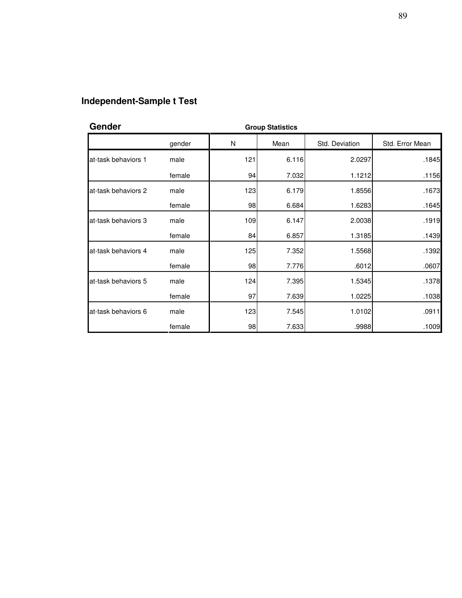# **Independent-Sample t Test**

| Gender              |        | <b>Group Statistics</b> |       |                |                 |
|---------------------|--------|-------------------------|-------|----------------|-----------------|
|                     | gender | N                       | Mean  | Std. Deviation | Std. Error Mean |
| at-task behaviors 1 | male   | 121                     | 6.116 | 2.0297         | .1845           |
|                     | female | 94                      | 7.032 | 1.1212         | .1156           |
| at-task behaviors 2 | male   | 123                     | 6.179 | 1.8556         | .1673           |
|                     | female | 98                      | 6.684 | 1.6283         | .1645           |
| at-task behaviors 3 | male   | 109                     | 6.147 | 2.0038         | .1919           |
|                     | female | 84                      | 6.857 | 1.3185         | .1439           |
| at-task behaviors 4 | male   | 125                     | 7.352 | 1.5568         | .1392           |
|                     | female | 98                      | 7.776 | .6012          | .0607           |
| at-task behaviors 5 | male   | 124                     | 7.395 | 1.5345         | .1378           |
|                     | female | 97                      | 7.639 | 1.0225         | .1038           |
| at-task behaviors 6 | male   | 123                     | 7.545 | 1.0102         | .0911           |
|                     | female | 98                      | 7.633 | .9988          | .1009           |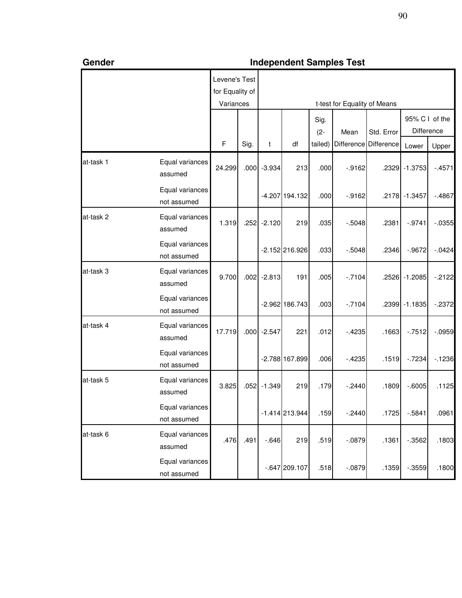| Gender    |                                | <b>Independent Samples Test</b> |      |          |                  |         |                              |            |                |            |  |
|-----------|--------------------------------|---------------------------------|------|----------|------------------|---------|------------------------------|------------|----------------|------------|--|
|           |                                | Levene's Test                   |      |          |                  |         |                              |            |                |            |  |
|           |                                | for Equality of                 |      |          |                  |         |                              |            |                |            |  |
|           |                                | Variances                       |      |          |                  |         | t-test for Equality of Means |            |                |            |  |
|           |                                |                                 |      |          |                  | Sig.    |                              |            | 95% C I of the |            |  |
|           |                                |                                 |      |          |                  | $(2 -$  | Mean                         | Std. Error |                | Difference |  |
|           |                                | $\mathsf F$                     | Sig. | t        | df               | tailed) | Difference                   | Difference | Lower          | Upper      |  |
| at-task 1 | Equal variances<br>assumed     | 24.299                          | .000 | $-3.934$ | 213              | .000    | $-0.9162$                    |            | .2329 - 1.3753 | $-4571$    |  |
|           | Equal variances<br>not assumed |                                 |      |          | -4.207 194.132   | .000    | $-0.9162$                    |            | .2178 -1.3457  | $-4867$    |  |
| at-task 2 | Equal variances<br>assumed     | 1.319                           | .252 | $-2.120$ | 219              | .035    | $-0.5048$                    | .2381      | $-0.9741$      | $-0.0355$  |  |
|           | Equal variances<br>not assumed |                                 |      |          | $-2.152$ 216.926 | .033    | $-0.5048$                    | .2346      | $-0.9672$      | $-0.0424$  |  |
| at-task 3 | Equal variances<br>assumed     | 9.700                           | .002 | $-2.813$ | 191              | .005    | $-.7104$                     |            | .2526 - 1.2085 | $-2122$    |  |
|           | Equal variances<br>not assumed |                                 |      |          | $-2.962$ 186.743 | .003    | $-.7104$                     |            | .2399 - 1.1835 | $-0.2372$  |  |
| at-task 4 | Equal variances<br>assumed     | 17.719                          | .000 | $-2.547$ | 221              | .012    | $-4235$                      | .1663      | $-7512$        | $-.0959$   |  |
|           | Equal variances<br>not assumed |                                 |      |          | $-2.788$ 167.899 | .006    | $-4235$                      | .1519      | $-7234$        | $-1236$    |  |
| at-task 5 | Equal variances<br>assumed     | 3.825                           | .052 | $-1.349$ | 219              | .179    | $-.2440$                     | .1809      | $-0.6005$      | .1125      |  |
|           | Equal variances<br>not assumed |                                 |      |          | $-1.414$ 213.944 | .159    | $-.2440$                     | .1725      | $-0.5841$      | .0961      |  |
| at-task 6 | Equal variances<br>assumed     | .476                            | .491 | $-0.646$ | 219              | .519    | $-.0879$                     | .1361      | $-0.3562$      | .1803      |  |
|           | Equal variances<br>not assumed |                                 |      |          | $-0.647$ 209.107 | .518    | $-.0879$                     | .1359      | $-0.3559$      | .1800      |  |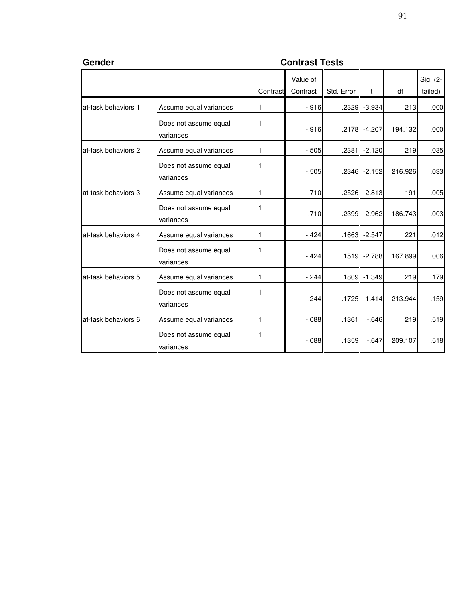| Gender              | <b>Contrast Tests</b>              |          |                      |            |                 |         |                     |  |  |  |  |
|---------------------|------------------------------------|----------|----------------------|------------|-----------------|---------|---------------------|--|--|--|--|
|                     |                                    | Contrast | Value of<br>Contrast | Std. Error | $\mathbf{t}$    | df      | Sig. (2-<br>tailed) |  |  |  |  |
| at-task behaviors 1 | Assume equal variances             | 1        | $-.916$              | .2329      | $-3.934$        | 213     | .000                |  |  |  |  |
|                     | Does not assume equal<br>variances | 1        | $-.916$              |            | .2178 -4.207    | 194.132 | .000                |  |  |  |  |
| at-task behaviors 2 | Assume equal variances             | 1        | $-505$               |            | .2381 -2.120    | 219     | .035                |  |  |  |  |
|                     | Does not assume equal<br>variances | 1        | $-505$               |            | $.2346 - 2.152$ | 216.926 | .033                |  |  |  |  |
| at-task behaviors 3 | Assume equal variances             | 1        | $-.710$              |            | $.2526 - 2.813$ | 191     | .005                |  |  |  |  |
|                     | Does not assume equal<br>variances | 1        | $-.710$              |            | .2399 -2.962    | 186.743 | .003                |  |  |  |  |
| at-task behaviors 4 | Assume equal variances             | 1        | $-424$               | .1663      | $-2.547$        | 221     | .012                |  |  |  |  |
|                     | Does not assume equal<br>variances | 1        | $-.424$              |            | $.1519 - 2.788$ | 167.899 | .006                |  |  |  |  |
| at-task behaviors 5 | Assume equal variances             | 1        | $-244$               |            | .1809 -1.349    | 219     | .179                |  |  |  |  |
|                     | Does not assume equal<br>variances |          | $-244$               |            | .1725 -1.414    | 213.944 | .159                |  |  |  |  |
| at-task behaviors 6 | Assume equal variances             | 1        | $-088$               | .1361      | $-646$          | 219     | .519                |  |  |  |  |
|                     | Does not assume equal<br>variances | 1        | $-0.088$             | .1359      | $-647$          | 209.107 | .518                |  |  |  |  |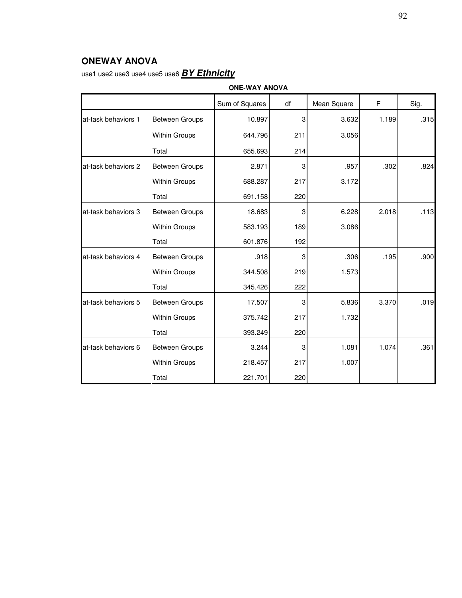# **ONEWAY ANOVA**

use1 use2 use3 use4 use5 use6 **BY Ethnicity**

|                     | <b>ONE-WAY ANOVA</b>  |                |     |             |       |      |  |  |  |  |
|---------------------|-----------------------|----------------|-----|-------------|-------|------|--|--|--|--|
|                     |                       | Sum of Squares | df  | Mean Square | F     | Sig. |  |  |  |  |
| at-task behaviors 1 | Between Groups        | 10.897         | 3   | 3.632       | 1.189 | .315 |  |  |  |  |
|                     | <b>Within Groups</b>  | 644.796        | 211 | 3.056       |       |      |  |  |  |  |
|                     | Total                 | 655.693        | 214 |             |       |      |  |  |  |  |
| at-task behaviors 2 | <b>Between Groups</b> | 2.871          | 3   | .957        | .302  | .824 |  |  |  |  |
|                     | Within Groups         | 688.287        | 217 | 3.172       |       |      |  |  |  |  |
|                     | Total                 | 691.158        | 220 |             |       |      |  |  |  |  |
| at-task behaviors 3 | <b>Between Groups</b> | 18.683         | 3   | 6.228       | 2.018 | .113 |  |  |  |  |
|                     | Within Groups         | 583.193        | 189 | 3.086       |       |      |  |  |  |  |
|                     | Total                 | 601.876        | 192 |             |       |      |  |  |  |  |
| at-task behaviors 4 | Between Groups        | .918           | 3   | .306        | .195  | .900 |  |  |  |  |
|                     | <b>Within Groups</b>  | 344.508        | 219 | 1.573       |       |      |  |  |  |  |
|                     | Total                 | 345.426        | 222 |             |       |      |  |  |  |  |
| at-task behaviors 5 | <b>Between Groups</b> | 17.507         | 3   | 5.836       | 3.370 | .019 |  |  |  |  |
|                     | <b>Within Groups</b>  | 375.742        | 217 | 1.732       |       |      |  |  |  |  |
|                     | Total                 | 393.249        | 220 |             |       |      |  |  |  |  |
| at-task behaviors 6 | <b>Between Groups</b> | 3.244          | 3   | 1.081       | 1.074 | .361 |  |  |  |  |
|                     | <b>Within Groups</b>  | 218.457        | 217 | 1.007       |       |      |  |  |  |  |
|                     | Total                 | 221.701        | 220 |             |       |      |  |  |  |  |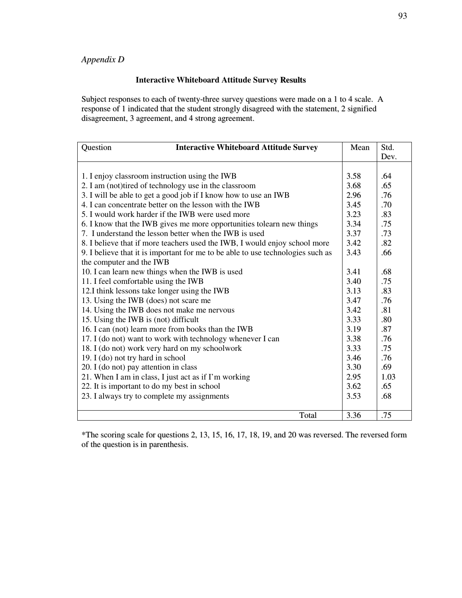## *Appendix D*

#### **Interactive Whiteboard Attitude Survey Results**

Subject responses to each of twenty-three survey questions were made on a 1 to 4 scale. A response of 1 indicated that the student strongly disagreed with the statement, 2 signified disagreement, 3 agreement, and 4 strong agreement.

| Question<br><b>Interactive Whiteboard Attitude Survey</b>                       | Mean | Std. |
|---------------------------------------------------------------------------------|------|------|
|                                                                                 |      | Dev. |
|                                                                                 |      |      |
| 1. I enjoy classroom instruction using the IWB                                  | 3.58 | .64  |
| 2. I am (not)tired of technology use in the classroom                           | 3.68 | .65  |
| 3. I will be able to get a good job if I know how to use an IWB                 | 2.96 | .76  |
| 4. I can concentrate better on the lesson with the IWB                          | 3.45 | .70  |
| 5. I would work harder if the IWB were used more                                | 3.23 | .83  |
| 6. I know that the IWB gives me more opportunities tolearn new things           | 3.34 | .75  |
| 7. I understand the lesson better when the IWB is used                          | 3.37 | .73  |
| 8. I believe that if more teachers used the IWB, I would enjoy school more      | 3.42 | .82  |
| 9. I believe that it is important for me to be able to use technologies such as | 3.43 | .66  |
| the computer and the IWB                                                        |      |      |
| 10. I can learn new things when the IWB is used                                 | 3.41 | .68  |
| 11. I feel comfortable using the IWB                                            | 3.40 | .75  |
| 12.I think lessons take longer using the IWB                                    | 3.13 | .83  |
| 13. Using the IWB (does) not scare me                                           | 3.47 | .76  |
| 14. Using the IWB does not make me nervous                                      | 3.42 | .81  |
| 15. Using the IWB is (not) difficult                                            | 3.33 | .80  |
| 16. I can (not) learn more from books than the IWB                              | 3.19 | .87  |
| 17. I (do not) want to work with technology whenever I can                      | 3.38 | .76  |
| 18. I (do not) work very hard on my schoolwork                                  | 3.33 | .75  |
| 19. I (do) not try hard in school                                               | 3.46 | .76  |
| 20. I (do not) pay attention in class                                           | 3.30 | .69  |
| 21. When I am in class, I just act as if I'm working                            | 2.95 | 1.03 |
| 22. It is important to do my best in school                                     | 3.62 | .65  |
| 23. I always try to complete my assignments                                     | 3.53 | .68  |
|                                                                                 |      |      |
| Total                                                                           | 3.36 | .75  |

\*The scoring scale for questions 2, 13, 15, 16, 17, 18, 19, and 20 was reversed. The reversed form of the question is in parenthesis.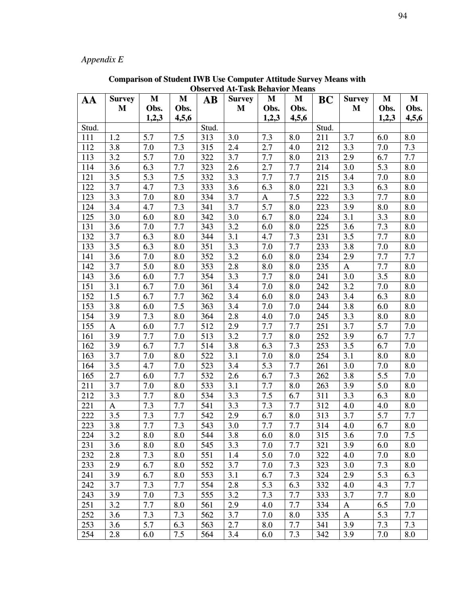# *Appendix E*

| AA    | <b>Survey</b> | M     | M     | AB    | <b>Survey</b> | M     | M     | <b>BC</b> | <b>Survey</b> | M     | M     |
|-------|---------------|-------|-------|-------|---------------|-------|-------|-----------|---------------|-------|-------|
|       | M             | Obs.  | Obs.  |       | M             | Obs.  | Obs.  |           | M             | Obs.  | Obs.  |
|       |               | 1,2,3 | 4,5,6 |       |               | 1,2,3 | 4,5,6 |           |               | 1,2,3 | 4,5,6 |
| Stud. |               |       |       | Stud. |               |       |       | Stud.     |               |       |       |
| 111   | 1.2           | 5.7   | 7.5   | 313   | 3.0           | 7.3   | 8.0   | 211       | 3.7           | 6.0   | 8.0   |
| 112   | 3.8           | 7.0   | 7.3   | 315   | 2.4           | 2.7   | 4.0   | 212       | 3.3           | 7.0   | 7.3   |
| 113   | 3,2           | 5.7   | 7.0   | 322   | 3.7           | 7.7   | 8.0   | 213       | 2.9           | 6.7   | 7.7   |
| 114   | 3.6           | 6.3   | 7.7   | 323   | 2.6           | 2.7   | 7.7   | 214       | 3.0           | 5.3   | 8.0   |
| 121   | 3.5           | 5.3   | 7.5   | 332   | 3.3           | 7.7   | 7.7   | 215       | 3.4           | 7.0   | 8.0   |
| 122   | 3.7           | 4.7   | 7.3   | 333   | 3.6           | 6.3   | 8.0   | 221       | 3.3           | 6.3   | 8.0   |
| 123   | 3.3           | 7.0   | 8.0   | 334   | 3.7           | A     | 7.5   | 222       | 3.3           | 7.7   | 8.0   |
| 124   | 3.4           | 4.7   | 7.3   | 341   | 3.7           | 5.7   | 8.0   | 223       | 3.9           | 8.0   | 8.0   |
| 125   | 3.0           | 6.0   | 8.0   | 342   | 3.0           | 6.7   | 8.0   | 224       | 3.1           | 3.3   | 8.0   |
| 131   | 3.6           | 7.0   | 7.7   | 343   | 3.2           | 6.0   | 8.0   | 225       | 3.6           | 7.3   | 8.0   |
| 132   | 3.7           | 6.3   | 8.0   | 344   | 3.1           | 4.7   | 7.3   | 231       | 3.5           | 7.7   | 8.0   |
| 133   | 3.5           | 6.3   | 8.0   | 351   | 3.3           | 7.0   | 7.7   | 233       | 3.8           | 7.0   | 8.0   |
| 141   | 3.6           | 7.0   | 8.0   | 352   | 3.2           | 6.0   | 8.0   | 234       | 2.9           | 7.7   | 7.7   |
| 142   | 3.7           | 5.0   | 8.0   | 353   | 2.8           | 8.0   | 8.0   | 235       | A             | 7.7   | 8.0   |
| 143   | 3.6           | 6.0   | 7.7   | 354   | 3.3           | 7.7   | 8.0   | 241       | 3.0           | 3.5   | 8.0   |
| 151   | 3.1           | 6.7   | 7.0   | 361   | 3,4           | 7.0   | 8.0   | 242       | 3.2           | 7.0   | 8.0   |
| 152   | 1.5           | 6.7   | 7.7   | 362   | 3,4           | 6.0   | 8.0   | 243       | 3,4           | 6.3   | 8.0   |
| 153   | 3.8           | 6.0   | 7.5   | 363   | 3.4           | 7.0   | 7.0   | 244       | 3.8           | 6.0   | 8.0   |
| 154   | 3.9           | 7.3   | 8.0   | 364   | 2.8           | 4.0   | 7.0   | 245       | 3.3           | 8.0   | 8.0   |
| 155   | A             | 6.0   | 7.7   | 512   | 2.9           | 7.7   | 7.7   | 251       | 3.7           | 5.7   | 7.0   |
| 161   | 3.9           | 7.7   | 7.0   | 513   | 3.2           | 7.7   | 8.0   | 252       | 3.9           | 6.7   | 7.7   |
| 162   | 3.9           | 6.7   | 7.7   | 514   | 3.8           | 6.3   | 7.3   | 253       | 3.5           | 6.7   | 7.0   |
| 163   | 3.7           | 7.0   | 8.0   | 522   | 3.1           | 7.0   | 8.0   | 254       | 3.1           | 8.0   | 8.0   |
| 164   | 3.5           | 4.7   | 7.0   | 523   | 3.4           | 5.3   | 7.7   | 261       | 3.0           | 7.0   | 8.0   |
| 165   | 2.7           | 6.0   | 7.7   | 532   | 2.6           | 6.7   | 7.3   | 262       | 3.8           | 5.5   | 7.0   |
| 211   | 3.7           | 7.0   | 8.0   | 533   | 3.1           | 7.7   | 8.0   | 263       | 3.9           | 5.0   | 8.0   |
| 212   | 3.3           | 7.7   | 8.0   | 534   | 3.3           | 7.5   | 6.7   | 311       | 3.3           | 6.3   | 8.0   |
| 221   | A             | 7.3   | 7.7   | 541   | 3.3           | 7.3   | 7.7   | 312       | 4.0           | 4.0   | 8.0   |
| 222   | 3.5           | 7.3   | 7.7   | 542   | 2.9           | 6.7   | 8.0   | 313       | 3.7           | 5.7   | 7.7   |
| 223   | 3.8           | 7.7   | 7.3   | 543   | 3.0           | 7.7   | 7.7   | 314       | 4.0           | 6.7   | 8.0   |
| 224   | 3.2           | 8.0   | 8.0   | 544   | 3.8           | 6.0   | 8.0   | 315       | 3.6           | 7.0   | 7.5   |
| 231   | 3.6           | 8.0   | 8.0   | 545   | 3.3           | 7.0   | 7.7   | 321       | 3.9           | 6.0   | 8.0   |
| 232   | 2.8           | 7.3   | 8.0   | 551   | 1.4           | 5.0   | 7.0   | 322       | 4.0           | 7.0   | 8.0   |
| 233   | 2.9           | 6.7   | 8.0   | 552   | 3.7           | 7.0   | 7.3   | 323       | 3.0           | 7.3   | 8.0   |
| 241   | 3.9           | 6.7   | 8.0   | 553   | 3.1           | 6.7   | 7.3   | 324       | 2.9           | 5.3   | 6.3   |
| 242   | 3.7           | 7.3   | 7.7   | 554   | 2.8           | 5.3   | 6.3   | 332       | 4.0           | 4.3   | 7.7   |
| 243   | 3.9           | 7.0   | 7.3   | 555   | 3.2           | 7.3   | 7.7   | 333       | 3.7           | 7.7   | 8.0   |
| 251   | 3.2           | 7.7   | 8.0   | 561   | 2.9           | 4.0   | 7.7   | 334       | A             | 6.5   | 7.0   |
| 252   | 3.6           | 7.3   | 7.3   | 562   | 3.7           | 7.0   | 8.0   | 335       | A             | 5.3   | 7.7   |
| 253   | 3.6           | 5.7   | 6.3   | 563   | 2.7           | 8.0   | 7.7   | 341       | 3.9           | 7.3   | 7.3   |
| 254   | 2.8           | 6.0   | 7.5   | 564   | 3.4           | 6.0   | 7.3   | 342       | 3.9           | 7.0   | 8.0   |

**Comparison of Student IWB Use Computer Attitude Survey Means with Observed At-Task Behavior Means**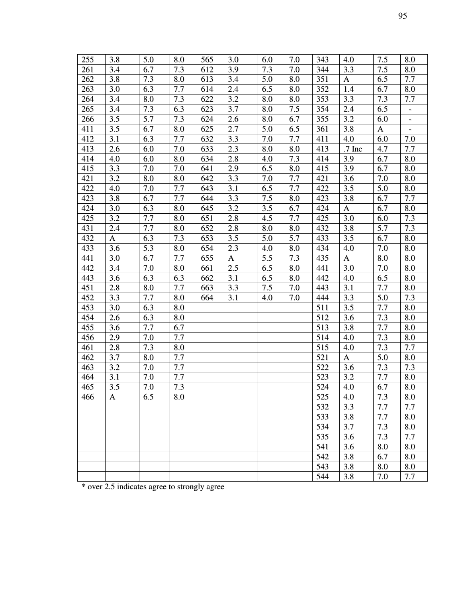| 255 | 3.8 | 5.0 | 8.0 | 565 | 3.0              | 6.0 | 7.0 | 343 | 4.0      | 7.5 | 8.0                      |
|-----|-----|-----|-----|-----|------------------|-----|-----|-----|----------|-----|--------------------------|
| 261 | 3.4 | 6.7 | 7.3 | 612 | 3.9              | 7.3 | 7.0 | 344 | 3.3      | 7.5 | 8.0                      |
| 262 | 3.8 | 7.3 | 8.0 | 613 | 3.4              | 5.0 | 8.0 | 351 | A        | 6.5 | 7.7                      |
| 263 | 3.0 | 6.3 | 7.7 | 614 | 2.4              | 6.5 | 8.0 | 352 | 1.4      | 6.7 | $\boldsymbol{8.0}$       |
| 264 | 3.4 | 8.0 | 7.3 | 622 | 3.2              | 8.0 | 8.0 | 353 | 3.3      | 7.3 | 7.7                      |
| 265 | 3.4 | 7.3 | 6.3 | 623 | 3.7              | 8.0 | 7.5 | 354 | 2.4      | 6.5 | $\overline{\phantom{0}}$ |
| 266 | 3.5 | 5.7 | 7.3 | 624 | 2.6              | 8.0 | 6.7 | 355 | 3.2      | 6.0 | $\overline{\phantom{0}}$ |
| 411 | 3.5 | 6.7 | 8.0 | 625 | 2.7              | 5.0 | 6.5 | 361 | 3.8      | A   | $\overline{\phantom{0}}$ |
| 412 | 3,1 | 6.3 | 7.7 | 632 | 3.3              | 7.0 | 7.7 | 411 | 4.0      | 6.0 | 7.0                      |
| 413 | 2.6 | 6.0 | 7.0 | 633 | 2.3              | 8.0 | 8.0 | 413 | $.7$ Inc | 4.7 | 7.7                      |
| 414 | 4.0 | 6.0 | 8.0 | 634 | 2.8              | 4.0 | 7.3 | 414 | 3.9      | 6.7 | 8.0                      |
| 415 | 3.3 | 7.0 | 7.0 | 641 | 2.9              | 6.5 | 8.0 | 415 | 3.9      | 6.7 | 8.0                      |
| 421 | 3.2 | 8.0 | 8.0 | 642 | 3.3              | 7.0 | 7.7 | 421 | 3.6      | 7.0 | 8.0                      |
| 422 | 4.0 | 7.0 | 7.7 | 643 | 3.1              | 6.5 | 7.7 | 422 | 3.5      | 5.0 | 8.0                      |
| 423 | 3.8 | 6.7 | 7.7 | 644 | 3.3              | 7.5 | 8.0 | 423 | 3.8      | 6.7 | 7.7                      |
| 424 | 3.0 | 6.3 | 8.0 | 645 | 3.2              | 3.5 | 6.7 | 424 | A        | 6.7 | 8.0                      |
| 425 | 3.2 | 7.7 | 8.0 | 651 | 2.8              | 4.5 | 7.7 | 425 | 3.0      | 6.0 | 7.3                      |
| 431 | 2.4 | 7.7 | 8.0 | 652 | $2.\overline{8}$ | 8.0 | 8.0 | 432 | 3.8      | 5.7 | 7.3                      |
| 432 | A   | 6.3 | 7.3 | 653 | 3.5              | 5.0 | 5.7 | 433 | 3.5      | 6.7 | 8.0                      |
| 433 | 3.6 | 5.3 | 8.0 | 654 | 2.3              | 4.0 | 8.0 | 434 | 4.0      | 7.0 | 8.0                      |
| 441 | 3.0 | 6.7 | 7.7 | 655 | A                | 5.5 | 7.3 | 435 | A        | 8.0 | 8.0                      |
| 442 | 3.4 | 7.0 | 8.0 | 661 | 2.5              | 6.5 | 8.0 | 441 | 3.0      | 7.0 | 8.0                      |
| 443 | 3.6 | 6.3 | 6.3 | 662 | 3.1              | 6.5 | 8.0 | 442 | 4.0      | 6.5 | 8.0                      |
| 451 | 2.8 | 8.0 | 7.7 | 663 | 3.3              | 7.5 | 7.0 | 443 | 3.1      | 7.7 | 8.0                      |
| 452 | 3.3 | 7.7 | 8.0 | 664 | 3.1              | 4.0 | 7.0 | 444 | 3.3      | 5.0 | 7.3                      |
| 453 | 3.0 | 6.3 | 8.0 |     |                  |     |     | 511 | 3.5      | 7.7 | 8.0                      |
| 454 | 2.6 | 6.3 | 8.0 |     |                  |     |     | 512 | 3.6      | 7.3 | 8.0                      |
| 455 | 3.6 | 7.7 | 6.7 |     |                  |     |     | 513 | 3.8      | 7.7 | 8.0                      |
| 456 | 2.9 | 7.0 | 7.7 |     |                  |     |     | 514 | 4.0      | 7.3 | 8.0                      |
| 461 | 2.8 | 7.3 | 8.0 |     |                  |     |     | 515 | 4.0      | 7.3 | 7.7                      |
| 462 | 3.7 | 8.0 | 7.7 |     |                  |     |     | 521 | A        | 5.0 | 8.0                      |
| 463 | 3.2 | 7.0 | 7.7 |     |                  |     |     | 522 | 3.6      | 7.3 | 7.3                      |
| 464 | 3.1 | 7.0 | 7.7 |     |                  |     |     | 523 | 3.2      | 7.7 | 8.0                      |
| 465 | 3.5 | 7.0 | 7.3 |     |                  |     |     | 524 | 4.0      | 6.7 | 8.0                      |
| 466 | A   | 6.5 | 8.0 |     |                  |     |     | 525 | 4.0      | 7.3 | 8.0                      |
|     |     |     |     |     |                  |     |     | 532 | 3.3      | 7.7 | 7.7                      |
|     |     |     |     |     |                  |     |     | 533 | 3.8      | 7.7 | 8.0                      |
|     |     |     |     |     |                  |     |     | 534 | 3.7      | 7.3 | 8.0                      |
|     |     |     |     |     |                  |     |     | 535 | 3.6      | 7.3 | 7.7                      |
|     |     |     |     |     |                  |     |     | 541 | 3.6      | 8.0 | 8.0                      |
|     |     |     |     |     |                  |     |     | 542 | 3.8      | 6.7 | 8.0                      |
|     |     |     |     |     |                  |     |     | 543 | 3.8      | 8.0 | 8.0                      |
|     |     |     |     |     |                  |     |     | 544 | 3.8      | 7.0 | 7.7                      |

\* over 2.5 indicates agree to strongly agree